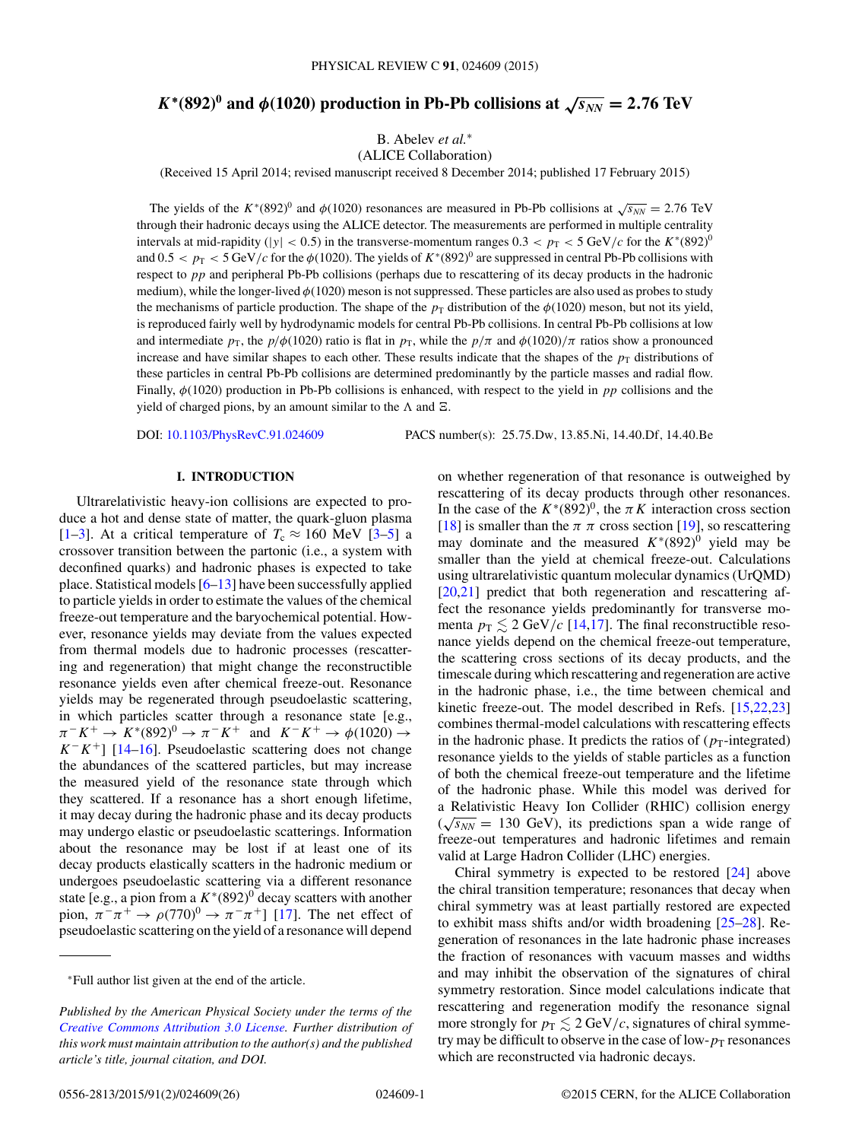# <span id="page-0-0"></span> $K^*(892)^0$  and  $\phi(1020)$  production in Pb-Pb collisions at  $\sqrt{s_{NN}} = 2.76$  TeV

B. Abelev *et al.*<sup>∗</sup>

(ALICE Collaboration)

(Received 15 April 2014; revised manuscript received 8 December 2014; published 17 February 2015)

The yields of the K<sup>∗</sup>(892)<sup>0</sup> and  $\phi$ (1020) resonances are measured in Pb-Pb collisions at  $\sqrt{s_{NN}}$  = 2.76 TeV through their hadronic decays using the ALICE detector. The measurements are performed in multiple centrality intervals at mid-rapidity ( $|y| < 0.5$ ) in the transverse-momentum ranges  $0.3 < p_T < 5 \text{ GeV}/c$  for the  $K^*(892)^0$ and  $0.5 < p_T < 5$  GeV/c for the  $\phi(1020)$ . The yields of  $K^*(892)^0$  are suppressed in central Pb-Pb collisions with respect to pp and peripheral Pb-Pb collisions (perhaps due to rescattering of its decay products in the hadronic medium), while the longer-lived  $\phi(1020)$  meson is not suppressed. These particles are also used as probes to study the mechanisms of particle production. The shape of the  $p<sub>T</sub>$  distribution of the  $\phi(1020)$  meson, but not its yield, is reproduced fairly well by hydrodynamic models for central Pb-Pb collisions. In central Pb-Pb collisions at low and intermediate  $p_T$ , the  $p/\phi(1020)$  ratio is flat in  $p_T$ , while the  $p/\pi$  and  $\phi(1020)/\pi$  ratios show a pronounced increase and have similar shapes to each other. These results indicate that the shapes of the  $p<sub>T</sub>$  distributions of these particles in central Pb-Pb collisions are determined predominantly by the particle masses and radial flow. Finally,  $\phi(1020)$  production in Pb-Pb collisions is enhanced, with respect to the yield in pp collisions and the yield of charged pions, by an amount similar to the  $\Lambda$  and  $\Xi$ .

DOI: [10.1103/PhysRevC.91.024609](http://dx.doi.org/10.1103/PhysRevC.91.024609) PACS number(s): 25.75.Dw, 13.85.Ni, 14.40.Df, 14.40.Be

## **I. INTRODUCTION**

Ultrarelativistic heavy-ion collisions are expected to produce a hot and dense state of matter, the quark-gluon plasma [\[1–3\]](#page-18-0). At a critical temperature of  $T_c \approx 160$  MeV [\[3–5\]](#page-18-0) a crossover transition between the partonic (i.e., a system with deconfined quarks) and hadronic phases is expected to take place. Statistical models [\[6–13\]](#page-18-0) have been successfully applied to particle yields in order to estimate the values of the chemical freeze-out temperature and the baryochemical potential. However, resonance yields may deviate from the values expected from thermal models due to hadronic processes (rescattering and regeneration) that might change the reconstructible resonance yields even after chemical freeze-out. Resonance yields may be regenerated through pseudoelastic scattering, in which particles scatter through a resonance state [e.g.,  $\pi^-K^+ \to K^*(892)^0 \to \pi^-K^+$  and  $K^-K^+ \to \phi(1020) \to$  $K^-K^+$ ] [\[14–16\]](#page-18-0). Pseudoelastic scattering does not change the abundances of the scattered particles, but may increase the measured yield of the resonance state through which they scattered. If a resonance has a short enough lifetime, it may decay during the hadronic phase and its decay products may undergo elastic or pseudoelastic scatterings. Information about the resonance may be lost if at least one of its decay products elastically scatters in the hadronic medium or undergoes pseudoelastic scattering via a different resonance state [e.g., a pion from a  $K^*(892)^0$  decay scatters with another pion,  $\pi^{-}\pi^{+} \to \rho(770)^{0} \to \pi^{-}\pi^{+}$ ] [\[17\]](#page-18-0). The net effect of pseudoelastic scattering on the yield of a resonance will depend

on whether regeneration of that resonance is outweighed by rescattering of its decay products through other resonances. In the case of the  $K^*(892)^0$ , the  $\pi K$  interaction cross section [\[18\]](#page-18-0) is smaller than the  $\pi \pi$  cross section [\[19\]](#page-18-0), so rescattering may dominate and the measured  $K*(892)^0$  yield may be smaller than the yield at chemical freeze-out. Calculations using ultrarelativistic quantum molecular dynamics (UrQMD) [\[20](#page-18-0)[,21\]](#page-19-0) predict that both regeneration and rescattering affect the resonance yields predominantly for transverse momenta  $p_{\text{T}} \lesssim 2 \text{ GeV}/c$  [\[14,17\]](#page-18-0). The final reconstructible resonance yields depend on the chemical freeze-out temperature, the scattering cross sections of its decay products, and the timescale during which rescattering and regeneration are active in the hadronic phase, i.e., the time between chemical and kinetic freeze-out. The model described in Refs. [\[15](#page-18-0)[,22,23\]](#page-19-0) combines thermal-model calculations with rescattering effects in the hadronic phase. It predicts the ratios of  $(p_T\text{-integrated})$ resonance yields to the yields of stable particles as a function of both the chemical freeze-out temperature and the lifetime of the hadronic phase. While this model was derived for a Relativistic Heavy Ion Collider (RHIC) collision energy  $(\sqrt{s_{NN}} = 130 \text{ GeV})$ , its predictions span a wide range of freeze-out temperatures and hadronic lifetimes and remain valid at Large Hadron Collider (LHC) energies.

Chiral symmetry is expected to be restored [\[24\]](#page-19-0) above the chiral transition temperature; resonances that decay when chiral symmetry was at least partially restored are expected to exhibit mass shifts and/or width broadening [\[25–28\]](#page-19-0). Regeneration of resonances in the late hadronic phase increases the fraction of resonances with vacuum masses and widths and may inhibit the observation of the signatures of chiral symmetry restoration. Since model calculations indicate that rescattering and regeneration modify the resonance signal more strongly for  $p_T \lesssim 2 \text{ GeV}/c$ , signatures of chiral symmetry may be difficult to observe in the case of low- $p_T$  resonances which are reconstructed via hadronic decays.

<sup>∗</sup>Full author list given at the end of the article.

*Published by the American Physical Society under the terms of the [Creative Commons Attribution 3.0 License.](http://creativecommons.org/licenses/by/3.0/) Further distribution of this work must maintain attribution to the author(s) and the published article's title, journal citation, and DOI.*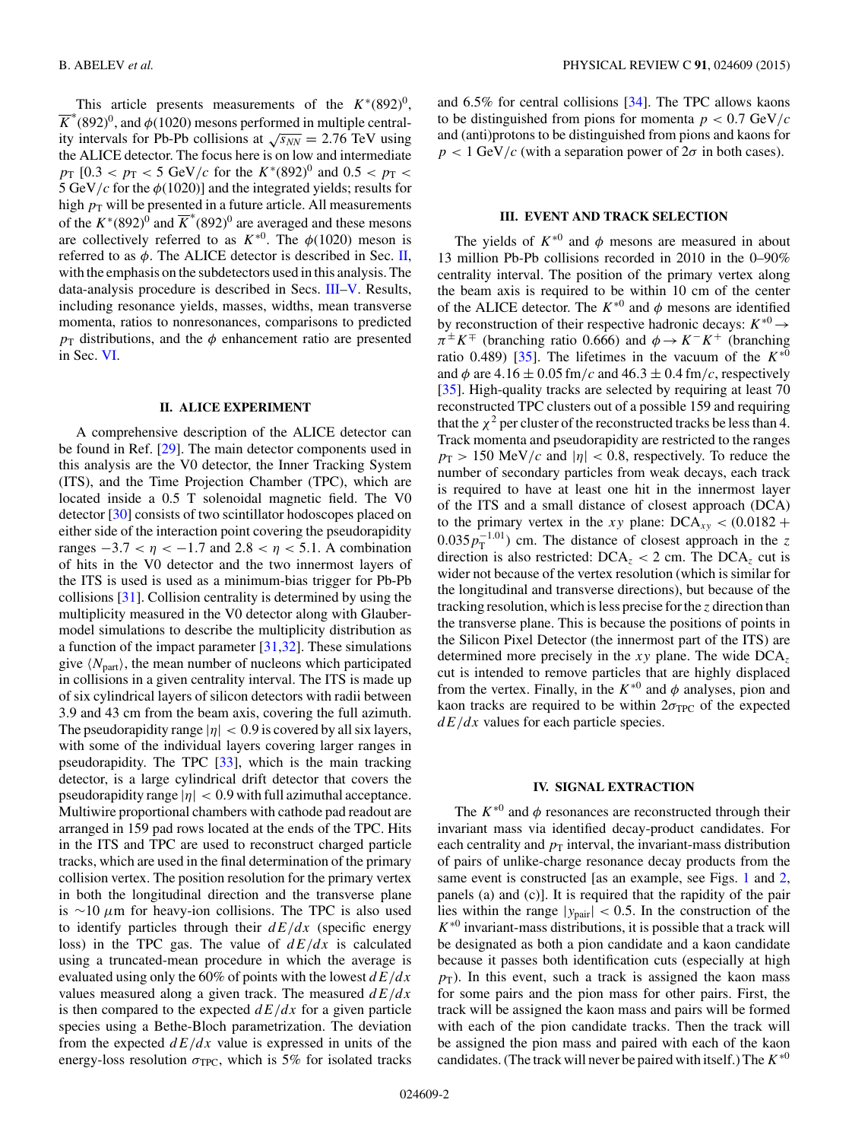<span id="page-1-0"></span>This article presents measurements of the  $K^*(892)^0$ ,  $\overline{K}^*(892)^0$ , and  $\phi(1020)$  mesons performed in multiple centrality intervals for Pb-Pb collisions at  $\sqrt{s_{NN}} = 2.76$  TeV using the ALICE detector. The focus here is on low and intermediate  $p_T$  [0.3 <  $p_T$  < 5 GeV/c for the  $K^*(892)^0$  and 0.5 <  $p_T$  < 5 GeV/c for the  $\phi$ (1020)] and the integrated yields; results for high  $p<sub>T</sub>$  will be presented in a future article. All measurements of the  $K^*(892)^0$  and  $\overline{K}^*(892)^0$  are averaged and these mesons are collectively referred to as  $K^{*0}$ . The  $\phi(1020)$  meson is referred to as  $\phi$ . The ALICE detector is described in Sec. II, with the emphasis on the subdetectors used in this analysis. The data-analysis procedure is described in Secs. III[–V.](#page-5-0) Results, including resonance yields, masses, widths, mean transverse momenta, ratios to nonresonances, comparisons to predicted  $p_T$  distributions, and the  $\phi$  enhancement ratio are presented in Sec. [VI.](#page-6-0)

## **II. ALICE EXPERIMENT**

A comprehensive description of the ALICE detector can be found in Ref. [\[29\]](#page-19-0). The main detector components used in this analysis are the V0 detector, the Inner Tracking System (ITS), and the Time Projection Chamber (TPC), which are located inside a 0.5 T solenoidal magnetic field. The V0 detector [\[30\]](#page-19-0) consists of two scintillator hodoscopes placed on either side of the interaction point covering the pseudorapidity ranges  $-3.7 < \eta < -1.7$  and  $2.8 < \eta < 5.1$ . A combination of hits in the V0 detector and the two innermost layers of the ITS is used is used as a minimum-bias trigger for Pb-Pb collisions [\[31\]](#page-19-0). Collision centrality is determined by using the multiplicity measured in the V0 detector along with Glaubermodel simulations to describe the multiplicity distribution as a function of the impact parameter  $[31,32]$ . These simulations give  $\langle N_{\text{part}} \rangle$ , the mean number of nucleons which participated in collisions in a given centrality interval. The ITS is made up of six cylindrical layers of silicon detectors with radii between 3.9 and 43 cm from the beam axis, covering the full azimuth. The pseudorapidity range  $|\eta| < 0.9$  is covered by all six layers, with some of the individual layers covering larger ranges in pseudorapidity. The TPC [\[33\]](#page-19-0), which is the main tracking detector, is a large cylindrical drift detector that covers the pseudorapidity range  $|\eta| < 0.9$  with full azimuthal acceptance. Multiwire proportional chambers with cathode pad readout are arranged in 159 pad rows located at the ends of the TPC. Hits in the ITS and TPC are used to reconstruct charged particle tracks, which are used in the final determination of the primary collision vertex. The position resolution for the primary vertex in both the longitudinal direction and the transverse plane is <sup>∼</sup><sup>10</sup> <sup>μ</sup>m for heavy-ion collisions. The TPC is also used to identify particles through their  $dE/dx$  (specific energy loss) in the TPC gas. The value of  $dE/dx$  is calculated using a truncated-mean procedure in which the average is evaluated using only the 60% of points with the lowest  $dE/dx$ values measured along a given track. The measured  $dE/dx$ is then compared to the expected  $dE/dx$  for a given particle species using a Bethe-Bloch parametrization. The deviation from the expected  $dE/dx$  value is expressed in units of the energy-loss resolution  $\sigma_{TPC}$ , which is 5% for isolated tracks

and 6.5% for central collisions [\[34\]](#page-19-0). The TPC allows kaons to be distinguished from pions for momenta  $p < 0.7$  GeV/c and (anti)protons to be distinguished from pions and kaons for  $p < 1$  GeV/c (with a separation power of  $2\sigma$  in both cases).

## **III. EVENT AND TRACK SELECTION**

The yields of  $K^{*0}$  and  $\phi$  mesons are measured in about 13 million Pb-Pb collisions recorded in 2010 in the 0–90% centrality interval. The position of the primary vertex along the beam axis is required to be within 10 cm of the center of the ALICE detector. The  $K^{*0}$  and  $\phi$  mesons are identified by reconstruction of their respective hadronic decays:  $K^{*0} \rightarrow$  $\pi^{\pm} K^{\mp}$  (branching ratio 0.666) and  $\phi \rightarrow K^{-} K^{+}$  (branching ratio 0.489) [\[35\]](#page-19-0). The lifetimes in the vacuum of the  $K^{*0}$ and  $\phi$  are 4.16  $\pm$  0.05 fm/c and 46.3  $\pm$  0.4 fm/c, respectively [\[35\]](#page-19-0). High-quality tracks are selected by requiring at least 70 reconstructed TPC clusters out of a possible 159 and requiring that the  $\chi^2$  per cluster of the reconstructed tracks be less than 4. Track momenta and pseudorapidity are restricted to the ranges  $p_T > 150$  MeV/c and  $|\eta| < 0.8$ , respectively. To reduce the number of secondary particles from weak decays, each track is required to have at least one hit in the innermost layer of the ITS and a small distance of closest approach (DCA) to the primary vertex in the xy plane:  $DCA_{xy} < (0.0182 +$  $0.035p_T^{-1.01}$  cm. The distance of closest approach in the z direction is also restricted:  $DCA_z < 2$  cm. The  $DCA_z$  cut is wider not because of the vertex resolution (which is similar for the longitudinal and transverse directions), but because of the tracking resolution, which is less precise for the z direction than the transverse plane. This is because the positions of points in the Silicon Pixel Detector (the innermost part of the ITS) are determined more precisely in the xy plane. The wide  $DCA<sub>z</sub>$ cut is intended to remove particles that are highly displaced from the vertex. Finally, in the  $K^{*0}$  and  $\phi$  analyses, pion and kaon tracks are required to be within  $2\sigma_{TPC}$  of the expected  $dE/dx$  values for each particle species.

## **IV. SIGNAL EXTRACTION**

The  $K^{*0}$  and  $\phi$  resonances are reconstructed through their invariant mass via identified decay-product candidates. For each centrality and  $p_T$  interval, the invariant-mass distribution of pairs of unlike-charge resonance decay products from the same event is constructed [as an example, see Figs. [1](#page-2-0) and [2,](#page-3-0) panels (a) and (c)]. It is required that the rapidity of the pair lies within the range  $|y_{pair}| < 0.5$ . In the construction of the  $K^{*0}$  invariant-mass distributions, it is possible that a track will be designated as both a pion candidate and a kaon candidate because it passes both identification cuts (especially at high  $p<sub>T</sub>$ ). In this event, such a track is assigned the kaon mass for some pairs and the pion mass for other pairs. First, the track will be assigned the kaon mass and pairs will be formed with each of the pion candidate tracks. Then the track will be assigned the pion mass and paired with each of the kaon candidates. (The track will never be paired with itself.) The  $K^{*0}$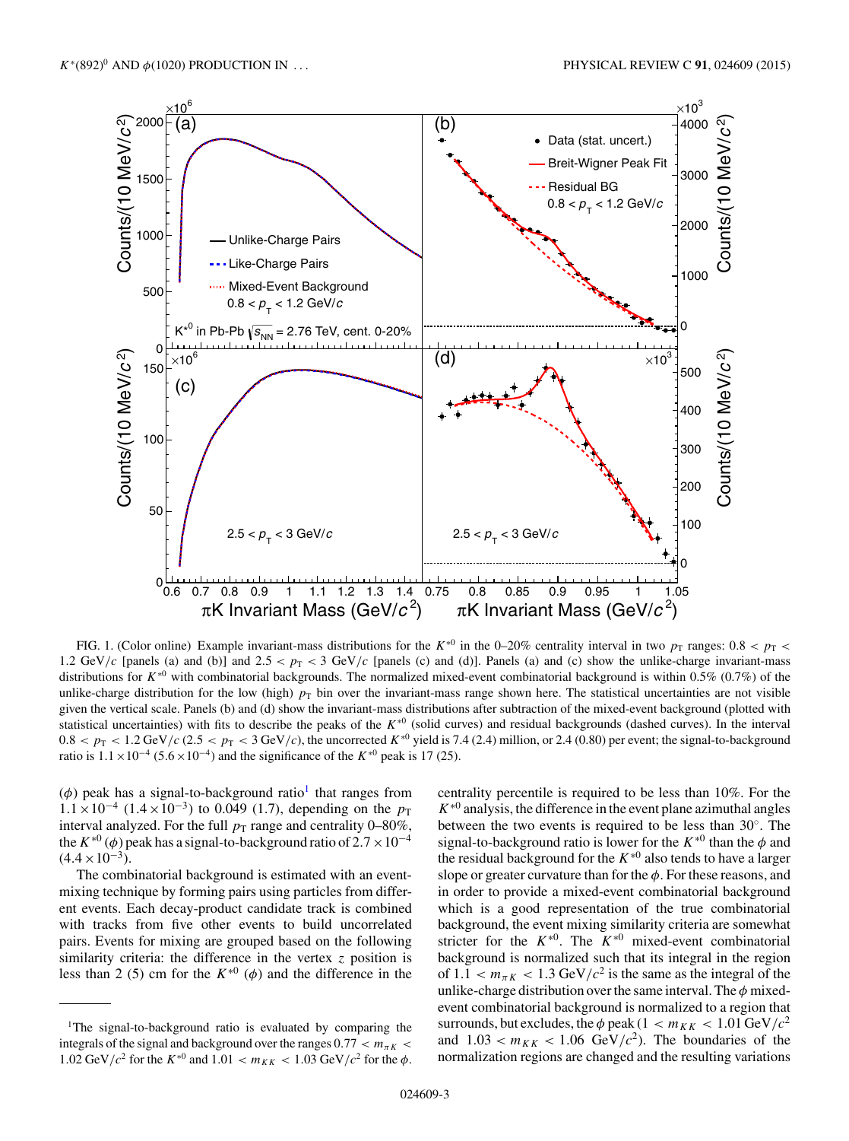<span id="page-2-0"></span>

FIG. 1. (Color online) Example invariant-mass distributions for the K<sup>∗0</sup> in the 0–20% centrality interval in two  $p_T$  ranges: 0.8 <  $p_T$  < 1.2 GeV/c [panels (a) and (b)] and  $2.5 < p_T < 3$  GeV/c [panels (c) and (d)]. Panels (a) and (c) show the unlike-charge invariant-mass distributions for  $K^{*0}$  with combinatorial backgrounds. The normalized mixed-event combinatorial background is within 0.5% (0.7%) of the unlike-charge distribution for the low (high)  $p<sub>T</sub>$  bin over the invariant-mass range shown here. The statistical uncertainties are not visible given the vertical scale. Panels (b) and (d) show the invariant-mass distributions after subtraction of the mixed-event background (plotted with statistical uncertainties) with fits to describe the peaks of the  $K^{*0}$  (solid curves) and residual backgrounds (dashed curves). In the interval  $0.8 < p_{\rm T} < 1.2$  GeV/c (2.5 <  $p_{\rm T} < 3$  GeV/c), the uncorrected  $K^{*0}$  yield is 7.4 (2.4) million, or 2.4 (0.80) per event; the signal-to-background ratio is  $1.1 \times 10^{-4}$  (5.6 × 10<sup>-4</sup>) and the significance of the K<sup>\*0</sup> peak is 17 (25).

( $\phi$ ) peak has a signal-to-background ratio<sup>1</sup> that ranges from  $1.1 \times 10^{-4}$  (1.4×10<sup>-3</sup>) to 0.049 (1.7), depending on the  $p_T$ interval analyzed. For the full  $p_T$  range and centrality 0–80%, the  $K^{*0}$  ( $\phi$ ) peak has a signal-to-background ratio of 2.7 × 10<sup>-4</sup>  $(4.4 \times 10^{-3})$ .

The combinatorial background is estimated with an eventmixing technique by forming pairs using particles from different events. Each decay-product candidate track is combined with tracks from five other events to build uncorrelated pairs. Events for mixing are grouped based on the following similarity criteria: the difference in the vertex  $\zeta$  position is less than 2 (5) cm for the  $K^{*0}$  ( $\phi$ ) and the difference in the centrality percentile is required to be less than 10%. For the  $K^{*0}$  analysis, the difference in the event plane azimuthal angles between the two events is required to be less than 30◦. The signal-to-background ratio is lower for the  $K^{*0}$  than the  $\phi$  and the residual background for the  $K^{*0}$  also tends to have a larger slope or greater curvature than for the  $\phi$ . For these reasons, and in order to provide a mixed-event combinatorial background which is a good representation of the true combinatorial background, the event mixing similarity criteria are somewhat stricter for the  $K^{*0}$ . The  $K^{*0}$  mixed-event combinatorial background is normalized such that its integral in the region of  $1.1 < m_{\pi K} < 1.3$  GeV/ $c^2$  is the same as the integral of the unlike-charge distribution over the same interval. The  $\phi$  mixedevent combinatorial background is normalized to a region that surrounds, but excludes, the  $\phi$  peak (1 <  $m_{KK}$  < 1.01 GeV/ $c^2$ and  $1.03 < m_{KK} < 1.06$  GeV/ $c^2$ ). The boundaries of the normalization regions are changed and the resulting variations

<sup>&</sup>lt;sup>1</sup>The signal-to-background ratio is evaluated by comparing the integrals of the signal and background over the ranges  $0.77 < m_{\pi K}$ 1.02 GeV/ $c^2$  for the  $K^{*0}$  and 1.01  $< m_{KK} < 1.03$  GeV/ $c^2$  for the  $\phi$ .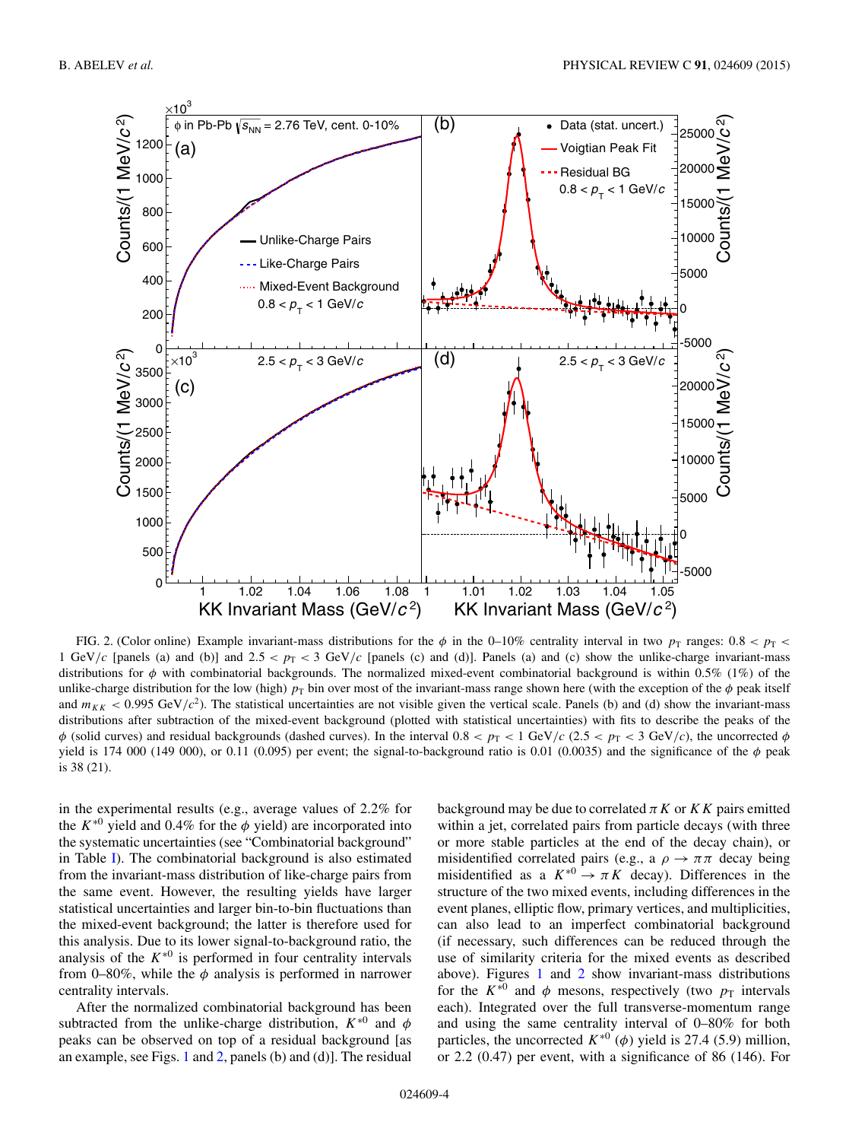<span id="page-3-0"></span>

FIG. 2. (Color online) Example invariant-mass distributions for the  $\phi$  in the 0–10% centrality interval in two  $p_T$  ranges: 0.8 <  $p_T$  < 1 GeV/c [panels (a) and (b)] and  $2.5 < p_T < 3$  GeV/c [panels (c) and (d)]. Panels (a) and (c) show the unlike-charge invariant-mass distributions for  $\phi$  with combinatorial backgrounds. The normalized mixed-event combinatorial background is within 0.5% (1%) of the unlike-charge distribution for the low (high)  $p_T$  bin over most of the invariant-mass range shown here (with the exception of the  $\phi$  peak itself and  $m_{KK}$  < 0.995 GeV/c<sup>2</sup>). The statistical uncertainties are not visible given the vertical scale. Panels (b) and (d) show the invariant-mass distributions after subtraction of the mixed-event background (plotted with statistical uncertainties) with fits to describe the peaks of the  $\phi$  (solid curves) and residual backgrounds (dashed curves). In the interval  $0.8 < p_T < 1$  GeV/c (2.5  $\lt p_T < 3$  GeV/c), the uncorrected  $\phi$ yield is 174 000 (149 000), or 0.11 (0.095) per event; the signal-to-background ratio is 0.01 (0.0035) and the significance of the  $\phi$  peak is 38 (21).

in the experimental results (e.g., average values of 2.2% for the  $K^{*0}$  yield and 0.4% for the  $\phi$  yield) are incorporated into the systematic uncertainties (see "Combinatorial background" in Table [I\)](#page-4-0). The combinatorial background is also estimated from the invariant-mass distribution of like-charge pairs from the same event. However, the resulting yields have larger statistical uncertainties and larger bin-to-bin fluctuations than the mixed-event background; the latter is therefore used for this analysis. Due to its lower signal-to-background ratio, the analysis of the  $K^{*0}$  is performed in four centrality intervals from 0–80%, while the  $\phi$  analysis is performed in narrower centrality intervals.

After the normalized combinatorial background has been subtracted from the unlike-charge distribution,  $K^{*0}$  and  $\phi$ peaks can be observed on top of a residual background [as an example, see Figs. [1](#page-2-0) and 2, panels (b) and (d)]. The residual

background may be due to correlated  $\pi K$  or  $KK$  pairs emitted within a jet, correlated pairs from particle decays (with three or more stable particles at the end of the decay chain), or misidentified correlated pairs (e.g., a  $\rho \rightarrow \pi \pi$  decay being misidentified as a  $K^{*0} \rightarrow \pi K$  decay). Differences in the structure of the two mixed events, including differences in the event planes, elliptic flow, primary vertices, and multiplicities, can also lead to an imperfect combinatorial background (if necessary, such differences can be reduced through the use of similarity criteria for the mixed events as described above). Figures [1](#page-2-0) and 2 show invariant-mass distributions for the  $K^{*0}$  and  $\phi$  mesons, respectively (two  $p_T$  intervals each). Integrated over the full transverse-momentum range and using the same centrality interval of 0–80% for both particles, the uncorrected  $K^{*0}$  ( $\phi$ ) yield is 27.4 (5.9) million, or 2.2 (0.47) per event, with a significance of 86 (146). For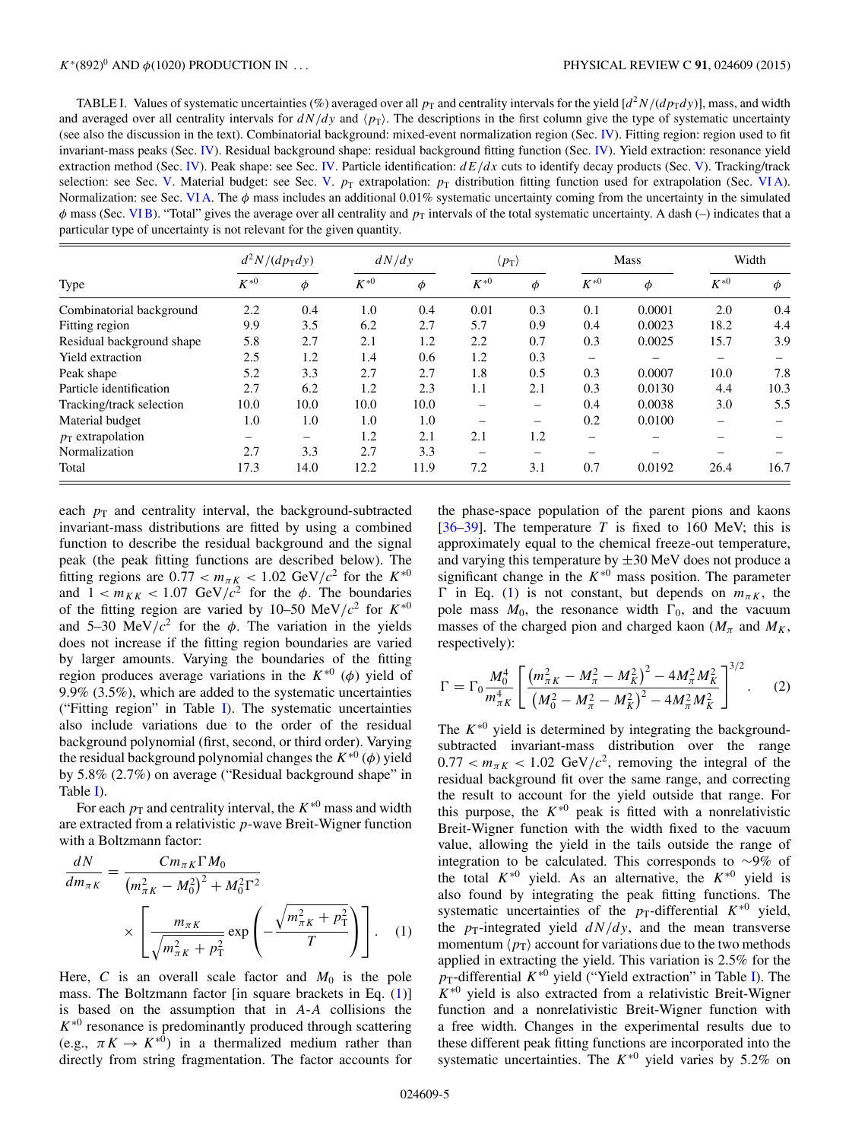<span id="page-4-0"></span>TABLE I. Values of systematic uncertainties (%) averaged over all  $p_T$  and centrality intervals for the yield  $\left[\frac{d^2N}{dp_Tdy}\right]$ , mass, and width and averaged over all centrality intervals for  $dN/dy$  and  $\langle p_T \rangle$ . The descriptions in the first column give the type of systematic uncertainty (see also the discussion in the text). Combinatorial background: mixed-event normalization region (Sec. [IV\)](#page-1-0). Fitting region: region used to fit invariant-mass peaks (Sec. [IV\)](#page-1-0). Residual background shape: residual background fitting function (Sec. [IV\)](#page-1-0). Yield extraction: resonance yield extraction method (Sec. [IV\)](#page-1-0). Peak shape: see Sec. [IV.](#page-1-0) Particle identification:  $dE/dx$  cuts to identify decay products (Sec. [V\)](#page-5-0). Tracking/track selection: see Sec. [V.](#page-5-0) Material budget: see Sec. V.  $p_T$  extrapolation:  $p_T$  distribution fitting function used for extrapolation (Sec. VIA). Normalization: see Sec. [VI A.](#page-6-0) The  $\phi$  mass includes an additional 0.01% systematic uncertainty coming from the uncertainty in the simulated  $\phi$  mass (Sec. VIB). "Total" gives the average over all centrality and  $p_T$  intervals of the total systematic uncertainty. A dash (-) indicates that a particular type of uncertainty is not relevant for the given quantity.

|                           |          | $d^2N/(dp_Tdy)$ | dN/dy    |      | $\langle p_{\rm T} \rangle$ |     |                          | <b>Mass</b> | Width    |        |
|---------------------------|----------|-----------------|----------|------|-----------------------------|-----|--------------------------|-------------|----------|--------|
| Type                      | $K^{*0}$ | Φ               | $K^{*0}$ | Φ    | $K^{\ast 0}$                | Φ   | $K^{*0}$                 | φ           | $K^{*0}$ | $\phi$ |
| Combinatorial background  | 2.2      | 0.4             | 1.0      | 0.4  | 0.01                        | 0.3 | 0.1                      | 0.0001      | 2.0      | 0.4    |
| Fitting region            | 9.9      | 3.5             | 6.2      | 2.7  | 5.7                         | 0.9 | 0.4                      | 0.0023      | 18.2     | 4.4    |
| Residual background shape | 5.8      | 2.7             | 2.1      | 1.2  | 2.2                         | 0.7 | 0.3                      | 0.0025      | 15.7     | 3.9    |
| Yield extraction          | 2.5      | 1.2             | 1.4      | 0.6  | 1.2                         | 0.3 | $\overline{\phantom{m}}$ |             |          |        |
| Peak shape                | 5.2      | 3.3             | 2.7      | 2.7  | 1.8                         | 0.5 | 0.3                      | 0.0007      | 10.0     | 7.8    |
| Particle identification   | 2.7      | 6.2             | 1.2      | 2.3  | 1.1                         | 2.1 | 0.3                      | 0.0130      | 4.4      | 10.3   |
| Tracking/track selection  | 10.0     | 10.0            | 10.0     | 10.0 | -                           |     | 0.4                      | 0.0038      | 3.0      | 5.5    |
| Material budget           | 1.0      | 1.0             | 1.0      | 1.0  | -                           |     | 0.2                      | 0.0100      |          |        |
| $p_T$ extrapolation       |          | -               | 1.2      | 2.1  | 2.1                         | 1.2 | -                        |             |          |        |
| Normalization             | 2.7      | 3.3             | 2.7      | 3.3  | $\overline{\phantom{0}}$    |     |                          |             |          |        |
| Total                     | 17.3     | 14.0            | 12.2     | 11.9 | 7.2                         | 3.1 | 0.7                      | 0.0192      | 26.4     | 16.7   |

each  $p_T$  and centrality interval, the background-subtracted invariant-mass distributions are fitted by using a combined function to describe the residual background and the signal peak (the peak fitting functions are described below). The fitting regions are  $0.77 < m_{\pi K} < 1.02$  GeV/ $c^2$  for the  $K^{*0}$ and  $1 < m_{KK} < 1.07$  GeV/ $c^2$  for the  $\phi$ . The boundaries of the fitting region are varied by 10–50 MeV/ $c^2$  for  $K^{*0}$ and 5–30 MeV/ $c^2$  for the  $\phi$ . The variation in the yields does not increase if the fitting region boundaries are varied by larger amounts. Varying the boundaries of the fitting region produces average variations in the  $K^{*0}$  ( $\phi$ ) yield of 9.9% (3.5%), which are added to the systematic uncertainties ("Fitting region" in Table I). The systematic uncertainties also include variations due to the order of the residual background polynomial (first, second, or third order). Varying the residual background polynomial changes the  $K^{*0}(\phi)$  yield by 5.8% (2.7%) on average ("Residual background shape" in Table I).

For each  $p_T$  and centrality interval, the  $K^{*0}$  mass and width are extracted from a relativistic  $p$ -wave Breit-Wigner function with a Boltzmann factor:

$$
\frac{dN}{dm_{\pi K}} = \frac{Cm_{\pi K} \Gamma M_0}{(m_{\pi K}^2 - M_0^2)^2 + M_0^2 \Gamma^2} \times \left[ \frac{m_{\pi K}}{\sqrt{m_{\pi K}^2 + p_{\rm T}^2}} \exp\left(-\frac{\sqrt{m_{\pi K}^2 + p_{\rm T}^2}}{T}\right) \right].
$$
 (1)

Here, C is an overall scale factor and  $M_0$  is the pole mass. The Boltzmann factor [in square brackets in Eq. (1)] is based on the assumption that in A-A collisions the  $K^{*0}$  resonance is predominantly produced through scattering (e.g.,  $\pi K \to K^{*0}$ ) in a thermalized medium rather than directly from string fragmentation. The factor accounts for

the phase-space population of the parent pions and kaons [\[36–39\]](#page-19-0). The temperature T is fixed to 160 MeV; this is approximately equal to the chemical freeze-out temperature, and varying this temperature by  $\pm 30$  MeV does not produce a significant change in the  $K^{*0}$  mass position. The parameter  $\Gamma$  in Eq. (1) is not constant, but depends on  $m_{\pi K}$ , the pole mass  $M_0$ , the resonance width  $\Gamma_0$ , and the vacuum masses of the charged pion and charged kaon ( $M_{\pi}$  and  $M_{K}$ , respectively):

$$
\Gamma = \Gamma_0 \frac{M_0^4}{m_{\pi K}^4} \left[ \frac{\left(m_{\pi K}^2 - M_{\pi}^2 - M_K^2\right)^2 - 4M_{\pi}^2 M_K^2}{\left(M_0^2 - M_{\pi}^2 - M_K^2\right)^2 - 4M_{\pi}^2 M_K^2} \right]^{3/2}.
$$
 (2)

The  $K^{*0}$  yield is determined by integrating the backgroundsubtracted invariant-mass distribution over the range  $0.77 < m_{\pi K} < 1.02$  GeV/ $c^2$ , removing the integral of the residual background fit over the same range, and correcting the result to account for the yield outside that range. For this purpose, the  $K^{*0}$  peak is fitted with a nonrelativistic Breit-Wigner function with the width fixed to the vacuum value, allowing the yield in the tails outside the range of integration to be calculated. This corresponds to ∼9% of the total  $K^{*0}$  yield. As an alternative, the  $K^{*0}$  yield is also found by integrating the peak fitting functions. The systematic uncertainties of the  $p_T$ -differential  $K^{*0}$  yield, the  $p_T$ -integrated yield  $dN/dy$ , and the mean transverse momentum  $\langle p_{\rm T} \rangle$  account for variations due to the two methods applied in extracting the yield. This variation is 2.5% for the  $p_T$ -differential  $K^{*0}$  yield ("Yield extraction" in Table I). The  $K^{*0}$  yield is also extracted from a relativistic Breit-Wigner function and a nonrelativistic Breit-Wigner function with a free width. Changes in the experimental results due to these different peak fitting functions are incorporated into the systematic uncertainties. The  $K^{*0}$  yield varies by 5.2% on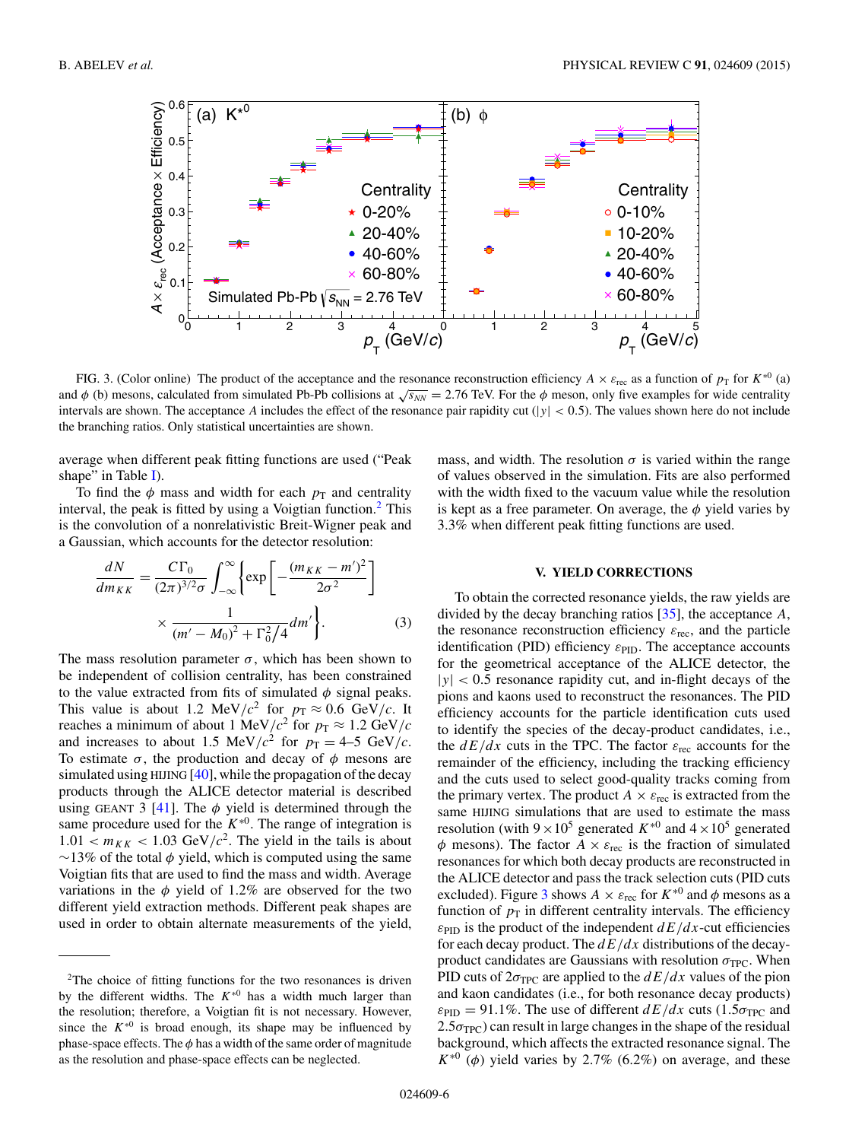<span id="page-5-0"></span>

FIG. 3. (Color online) The product of the acceptance and the resonance reconstruction efficiency  $A \times \varepsilon_{\text{rec}}$  as a function of  $p_T$  for  $K^{*0}$  (a) and  $\phi$  (b) mesons, calculated from simulated Pb-Pb collisions at  $\sqrt{s_{NN}} = 2.76$  TeV. For the  $\phi$  meson, only five examples for wide centrality intervals are shown. The acceptance A includes the effect of the resonance pair rapidity cut ( $|y| < 0.5$ ). The values shown here do not include the branching ratios. Only statistical uncertainties are shown.

average when different peak fitting functions are used ("Peak shape" in Table  $I$ ).

To find the  $\phi$  mass and width for each  $p_T$  and centrality interval, the peak is fitted by using a Voigtian function.<sup>2</sup> This is the convolution of a nonrelativistic Breit-Wigner peak and a Gaussian, which accounts for the detector resolution:

$$
\frac{dN}{dm_{KK}} = \frac{C\Gamma_0}{(2\pi)^{3/2}\sigma} \int_{-\infty}^{\infty} \left\{ \exp\left[ -\frac{(m_{KK} - m')^2}{2\sigma^2} \right] \right\} \times \frac{1}{(m' - M_0)^2 + \Gamma_0^2 / 4} dm' \right\}.
$$
 (3)

The mass resolution parameter  $\sigma$ , which has been shown to be independent of collision centrality, has been constrained to the value extracted from fits of simulated  $\phi$  signal peaks. This value is about 1.2 MeV/ $c^2$  for  $p_T \approx 0.6$  GeV/c. It reaches a minimum of about 1 MeV/ $c^2$  for  $p_T \approx 1.2$  GeV/ $c$ and increases to about 1.5 MeV/ $c^2$  for  $p_T = 4-5$  GeV/c. To estimate  $\sigma$ , the production and decay of  $\phi$  mesons are simulated using HIJING  $[40]$ , while the propagation of the decay products through the ALICE detector material is described using GEANT 3 [\[41\]](#page-19-0). The  $\phi$  yield is determined through the same procedure used for the  $K^{*0}$ . The range of integration is  $1.01 < m_{KK} < 1.03$  GeV/ $c^2$ . The yield in the tails is about  $\sim$ 13% of the total  $\phi$  yield, which is computed using the same Voigtian fits that are used to find the mass and width. Average variations in the  $\phi$  yield of 1.2% are observed for the two different yield extraction methods. Different peak shapes are used in order to obtain alternate measurements of the yield,

mass, and width. The resolution  $\sigma$  is varied within the range of values observed in the simulation. Fits are also performed with the width fixed to the vacuum value while the resolution is kept as a free parameter. On average, the  $\phi$  yield varies by 3.3% when different peak fitting functions are used.

## **V. YIELD CORRECTIONS**

To obtain the corrected resonance yields, the raw yields are divided by the decay branching ratios [\[35\]](#page-19-0), the acceptance A, the resonance reconstruction efficiency  $\varepsilon_{\text{rec}}$ , and the particle identification (PID) efficiency  $\varepsilon_{\text{PID}}$ . The acceptance accounts for the geometrical acceptance of the ALICE detector, the  $|y|$  < 0.5 resonance rapidity cut, and in-flight decays of the pions and kaons used to reconstruct the resonances. The PID efficiency accounts for the particle identification cuts used to identify the species of the decay-product candidates, i.e., the  $dE/dx$  cuts in the TPC. The factor  $\varepsilon_{\text{rec}}$  accounts for the remainder of the efficiency, including the tracking efficiency and the cuts used to select good-quality tracks coming from the primary vertex. The product  $A \times \varepsilon_{\text{rec}}$  is extracted from the same HIJING simulations that are used to estimate the mass resolution (with  $9 \times 10^5$  generated  $K^{*0}$  and  $4 \times 10^5$  generated  $\phi$  mesons). The factor  $A \times \varepsilon_{\text{rec}}$  is the fraction of simulated resonances for which both decay products are reconstructed in the ALICE detector and pass the track selection cuts (PID cuts excluded). Figure 3 shows  $A \times \varepsilon_{\text{rec}}$  for  $K^{*0}$  and  $\phi$  mesons as a function of  $p<sub>T</sub>$  in different centrality intervals. The efficiency  $\varepsilon_{\text{PID}}$  is the product of the independent  $dE/dx$ -cut efficiencies for each decay product. The  $dE/dx$  distributions of the decayproduct candidates are Gaussians with resolution  $\sigma_{TPC}$ . When PID cuts of  $2\sigma_{TPC}$  are applied to the  $dE/dx$  values of the pion and kaon candidates (i.e., for both resonance decay products)  $\varepsilon_{\text{PID}} = 91.1\%$ . The use of different  $dE/dx$  cuts (1.5 $\sigma_{\text{TPC}}$  and  $2.5\sigma_{TPC}$ ) can result in large changes in the shape of the residual background, which affects the extracted resonance signal. The  $K^{*0}$  ( $\phi$ ) yield varies by 2.7% (6.2%) on average, and these

<sup>2</sup>The choice of fitting functions for the two resonances is driven by the different widths. The  $K^{*0}$  has a width much larger than the resolution; therefore, a Voigtian fit is not necessary. However, since the  $K^{*0}$  is broad enough, its shape may be influenced by phase-space effects. The  $\phi$  has a width of the same order of magnitude as the resolution and phase-space effects can be neglected.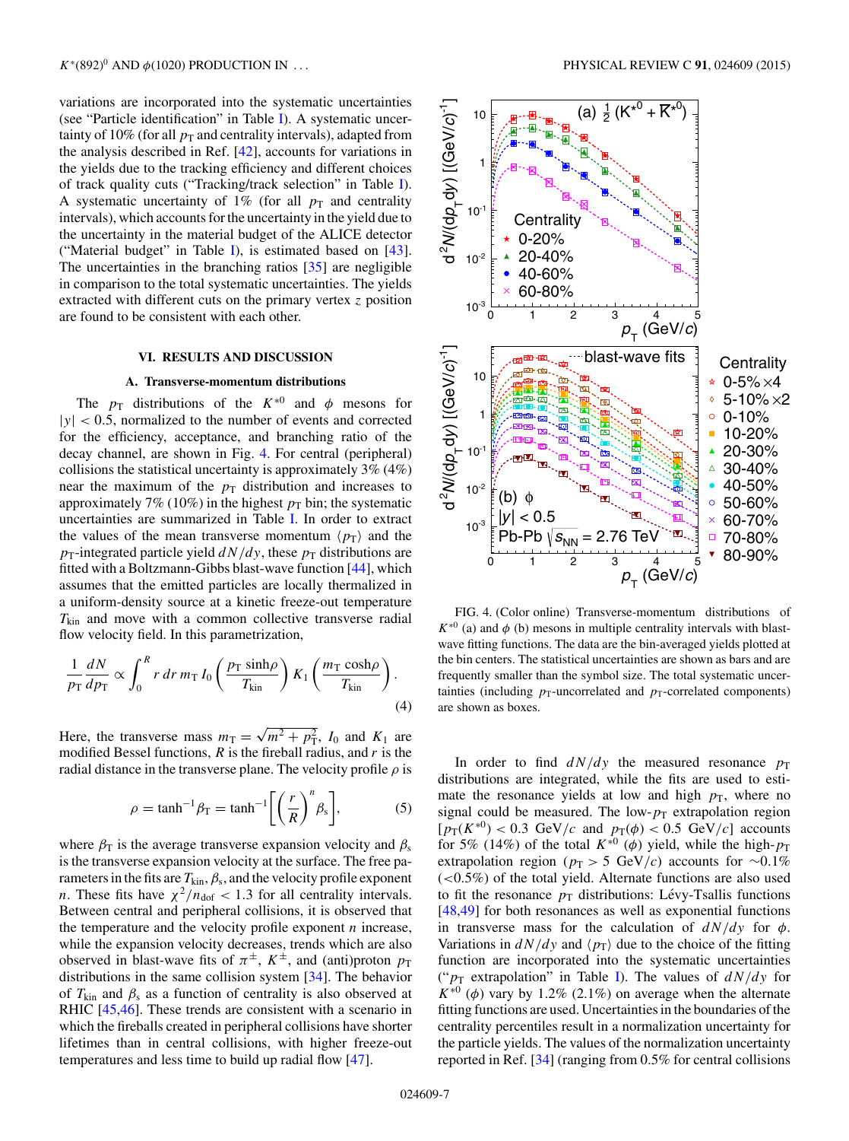<span id="page-6-0"></span>variations are incorporated into the systematic uncertainties (see "Particle identification" in Table [I\)](#page-4-0). A systematic uncertainty of 10% (for all  $p_T$  and centrality intervals), adapted from the analysis described in Ref. [\[42\]](#page-19-0), accounts for variations in the yields due to the tracking efficiency and different choices of track quality cuts ("Tracking/track selection" in Table [I\)](#page-4-0). A systematic uncertainty of 1% (for all  $p_T$  and centrality intervals), which accounts for the uncertainty in the yield due to the uncertainty in the material budget of the ALICE detector ("Material budget" in Table [I\)](#page-4-0), is estimated based on  $[43]$ . The uncertainties in the branching ratios [\[35\]](#page-19-0) are negligible in comparison to the total systematic uncertainties. The yields extracted with different cuts on the primary vertex  $z$  position are found to be consistent with each other.

## **VI. RESULTS AND DISCUSSION**

## **A. Transverse-momentum distributions**

The  $p_T$  distributions of the  $K^{*0}$  and  $\phi$  mesons for  $|y|$  < 0.5, normalized to the number of events and corrected for the efficiency, acceptance, and branching ratio of the decay channel, are shown in Fig. 4. For central (peripheral) collisions the statistical uncertainty is approximately 3% (4%) near the maximum of the  $p_T$  distribution and increases to approximately 7% (10%) in the highest  $p_T$  bin; the systematic uncertainties are summarized in Table [I.](#page-4-0) In order to extract the values of the mean transverse momentum  $\langle p_{\rm T} \rangle$  and the  $p_T$ -integrated particle yield  $dN/dy$ , these  $p_T$  distributions are fitted with a Boltzmann-Gibbs blast-wave function [\[44\]](#page-19-0), which assumes that the emitted particles are locally thermalized in a uniform-density source at a kinetic freeze-out temperature  $T_{\text{kin}}$  and move with a common collective transverse radial flow velocity field. In this parametrization,

$$
\frac{1}{p_{\rm T}} \frac{dN}{dp_{\rm T}} \propto \int_0^R r \, dr \, m_{\rm T} I_0 \left( \frac{p_{\rm T} \sinh \rho}{T_{\rm kin}} \right) K_1 \left( \frac{m_{\rm T} \cosh \rho}{T_{\rm kin}} \right). \tag{4}
$$

Here, the transverse mass  $m_T = \sqrt{m^2 + p_T^2}$ ,  $I_0$  and  $K_1$  are modified Bessel functions,  $R$  is the fireball radius, and  $r$  is the radial distance in the transverse plane. The velocity profile  $\rho$  is

$$
\rho = \tanh^{-1}\beta_{\rm T} = \tanh^{-1}\left[\left(\frac{r}{R}\right)^n \beta_{\rm s}\right],\tag{5}
$$

where  $\beta_T$  is the average transverse expansion velocity and  $\beta_s$ is the transverse expansion velocity at the surface. The free parameters in the fits are  $T_{\rm kin}$ ,  $\beta_{\rm s}$ , and the velocity profile exponent *n*. These fits have  $\chi^2/n_{\text{dof}} < 1.3$  for all centrality intervals. Between central and peripheral collisions, it is observed that the temperature and the velocity profile exponent  $n$  increase, while the expansion velocity decreases, trends which are also observed in blast-wave fits of  $\pi^{\pm}$ ,  $K^{\pm}$ , and (anti)proton  $p_T$ distributions in the same collision system [\[34\]](#page-19-0). The behavior of  $T_{kin}$  and  $\beta_s$  as a function of centrality is also observed at RHIC [\[45,46\]](#page-19-0). These trends are consistent with a scenario in which the fireballs created in peripheral collisions have shorter lifetimes than in central collisions, with higher freeze-out temperatures and less time to build up radial flow [\[47\]](#page-19-0).



FIG. 4. (Color online) Transverse-momentum distributions of  $K^{*0}$  (a) and  $\phi$  (b) mesons in multiple centrality intervals with blastwave fitting functions. The data are the bin-averaged yields plotted at the bin centers. The statistical uncertainties are shown as bars and are frequently smaller than the symbol size. The total systematic uncertainties (including  $p_T$ -uncorrelated and  $p_T$ -correlated components) are shown as boxes.

In order to find  $dN/dy$  the measured resonance  $p_T$ distributions are integrated, while the fits are used to estimate the resonance yields at low and high  $p<sub>T</sub>$ , where no signal could be measured. The low- $p_T$  extrapolation region  $[p_T(K^{*0})] < 0.3$  GeV/c and  $p_T(\phi) < 0.5$  GeV/c accounts for 5% (14%) of the total  $K^{*0}$  ( $\phi$ ) yield, while the high- $p_T$ extrapolation region ( $p_T > 5$  GeV/c) accounts for ~0.1% (<0.5%) of the total yield. Alternate functions are also used to fit the resonance  $p_T$  distributions: Lévy-Tsallis functions [\[48,49\]](#page-19-0) for both resonances as well as exponential functions in transverse mass for the calculation of  $dN/dy$  for  $\phi$ . Variations in  $dN/dy$  and  $\langle p_T \rangle$  due to the choice of the fitting function are incorporated into the systematic uncertainties (" $p_T$  extrapolation" in Table [I\)](#page-4-0). The values of  $dN/dy$  for  $K^{*0}$  ( $\phi$ ) vary by 1.2% (2.1%) on average when the alternate fitting functions are used. Uncertainties in the boundaries of the centrality percentiles result in a normalization uncertainty for the particle yields. The values of the normalization uncertainty reported in Ref. [\[34\]](#page-19-0) (ranging from 0.5% for central collisions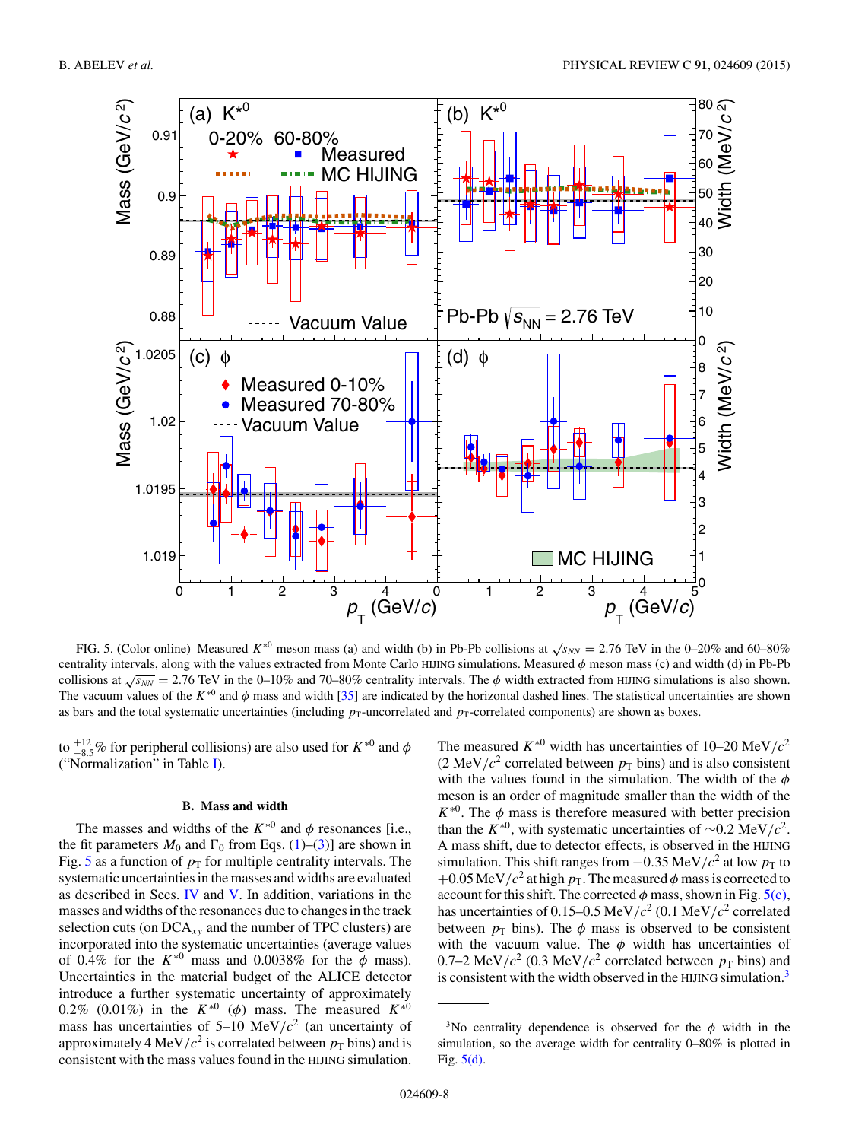<span id="page-7-0"></span>

FIG. 5. (Color online) Measured  $K^{*0}$  meson mass (a) and width (b) in Pb-Pb collisions at  $\sqrt{s_{NN}} = 2.76$  TeV in the 0–20% and 60–80% centrality intervals, along with the values extracted from Monte Carlo HIJNG simulations. Measured  $\phi$  meson mass (c) and width (d) in Pb-Pb collisions at  $\sqrt{s_{NN}}$  = 2.76 TeV in the 0–10% and 70–80% centrality intervals. The  $\phi$  width extracted from HIJING simulations is also shown. The vacuum values of the  $K^{*0}$  and  $\phi$  mass and width [\[35\]](#page-19-0) are indicated by the horizontal dashed lines. The statistical uncertainties are shown as bars and the total systematic uncertainties (including  $p_T$ -uncorrelated and  $p_T$ -correlated components) are shown as boxes.

to  $^{+12}_{-8.5}$ % for peripheral collisions) are also used for  $K^{*0}$  and  $\phi$ ("Normalization" in Table [I\)](#page-4-0).

## **B. Mass and width**

The masses and widths of the  $K^{*0}$  and  $\phi$  resonances [i.e., the fit parameters  $M_0$  and  $\Gamma_0$  from Eqs. [\(1\)](#page-4-0)–[\(3\)](#page-5-0)] are shown in Fig. 5 as a function of  $p_T$  for multiple centrality intervals. The systematic uncertainties in the masses and widths are evaluated as described in Secs. [IV](#page-1-0) and [V.](#page-5-0) In addition, variations in the masses and widths of the resonances due to changes in the track selection cuts (on  $DCA_{xy}$  and the number of TPC clusters) are incorporated into the systematic uncertainties (average values of 0.4% for the  $K^{*0}$  mass and 0.0038% for the  $\phi$  mass). Uncertainties in the material budget of the ALICE detector introduce a further systematic uncertainty of approximately 0.2% (0.01%) in the  $K^{*0}$  ( $\phi$ ) mass. The measured  $K^{*0}$ mass has uncertainties of  $5-10$  MeV/ $c^2$  (an uncertainty of approximately 4 MeV/ $c^2$  is correlated between  $p<sub>T</sub>$  bins) and is consistent with the mass values found in the HIJING simulation.

The measured  $K^{*0}$  width has uncertainties of 10–20 MeV/ $c^2$ (2 MeV/ $c^2$  correlated between  $p_T$  bins) and is also consistent with the values found in the simulation. The width of the  $\phi$ meson is an order of magnitude smaller than the width of the  $K^{*0}$ . The  $\phi$  mass is therefore measured with better precision than the K<sup>∗0</sup>, with systematic uncertainties of ~0.2 MeV/ $c^2$ . A mass shift, due to detector effects, is observed in the HIJING simulation. This shift ranges from  $-0.35$  MeV/ $c<sup>2</sup>$  at low  $p<sub>T</sub>$  to +0.05 MeV/ $c^2$  at high  $p_T$ . The measured  $\phi$  mass is corrected to account for this shift. The corrected  $\phi$  mass, shown in Fig. 5(c), has uncertainties of 0.15–0.5 MeV/ $c^2$  (0.1 MeV/ $c^2$  correlated between  $p_T$  bins). The  $\phi$  mass is observed to be consistent with the vacuum value. The  $\phi$  width has uncertainties of 0.7–2 MeV/ $c^2$  (0.3 MeV/ $c^2$  correlated between  $p_T$  bins) and is consistent with the width observed in the HIJING simulation.<sup>3</sup>

<sup>&</sup>lt;sup>3</sup>No centrality dependence is observed for the  $\phi$  width in the simulation, so the average width for centrality 0–80% is plotted in Fig. 5(d).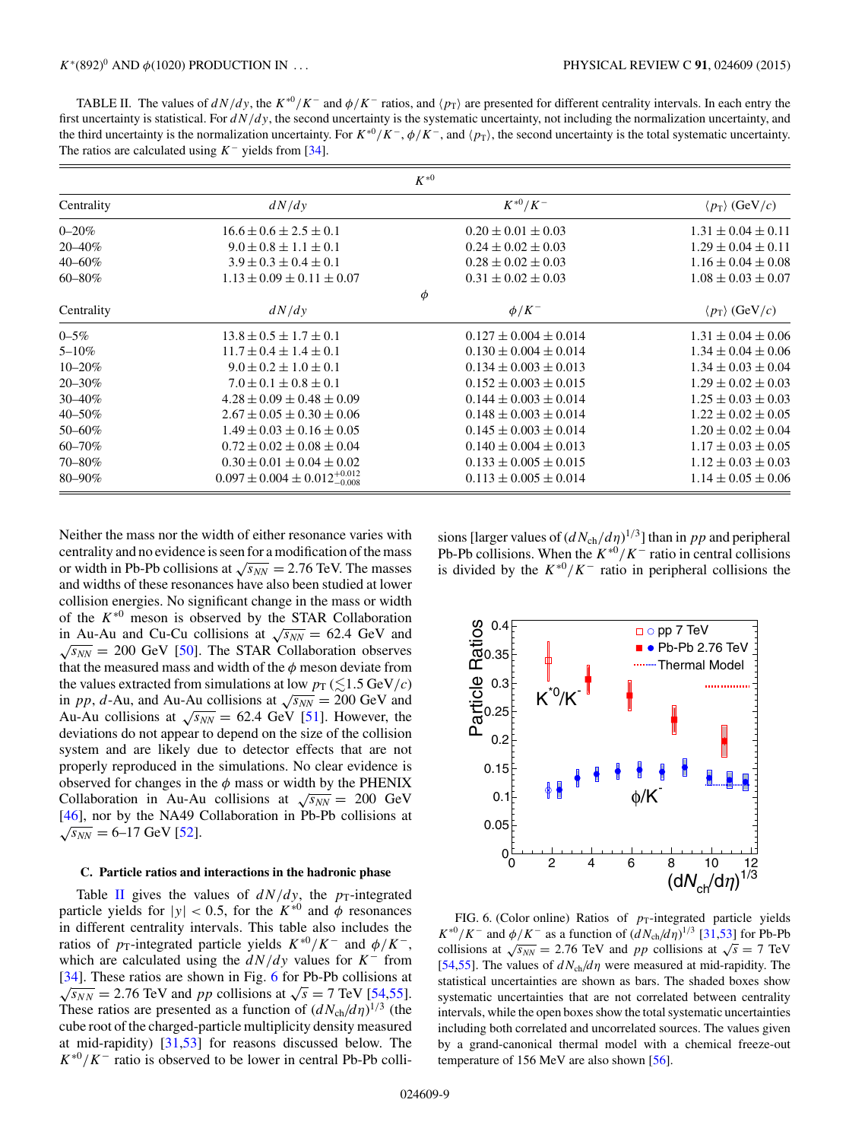<span id="page-8-0"></span>TABLE II. The values of  $dN/dy$ , the  $K^{*0}/K^-$  and  $\phi/K^-$  ratios, and  $\langle p_T \rangle$  are presented for different centrality intervals. In each entry the first uncertainty is statistical. For  $dN/dy$ , the second uncertainty is the systematic uncertainty, not including the normalization uncertainty, and the third uncertainty is the normalization uncertainty. For  $K^{*0}/K^-$ ,  $\phi/K^-$ , and  $\langle p_T \rangle$ , the second uncertainty is the total systematic uncertainty. The ratios are calculated using  $K^-$  yields from [\[34\]](#page-19-0).

|             |                                               | $K^{*0}$                    |                                     |
|-------------|-----------------------------------------------|-----------------------------|-------------------------------------|
| Centrality  | dN/dy                                         | $K^{*0}/K^-$                | $\langle p_{\rm T} \rangle$ (GeV/c) |
| $0 - 20%$   | $16.6 \pm 0.6 \pm 2.5 \pm 0.1$                | $0.20 \pm 0.01 \pm 0.03$    | $1.31 \pm 0.04 \pm 0.11$            |
| 20-40%      | $9.0 \pm 0.8 \pm 1.1 \pm 0.1$                 | $0.24 \pm 0.02 \pm 0.03$    | $1.29 \pm 0.04 \pm 0.11$            |
| $40 - 60\%$ | $3.9 \pm 0.3 \pm 0.4 \pm 0.1$                 | $0.28 \pm 0.02 \pm 0.03$    | $1.16 \pm 0.04 \pm 0.08$            |
| $60 - 80\%$ | $1.13 \pm 0.09 \pm 0.11 \pm 0.07$             | $0.31 \pm 0.02 \pm 0.03$    | $1.08 \pm 0.03 \pm 0.07$            |
|             |                                               | $\phi$                      |                                     |
| Centrality  | dN/dy                                         | $\phi/K^-$                  | $\langle p_{\rm T} \rangle$ (GeV/c) |
| $0 - 5\%$   | $13.8 \pm 0.5 \pm 1.7 \pm 0.1$                | $0.127 \pm 0.004 \pm 0.014$ | $1.31 \pm 0.04 \pm 0.06$            |
| $5 - 10\%$  | $11.7 \pm 0.4 \pm 1.4 \pm 0.1$                | $0.130 \pm 0.004 \pm 0.014$ | $1.34 \pm 0.04 \pm 0.06$            |
| $10 - 20\%$ | $9.0 \pm 0.2 \pm 1.0 \pm 0.1$                 | $0.134 \pm 0.003 \pm 0.013$ | $1.34 \pm 0.03 \pm 0.04$            |
| 20-30%      | $7.0 \pm 0.1 \pm 0.8 \pm 0.1$                 | $0.152 \pm 0.003 \pm 0.015$ | $1.29 \pm 0.02 \pm 0.03$            |
| $30 - 40\%$ | $4.28 \pm 0.09 \pm 0.48 \pm 0.09$             | $0.144 \pm 0.003 \pm 0.014$ | $1.25 \pm 0.03 \pm 0.03$            |
| 40-50%      | $2.67 \pm 0.05 \pm 0.30 \pm 0.06$             | $0.148 \pm 0.003 \pm 0.014$ | $1.22 \pm 0.02 \pm 0.05$            |
| 50-60%      | $1.49 \pm 0.03 \pm 0.16 \pm 0.05$             | $0.145 \pm 0.003 \pm 0.014$ | $1.20 \pm 0.02 \pm 0.04$            |
| $60 - 70%$  | $0.72 \pm 0.02 \pm 0.08 \pm 0.04$             | $0.140 \pm 0.004 \pm 0.013$ | $1.17 \pm 0.03 \pm 0.05$            |
| 70-80%      | $0.30 \pm 0.01 \pm 0.04 \pm 0.02$             | $0.133 \pm 0.005 \pm 0.015$ | $1.12 \pm 0.03 \pm 0.03$            |
| 80-90%      | $0.097 \pm 0.004 \pm 0.012_{-0.008}^{+0.012}$ | $0.113 \pm 0.005 \pm 0.014$ | $1.14 \pm 0.05 \pm 0.06$            |

Neither the mass nor the width of either resonance varies with centrality and no evidence is seen for a modification of the mass or width in Pb-Pb collisions at  $\sqrt{s_{NN}} = 2.76$  TeV. The masses and widths of these resonances have also been studied at lower collision energies. No significant change in the mass or width of the K∗<sup>0</sup> meson is observed by the STAR Collaboration in Au-Au and Cu-Cu collisions at  $\sqrt{s_{NN}} = 62.4$  GeV and  $\sqrt{s_{NN}}$  = 200 GeV [\[50\]](#page-19-0). The STAR Collaboration observes that the measured mass and width of the  $\phi$  meson deviate from the values extracted from simulations at low  $p_T \leq 1.5 \text{ GeV}/c$ in pp, d-Au, and Au-Au collisions at  $\sqrt{s_{NN}} = 200$  GeV and Au-Au collisions at  $\sqrt{s_{NN}}$  = 62.4 GeV [\[51\]](#page-19-0). However, the deviations do not appear to depend on the size of the collision system and are likely due to detector effects that are not properly reproduced in the simulations. No clear evidence is observed for changes in the  $\phi$  mass or width by the PHENIX Collaboration in Au-Au collisions at  $\sqrt{s_{NN}} = 200 \text{ GeV}$ [\[46\]](#page-19-0), nor by the NA49 Collaboration in Pb-Pb collisions at  $\sqrt{s_{NN}}$  = 6–17 GeV [\[52\]](#page-19-0).

#### **C. Particle ratios and interactions in the hadronic phase**

Table II gives the values of  $dN/dy$ , the  $p_T$ -integrated particle yields for  $|y| < 0.5$ , for the  $K^{*0}$  and  $\phi$  resonances in different centrality intervals. This table also includes the ratios of  $p_T$ -integrated particle yields  $K^{*0}/K^-$  and  $\phi/K^-$ , which are calculated using the  $dN/dy$  values for K<sup>-</sup> from [\[34\]](#page-19-0). These ratios are shown in Fig. 6 for Pb-Pb collisions at  $\sqrt{s_{NN}}$  = 2.76 TeV and pp collisions at  $\sqrt{s}$  = 7 TeV [\[54,55\]](#page-19-0). These ratios are presented as a function of  $(dN_{ch}/d\eta)^{1/3}$  (the cube root of the charged-particle multiplicity density measured at mid-rapidity) [\[31,53\]](#page-19-0) for reasons discussed below. The  $K^{*0}/K^-$  ratio is observed to be lower in central Pb-Pb collisions [larger values of  $(dN_{ch}/d\eta)^{1/3}$ ] than in pp and peripheral Pb-Pb collisions. When the  $K^{*0}/K^-$  ratio in central collisions is divided by the  $K^{*0}/K^-$  ratio in peripheral collisions the



FIG. 6. (Color online) Ratios of  $p_T$ -integrated particle yields  $K^{*0}/K^-$  and  $\phi/K^-$  as a function of  $(dN_{ch}/d\eta)^{1/3}$  [\[31,53\]](#page-19-0) for Pb-Pb collisions at  $\sqrt{s_{NN}}$  = 2.76 TeV and pp collisions at  $\sqrt{s}$  = 7 TeV [\[54,55\]](#page-19-0). The values of  $dN_{ch}/d\eta$  were measured at mid-rapidity. The statistical uncertainties are shown as bars. The shaded boxes show systematic uncertainties that are not correlated between centrality intervals, while the open boxes show the total systematic uncertainties including both correlated and uncorrelated sources. The values given by a grand-canonical thermal model with a chemical freeze-out temperature of 156 MeV are also shown [\[56\]](#page-19-0).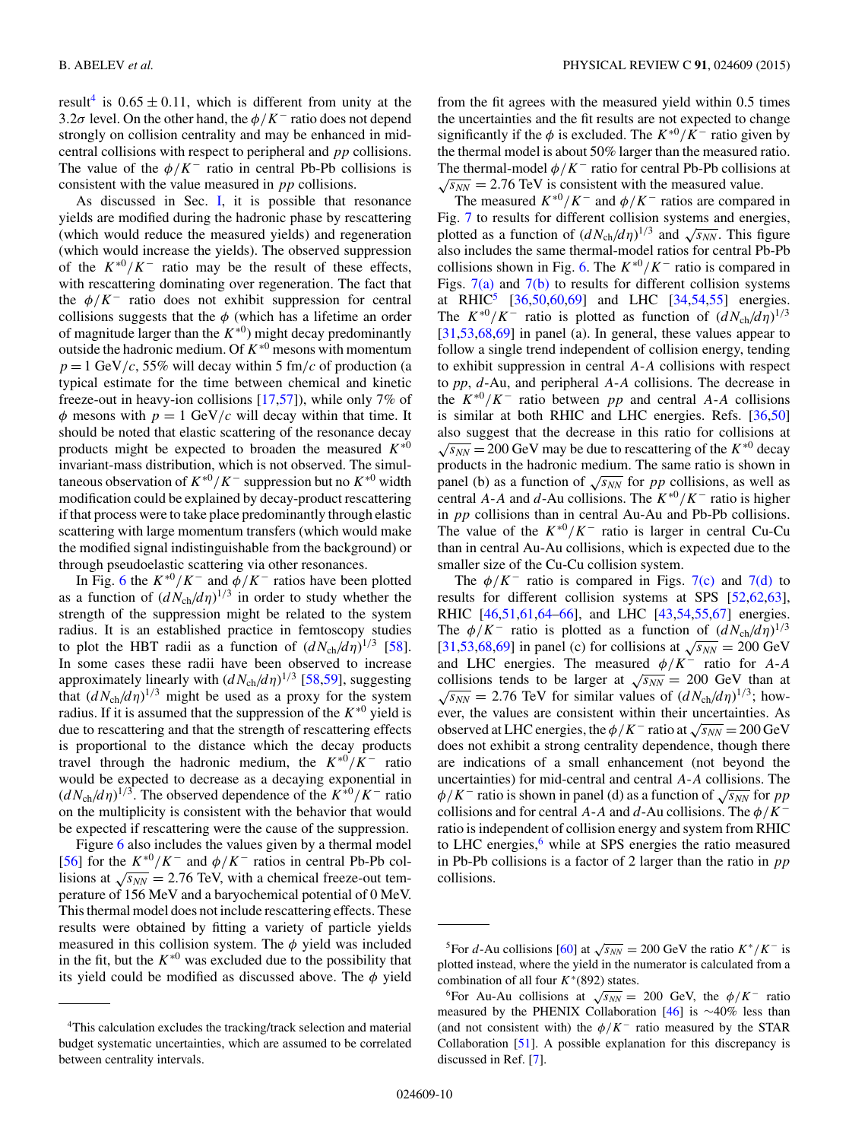result<sup>4</sup> is  $0.65 \pm 0.11$ , which is different from unity at the 3.2 $\sigma$  level. On the other hand, the  $\phi/K^-$  ratio does not depend strongly on collision centrality and may be enhanced in midcentral collisions with respect to peripheral and pp collisions. The value of the  $\phi/K^-$  ratio in central Pb-Pb collisions is consistent with the value measured in pp collisions.

As discussed in Sec. [I,](#page-0-0) it is possible that resonance yields are modified during the hadronic phase by rescattering (which would reduce the measured yields) and regeneration (which would increase the yields). The observed suppression of the  $K^{*0}/K^-$  ratio may be the result of these effects, with rescattering dominating over regeneration. The fact that the  $\phi/K^-$  ratio does not exhibit suppression for central collisions suggests that the  $\phi$  (which has a lifetime an order of magnitude larger than the  $K^{*0}$ ) might decay predominantly outside the hadronic medium. Of  $K^{*0}$  mesons with momentum  $p = 1$  GeV/c, 55% will decay within 5 fm/c of production (a typical estimate for the time between chemical and kinetic freeze-out in heavy-ion collisions [\[17,](#page-18-0)[57\]](#page-19-0)), while only 7% of  $\phi$  mesons with  $p = 1$  GeV/c will decay within that time. It should be noted that elastic scattering of the resonance decay products might be expected to broaden the measured  $K^{*0}$ invariant-mass distribution, which is not observed. The simultaneous observation of  $K^{*0}/K^-$  suppression but no  $K^{*0}$  width modification could be explained by decay-product rescattering if that process were to take place predominantly through elastic scattering with large momentum transfers (which would make the modified signal indistinguishable from the background) or through pseudoelastic scattering via other resonances.

In Fig. [6](#page-8-0) the  $K^{*0}/K^-$  and  $\phi/K^-$  ratios have been plotted as a function of  $(dN_{ch}/d\eta)^{1/3}$  in order to study whether the strength of the suppression might be related to the system radius. It is an established practice in femtoscopy studies to plot the HBT radii as a function of  $(dN_{ch}/d\eta)^{1/3}$  [\[58\]](#page-19-0). In some cases these radii have been observed to increase approximately linearly with  $(dN_{ch}/d\eta)^{1/3}$  [\[58,59\]](#page-19-0), suggesting that  $(dN_{ch}/d\eta)^{1/3}$  might be used as a proxy for the system radius. If it is assumed that the suppression of the  $K^{*0}$  yield is due to rescattering and that the strength of rescattering effects is proportional to the distance which the decay products travel through the hadronic medium, the  $K^{*0}/K^-$  ratio would be expected to decrease as a decaying exponential in  $(dN_{ch}/d\eta)^{1/3}$ . The observed dependence of the  $K^{*0}/K^-$  ratio on the multiplicity is consistent with the behavior that would be expected if rescattering were the cause of the suppression.

Figure [6](#page-8-0) also includes the values given by a thermal model [\[56\]](#page-19-0) for the  $K^{*0}/K^-$  and  $\phi/K^-$  ratios in central Pb-Pb collisions at  $\sqrt{s_{NN}}$  = 2.76 TeV, with a chemical freeze-out temperature of 156 MeV and a baryochemical potential of 0 MeV. This thermal model does not include rescattering effects. These results were obtained by fitting a variety of particle yields measured in this collision system. The  $\phi$  yield was included in the fit, but the  $K^{*0}$  was excluded due to the possibility that its yield could be modified as discussed above. The  $\phi$  yield from the fit agrees with the measured yield within 0.5 times the uncertainties and the fit results are not expected to change significantly if the  $\phi$  is excluded. The  $K^{*0}/K^-$  ratio given by the thermal model is about 50% larger than the measured ratio. The thermal-model  $\phi/K^-$  ratio for central Pb-Pb collisions at  $\sqrt{s_{NN}}$  = 2.76 TeV is consistent with the measured value.

The measured  $K^{*0}/K^-$  and  $\phi/K^-$  ratios are compared in Fig. [7](#page-10-0) to results for different collision systems and energies, plotted as a function of  $(dN_{ch}/d\eta)^{1/3}$  and  $\sqrt{s_{NN}}$ . This figure also includes the same thermal-model ratios for central Pb-Pb collisions shown in Fig. [6.](#page-8-0) The  $K^{*0}/K^-$  ratio is compared in Figs.  $7(a)$  and  $7(b)$  to results for different collision systems at RHIC<sup>5</sup> [\[36,50,](#page-19-0)[60,69\]](#page-20-0) and LHC [\[34,54,55\]](#page-19-0) energies. The  $K^{*0}/K^-$  ratio is plotted as function of  $(dN_{ch}/d\eta)^{1/3}$  $[31,53,68,69]$  $[31,53,68,69]$  in panel (a). In general, these values appear to follow a single trend independent of collision energy, tending to exhibit suppression in central A-A collisions with respect to *pp*, d-Au, and peripheral A-A collisions. The decrease in the  $K^{*0}/K^-$  ratio between pp and central A-A collisions is similar at both RHIC and LHC energies. Refs. [\[36,50\]](#page-19-0) also suggest that the decrease in this ratio for collisions at  $\sqrt{s_{NN}}$  = 200 GeV may be due to rescattering of the  $K^{*0}$  decay products in the hadronic medium. The same ratio is shown in panel (b) as a function of  $\sqrt{s_{NN}}$  for pp collisions, as well as central A-A and d-Au collisions. The  $K^{*0}/K^-$  ratio is higher in pp collisions than in central Au-Au and Pb-Pb collisions. The value of the  $K^{*0}/K^-$  ratio is larger in central Cu-Cu than in central Au-Au collisions, which is expected due to the smaller size of the Cu-Cu collision system.

The  $\phi/K^-$  ratio is compared in Figs. [7\(c\)](#page-10-0) and [7\(d\)](#page-10-0) to results for different collision systems at SPS [\[52](#page-19-0)[,62,63\]](#page-20-0), RHIC [\[46,51,](#page-19-0)[61,64–66\]](#page-20-0), and LHC [\[43,54,55](#page-19-0)[,67\]](#page-20-0) energies. The  $\phi/K^-$  ratio is plotted as a function of  $(dN_{ch}/d\eta)^{1/3}$ [\[31,53,](#page-19-0)[68,69\]](#page-20-0) in panel (c) for collisions at  $\sqrt{s_{NN}} = 200 \text{ GeV}$ and LHC energies. The measured  $\phi/K^-$  ratio for A-A collisions tends to be larger at  $\sqrt{s_{NN}} = 200$  GeV than at  $\sqrt{s_{NN}}$  = 2.76 TeV for similar values of  $(dN_{ch}/d\eta)^{1/3}$ ; however, the values are consistent within their uncertainties. As observed at LHC energies, the  $\phi/K^-$  ratio at  $\sqrt{s_{NN}} = 200 \,\text{GeV}$ does not exhibit a strong centrality dependence, though there are indications of a small enhancement (not beyond the uncertainties) for mid-central and central A-A collisions. The  $\phi/K^-$  ratio is shown in panel (d) as a function of  $\sqrt{s_{NN}}$  for pp collisions and for central A-A and d-Au collisions. The  $\phi/K^$ ratio is independent of collision energy and system from RHIC to LHC energies, $6$  while at SPS energies the ratio measured in Pb-Pb collisions is a factor of 2 larger than the ratio in  $pp$ collisions.

<sup>&</sup>lt;sup>4</sup>This calculation excludes the tracking/track selection and material budget systematic uncertainties, which are assumed to be correlated between centrality intervals.

<sup>&</sup>lt;sup>5</sup>For d-Au collisions [\[60\]](#page-20-0) at  $\sqrt{s_{NN}}$  = 200 GeV the ratio  $K^*/K^-$  is plotted instead, where the yield in the numerator is calculated from a combination of all four  $K*(892)$  states.

<sup>&</sup>lt;sup>6</sup>For Au-Au collisions at  $\sqrt{s_{NN}}$  = 200 GeV, the  $\phi/K^-$  ratio measured by the PHENIX Collaboration [\[46\]](#page-19-0) is ∼40% less than (and not consistent with) the  $\phi/K^-$  ratio measured by the STAR Collaboration [\[51\]](#page-19-0). A possible explanation for this discrepancy is discussed in Ref. [\[7\]](#page-18-0).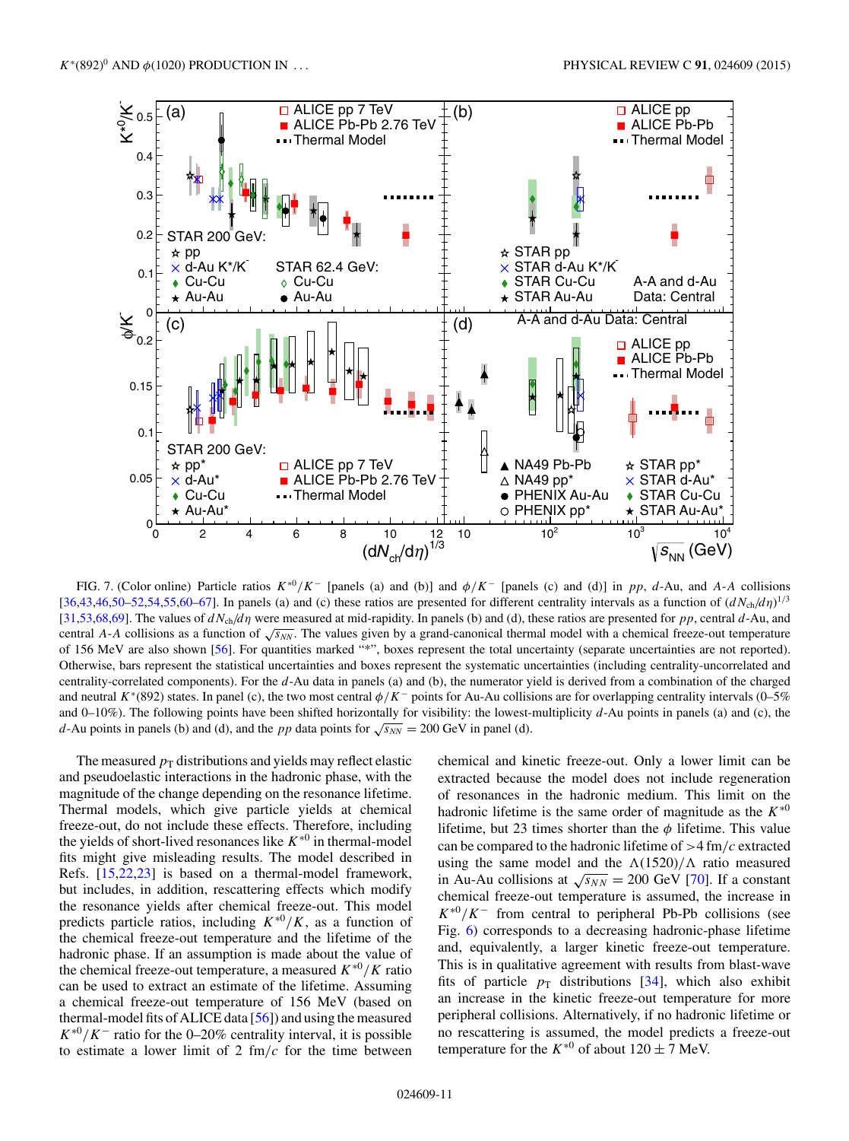<span id="page-10-0"></span>

FIG. 7. (Color online) Particle ratios  $K^{*0}/K^-$  [panels (a) and (b)] and  $\phi/K^-$  [panels (c) and (d)] in pp, d-Au, and A-A collisions [\[36,43,46,50–52,54,55,](#page-19-0)[60–67\]](#page-20-0). In panels (a) and (c) these ratios are presented for different centrality intervals as a function of  $(dN_{ch}/d\eta)^{1/3}$ [\[31,53,](#page-19-0)[68,69\]](#page-20-0). The values of  $dN_{\text{ch}}/d\eta$  were measured at mid-rapidity. In panels (b) and (d), these ratios are presented for pp, central d-Au, and central A-A collisions as a function of  $\sqrt{s_{NN}}$ . The values given by a grand-canonical thermal model with a chemical freeze-out temperature of 156 MeV are also shown [\[56\]](#page-19-0). For quantities marked "\*", boxes represent the total uncertainty (separate uncertainties are not reported). Otherwise, bars represent the statistical uncertainties and boxes represent the systematic uncertainties (including centrality-uncorrelated and centrality-correlated components). For the d-Au data in panels (a) and (b), the numerator yield is derived from a combination of the charged and neutral K<sup>∗</sup>(892) states. In panel (c), the two most central  $\phi/K^-$  points for Au-Au collisions are for overlapping centrality intervals (0–5% and  $0-10\%$ ). The following points have been shifted horizontally for visibility: the lowest-multiplicity  $d$ -Au points in panels (a) and (c), the d-Au points in panels (b) and (d), and the pp data points for  $\sqrt{s_{NN}} = 200$  GeV in panel (d).

The measured  $p_T$  distributions and yields may reflect elastic and pseudoelastic interactions in the hadronic phase, with the magnitude of the change depending on the resonance lifetime. Thermal models, which give particle yields at chemical freeze-out, do not include these effects. Therefore, including the yields of short-lived resonances like  $K^{*0}$  in thermal-model fits might give misleading results. The model described in Refs. [\[15,](#page-18-0)[22,23\]](#page-19-0) is based on a thermal-model framework, but includes, in addition, rescattering effects which modify the resonance yields after chemical freeze-out. This model predicts particle ratios, including  $K^{*0}/K$ , as a function of the chemical freeze-out temperature and the lifetime of the hadronic phase. If an assumption is made about the value of the chemical freeze-out temperature, a measured  $K^{*0}/K$  ratio can be used to extract an estimate of the lifetime. Assuming a chemical freeze-out temperature of 156 MeV (based on thermal-model fits of ALICE data [\[56\]](#page-19-0)) and using the measured  $K^{*0}/K^-$  ratio for the 0–20% centrality interval, it is possible to estimate a lower limit of 2  $\text{fm}/c$  for the time between

chemical and kinetic freeze-out. Only a lower limit can be extracted because the model does not include regeneration of resonances in the hadronic medium. This limit on the hadronic lifetime is the same order of magnitude as the  $K^{*0}$ lifetime, but 23 times shorter than the  $\phi$  lifetime. This value can be compared to the hadronic lifetime of  $>4$  fm/c extracted using the same model and the  $\Lambda(1520)/\Lambda$  ratio measured in Au-Au collisions at  $\sqrt{s_{NN}} = 200$  GeV [\[70\]](#page-20-0). If a constant chemical freeze-out temperature is assumed, the increase in  $K^{*0}/K^-$  from central to peripheral Pb-Pb collisions (see Fig. [6\)](#page-8-0) corresponds to a decreasing hadronic-phase lifetime and, equivalently, a larger kinetic freeze-out temperature. This is in qualitative agreement with results from blast-wave fits of particle  $p_T$  distributions [\[34\]](#page-19-0), which also exhibit an increase in the kinetic freeze-out temperature for more peripheral collisions. Alternatively, if no hadronic lifetime or no rescattering is assumed, the model predicts a freeze-out temperature for the  $K^{*0}$  of about  $120 \pm 7$  MeV.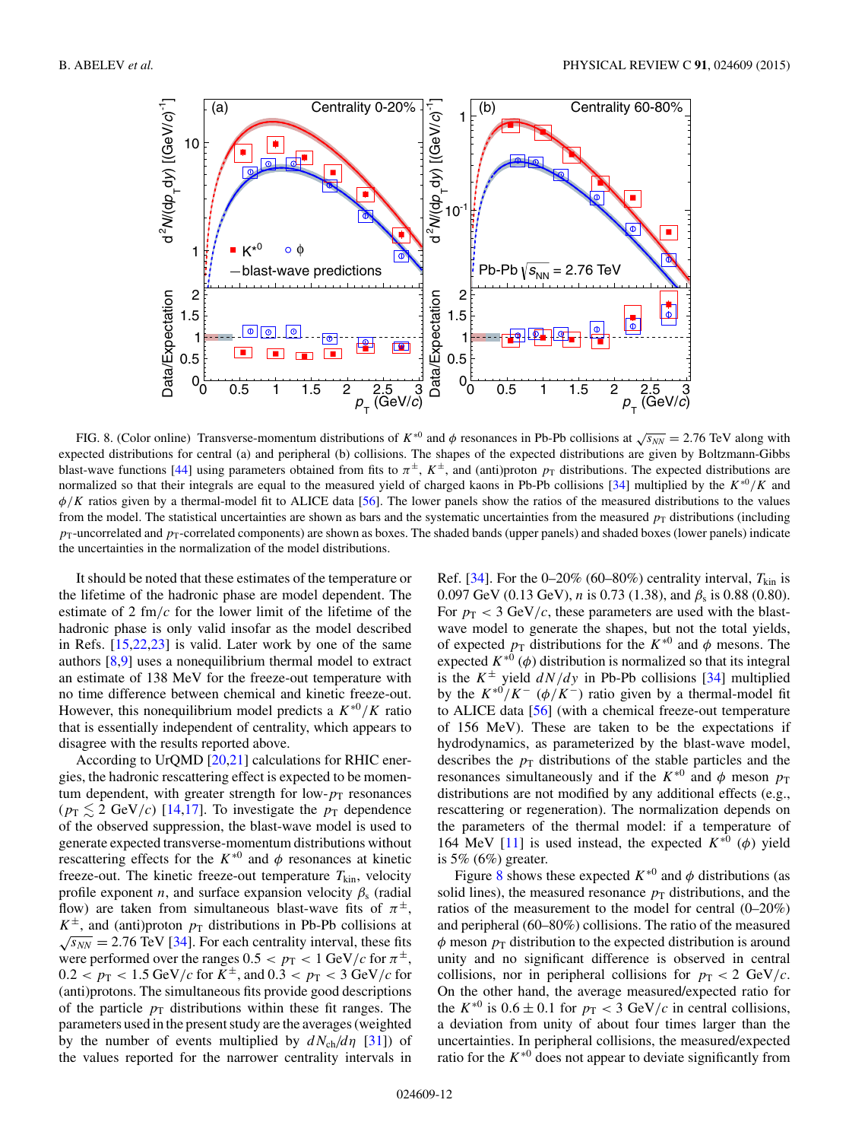<span id="page-11-0"></span>

FIG. 8. (Color online) Transverse-momentum distributions of  $K^{*0}$  and  $\phi$  resonances in Pb-Pb collisions at  $\sqrt{s_{NN}} = 2.76$  TeV along with expected distributions for central (a) and peripheral (b) collisions. The shapes of the expected distributions are given by Boltzmann-Gibbs blast-wave functions [\[44\]](#page-19-0) using parameters obtained from fits to  $\pi^{\pm}$ ,  $K^{\pm}$ , and (anti)proton  $p_T$  distributions. The expected distributions are normalized so that their integrals are equal to the measured yield of charged kaons in Pb-Pb collisions [\[34\]](#page-19-0) multiplied by the  $K^{*0}/K$  and  $\phi/K$  ratios given by a thermal-model fit to ALICE data [\[56\]](#page-19-0). The lower panels show the ratios of the measured distributions to the values from the model. The statistical uncertainties are shown as bars and the systematic uncertainties from the measured  $p<sub>T</sub>$  distributions (including  $p_T$ -uncorrelated and  $p_T$ -correlated components) are shown as boxes. The shaded bands (upper panels) and shaded boxes (lower panels) indicate the uncertainties in the normalization of the model distributions.

It should be noted that these estimates of the temperature or the lifetime of the hadronic phase are model dependent. The estimate of 2 fm/ $c$  for the lower limit of the lifetime of the hadronic phase is only valid insofar as the model described in Refs. [\[15](#page-18-0)[,22,23\]](#page-19-0) is valid. Later work by one of the same authors [\[8,9\]](#page-18-0) uses a nonequilibrium thermal model to extract an estimate of 138 MeV for the freeze-out temperature with no time difference between chemical and kinetic freeze-out. However, this nonequilibrium model predicts a  $K^{*0}/K$  ratio that is essentially independent of centrality, which appears to disagree with the results reported above.

According to UrQMD [\[20,](#page-18-0)[21\]](#page-19-0) calculations for RHIC energies, the hadronic rescattering effect is expected to be momentum dependent, with greater strength for low- $p_T$  resonances  $(p_T \leq 2 \text{ GeV}/c)$  [\[14,17\]](#page-18-0). To investigate the  $p_T$  dependence of the observed suppression, the blast-wave model is used to generate expected transverse-momentum distributions without rescattering effects for the  $K^{*0}$  and  $\phi$  resonances at kinetic freeze-out. The kinetic freeze-out temperature  $T_{kin}$ , velocity profile exponent *n*, and surface expansion velocity  $\beta_s$  (radial flow) are taken from simultaneous blast-wave fits of  $\pi^{\pm}$ ,  $K^{\pm}$ , and (anti)proton  $p_T$  distributions in Pb-Pb collisions at  $\sqrt{s_{NN}}$  = 2.76 TeV [\[34\]](#page-19-0). For each centrality interval, these fits were performed over the ranges  $0.5 < p_T < 1$  GeV/c for  $\pi^{\pm}$ ,  $0.2 < p_{\rm T} < 1.5$  GeV/c for  $K^{\pm}$ , and  $0.3 < p_{\rm T} < 3$  GeV/c for (anti)protons. The simultaneous fits provide good descriptions of the particle  $p_T$  distributions within these fit ranges. The parameters used in the present study are the averages (weighted by the number of events multiplied by  $dN_{ch}/d\eta$  [\[31\]](#page-19-0)) of the values reported for the narrower centrality intervals in

Ref. [\[34\]](#page-19-0). For the 0–20% (60–80%) centrality interval,  $T_{kin}$  is 0.097 GeV (0.13 GeV), *n* is 0.73 (1.38), and  $\beta_s$  is 0.88 (0.80). For  $p_T < 3$  GeV/c, these parameters are used with the blastwave model to generate the shapes, but not the total yields, of expected  $p_T$  distributions for the  $K^{*0}$  and  $\phi$  mesons. The expected  $K^{*0}$  ( $\phi$ ) distribution is normalized so that its integral is the  $K^{\pm}$  yield  $dN/dy$  in Pb-Pb collisions [\[34\]](#page-19-0) multiplied by the  $K^{*0}/K^-$  ( $\phi/K^-$ ) ratio given by a thermal-model fit to ALICE data [\[56\]](#page-19-0) (with a chemical freeze-out temperature of 156 MeV). These are taken to be the expectations if hydrodynamics, as parameterized by the blast-wave model, describes the  $p<sub>T</sub>$  distributions of the stable particles and the resonances simultaneously and if the  $K^{*0}$  and  $\phi$  meson  $p_T$ distributions are not modified by any additional effects (e.g., rescattering or regeneration). The normalization depends on the parameters of the thermal model: if a temperature of 164 MeV [\[11\]](#page-18-0) is used instead, the expected  $K^{*0}$  ( $\phi$ ) yield is 5%  $(6%)$  greater.

Figure 8 shows these expected  $K^{*0}$  and  $\phi$  distributions (as solid lines), the measured resonance  $p<sub>T</sub>$  distributions, and the ratios of the measurement to the model for central (0–20%) and peripheral (60–80%) collisions. The ratio of the measured  $\phi$  meson  $p_T$  distribution to the expected distribution is around unity and no significant difference is observed in central collisions, nor in peripheral collisions for  $p_T < 2 \text{ GeV}/c$ . On the other hand, the average measured/expected ratio for the  $K^{*0}$  is  $0.6 \pm 0.1$  for  $p_T < 3$  GeV/c in central collisions, a deviation from unity of about four times larger than the uncertainties. In peripheral collisions, the measured/expected ratio for the  $K^{*0}$  does not appear to deviate significantly from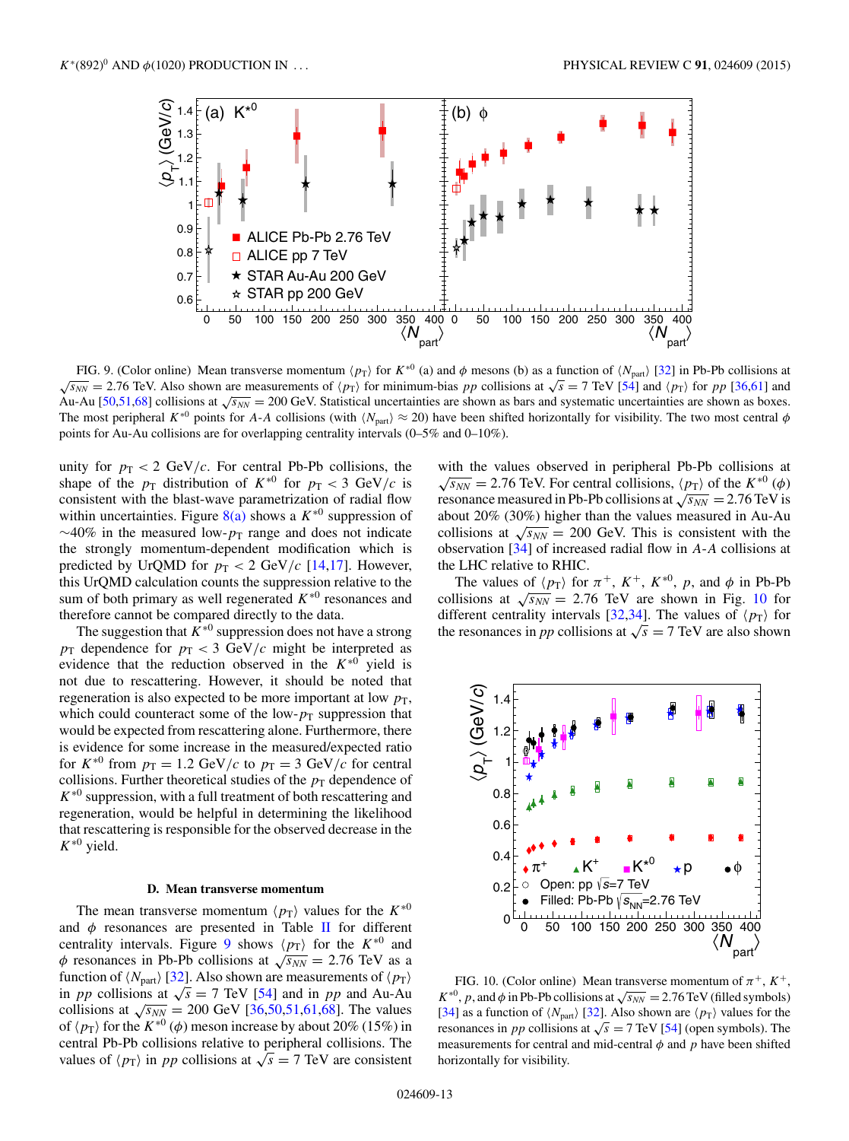<span id="page-12-0"></span>

FIG. 9. (Color online) Mean transverse momentum  $\langle p_T \rangle$  for  $K^{*0}$  (a) and  $\phi$  mesons (b) as a function of  $\langle N_{part} \rangle$  [\[32\]](#page-19-0) in Pb-Pb collisions at  $\sqrt{s_{NN}}$  = 2.76 TeV. Also shown are measurements of  $\langle p_{\rm T} \rangle$  for minimum-bias pp collisions at  $\sqrt{s}$  = 7 TeV [\[54\]](#page-19-0) and  $\langle p_{\rm T} \rangle$  for pp [\[36](#page-19-0)[,61\]](#page-20-0) and Au-Au [\[50,51,](#page-19-0)[68\]](#page-20-0) collisions at  $\sqrt{s_{NN}}$  = 200 GeV. Statistical uncertainties are shown as bars and systematic uncertainties are shown as boxes. The most peripheral K<sup>∗0</sup> points for A-A collisions (with  $\langle N_{\text{part}} \rangle \approx 20$ ) have been shifted horizontally for visibility. The two most central  $\phi$ points for Au-Au collisions are for overlapping centrality intervals (0–5% and 0–10%).

unity for  $p_T < 2$  GeV/c. For central Pb-Pb collisions, the shape of the  $p_T$  distribution of  $K^{*0}$  for  $p_T < 3$  GeV/c is consistent with the blast-wave parametrization of radial flow within uncertainties. Figure  $8(a)$  shows a  $K^{*0}$  suppression of  $\sim$ 40% in the measured low- $p_T$  range and does not indicate the strongly momentum-dependent modification which is predicted by UrQMD for  $p_T < 2$  GeV/c [\[14,17\]](#page-18-0). However, this UrQMD calculation counts the suppression relative to the sum of both primary as well regenerated  $K^{*0}$  resonances and therefore cannot be compared directly to the data.

The suggestion that  $K^{*0}$  suppression does not have a strong  $p_T$  dependence for  $p_T < 3$  GeV/c might be interpreted as evidence that the reduction observed in the  $K^{*0}$  yield is not due to rescattering. However, it should be noted that regeneration is also expected to be more important at low  $p<sub>T</sub>$ , which could counteract some of the low- $p_T$  suppression that would be expected from rescattering alone. Furthermore, there is evidence for some increase in the measured/expected ratio for  $K^{*0}$  from  $p_T = 1.2$  GeV/c to  $p_T = 3$  GeV/c for central collisions. Further theoretical studies of the  $p_T$  dependence of  $K^{*0}$  suppression, with a full treatment of both rescattering and regeneration, would be helpful in determining the likelihood that rescattering is responsible for the observed decrease in the  $K^{*0}$  yield.

#### **D. Mean transverse momentum**

The mean transverse momentum  $\langle p_T \rangle$  values for the  $K^{*0}$ and  $\phi$  resonances are presented in Table [II](#page-8-0) for different centrality intervals. Figure 9 shows  $\langle p_T \rangle$  for the  $K^{*0}$  and  $\phi$  resonances in Pb-Pb collisions at  $\sqrt{s_{NN}} = 2.76$  TeV as a function of  $\langle N_{\text{part}} \rangle$  [\[32\]](#page-19-0). Also shown are measurements of  $\langle p_{\text{T}} \rangle$ in *pp* collisions at  $\sqrt{s} = 7$  TeV [\[54\]](#page-19-0) and in *pp* and Au-Au collisions at  $\sqrt{s_{NN}} = 200 \text{ GeV} [36,50,51,61,68]$  $\sqrt{s_{NN}} = 200 \text{ GeV} [36,50,51,61,68]$  $\sqrt{s_{NN}} = 200 \text{ GeV} [36,50,51,61,68]$ . The values of  $\langle p_{\rm T} \rangle$  for the  $K^{*0}$  ( $\phi$ ) meson increase by about 20% (15%) in central Pb-Pb collisions relative to peripheral collisions. The values of  $\langle p_{\rm T} \rangle$  in pp collisions at  $\sqrt{s} = 7$  TeV are consistent

with the values observed in peripheral Pb-Pb collisions at  $\sqrt{s_{NN}}$  = 2.76 TeV. For central collisions,  $\langle p_{\rm T} \rangle$  of the  $K^{*0}(\phi)$ resonance measured in Pb-Pb collisions at  $\sqrt{s_{NN}} = 2.76$  TeV is about 20% (30%) higher than the values measured in Au-Au collisions at  $\sqrt{s_{NN}} = 200$  GeV. This is consistent with the observation [\[34\]](#page-19-0) of increased radial flow in A-A collisions at the LHC relative to RHIC.

The values of  $\langle p_{\rm T} \rangle$  for  $\pi^+$ ,  $K^+$ ,  $K^{*0}$ ,  $p$ , and  $\phi$  in Pb-Pb collisions at  $\sqrt{s_{NN}}$  = 2.76 TeV are shown in Fig. 10 for different centrality intervals [\[32,34\]](#page-19-0). The values of  $\langle p_{\rm T} \rangle$  for the resonances in *pp* collisions at  $\sqrt{s} = 7$  TeV are also shown



FIG. 10. (Color online) Mean transverse momentum of  $\pi^+$ ,  $K^+$ ,  $K^{*0}$ , p, and  $\phi$  in Pb-Pb collisions at  $\sqrt{s_{NN}} = 2.76$  TeV (filled symbols) [\[34\]](#page-19-0) as a function of  $\langle N_{\text{part}} \rangle$  [\[32\]](#page-19-0). Also shown are  $\langle p_{\text{T}} \rangle$  values for the resonances in *pp* collisions at  $\sqrt{s}$  = 7 TeV [\[54\]](#page-19-0) (open symbols). The measurements for central and mid-central  $\phi$  and  $p$  have been shifted horizontally for visibility.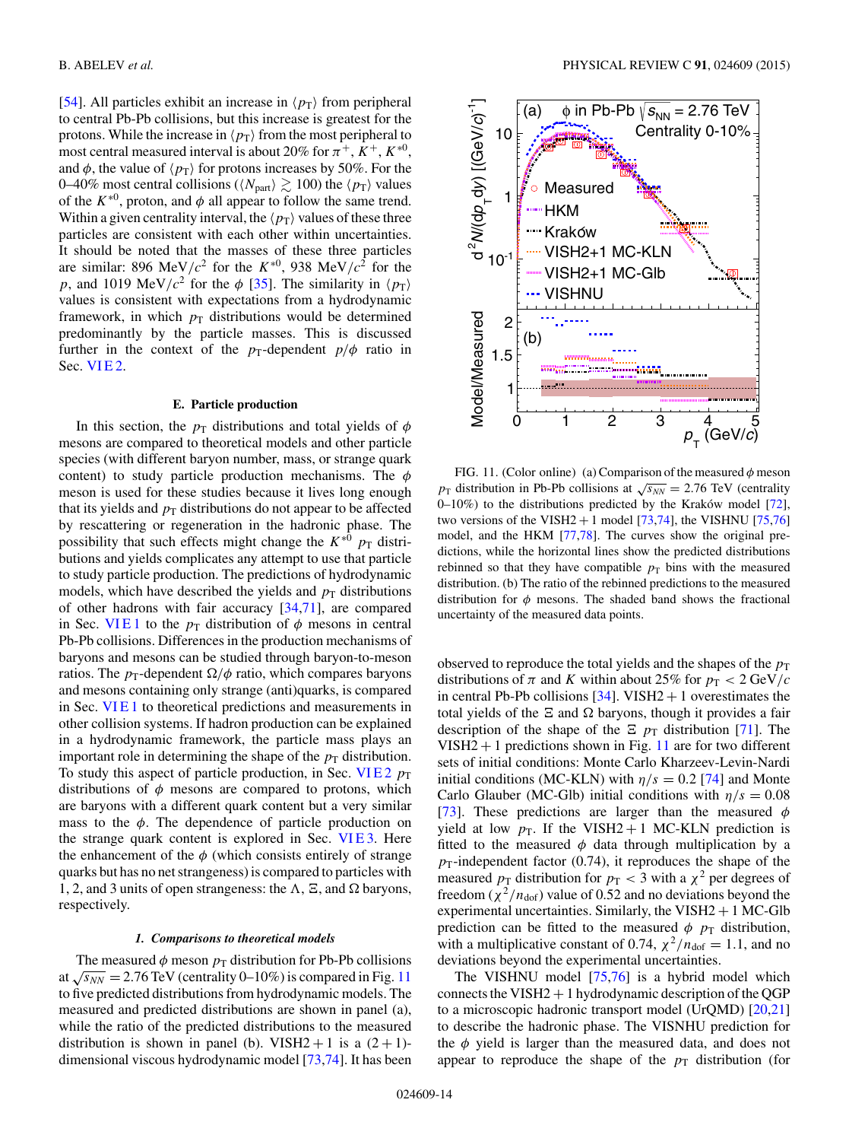[\[54\]](#page-19-0). All particles exhibit an increase in  $\langle p_{\rm T} \rangle$  from peripheral to central Pb-Pb collisions, but this increase is greatest for the protons. While the increase in  $\langle p_T \rangle$  from the most peripheral to most central measured interval is about 20% for  $\pi^+$ ,  $K^+$ ,  $K^{*0}$ , and  $\phi$ , the value of  $\langle p_{\rm T} \rangle$  for protons increases by 50%. For the 0–40% most central collisions ( $\langle N_{\text{part}} \rangle \gtrsim 100$ ) the  $\langle p_{\text{T}} \rangle$  values of the  $K^{*0}$ , proton, and  $\phi$  all appear to follow the same trend. Within a given centrality interval, the  $\langle p_T \rangle$  values of these three particles are consistent with each other within uncertainties. It should be noted that the masses of these three particles are similar: 896 MeV/ $c^2$  for the  $K^{*0}$ , 938 MeV/ $c^2$  for the p, and 1019 MeV/ $c^2$  for the  $\phi$  [\[35\]](#page-19-0). The similarity in  $\langle p_{\rm T} \rangle$ values is consistent with expectations from a hydrodynamic framework, in which  $p_T$  distributions would be determined predominantly by the particle masses. This is discussed further in the context of the  $p_T$ -dependent  $p/\phi$  ratio in Sec. VIE<sub>2</sub>.

## **E. Particle production**

In this section, the  $p_T$  distributions and total yields of  $\phi$ mesons are compared to theoretical models and other particle species (with different baryon number, mass, or strange quark content) to study particle production mechanisms. The  $\phi$ meson is used for these studies because it lives long enough that its yields and  $p<sub>T</sub>$  distributions do not appear to be affected by rescattering or regeneration in the hadronic phase. The possibility that such effects might change the  $K^{*0}$   $p_T$  distributions and yields complicates any attempt to use that particle to study particle production. The predictions of hydrodynamic models, which have described the yields and  $p<sub>T</sub>$  distributions of other hadrons with fair accuracy [\[34,](#page-19-0)[71\]](#page-20-0), are compared in Sec. VIE1 to the  $p_T$  distribution of  $\phi$  mesons in central Pb-Pb collisions. Differences in the production mechanisms of baryons and mesons can be studied through baryon-to-meson ratios. The  $p_T$ -dependent  $\Omega/\phi$  ratio, which compares baryons and mesons containing only strange (anti)quarks, is compared in Sec. VI E 1 to theoretical predictions and measurements in other collision systems. If hadron production can be explained in a hydrodynamic framework, the particle mass plays an important role in determining the shape of the  $p<sub>T</sub>$  distribution. To study this aspect of particle production, in Sec. VIE2  $p_T$ distributions of  $\phi$  mesons are compared to protons, which are baryons with a different quark content but a very similar mass to the  $\phi$ . The dependence of particle production on the strange quark content is explored in Sec. VIE3. Here the enhancement of the  $\phi$  (which consists entirely of strange quarks but has no net strangeness) is compared to particles with 1, 2, and 3 units of open strangeness: the  $\Lambda$ ,  $\Xi$ , and  $\Omega$  baryons, respectively.

#### *1. Comparisons to theoretical models*

The measured  $\phi$  meson  $p_T$  distribution for Pb-Pb collisions at  $\sqrt{s_{NN}}$  = 2.76 TeV (centrality 0–10%) is compared in Fig. 11 to five predicted distributions from hydrodynamic models. The measured and predicted distributions are shown in panel (a), while the ratio of the predicted distributions to the measured distribution is shown in panel (b). VISH2 + 1 is a  $(2 + 1)$ dimensional viscous hydrodynamic model [\[73,74\]](#page-20-0). It has been



FIG. 11. (Color online) (a) Comparison of the measured  $\phi$  meson  $p_T$  distribution in Pb-Pb collisions at  $\sqrt{s_{NN}} = 2.76$  TeV (centrality 0–10%) to the distributions predicted by the Kraków model  $[72]$  $[72]$ , two versions of the VISH2 + 1 model  $[73,74]$ , the VISHNU  $[75,76]$ model, and the HKM [\[77,78\]](#page-20-0). The curves show the original predictions, while the horizontal lines show the predicted distributions rebinned so that they have compatible  $p_T$  bins with the measured distribution. (b) The ratio of the rebinned predictions to the measured distribution for  $\phi$  mesons. The shaded band shows the fractional uncertainty of the measured data points.

observed to reproduce the total yields and the shapes of the  $p_T$ distributions of  $\pi$  and K within about 25% for  $p_T < 2 \text{ GeV}/c$ in central Pb-Pb collisions  $[34]$ . VISH2 + 1 overestimates the total yields of the  $\Xi$  and  $\Omega$  baryons, though it provides a fair description of the shape of the  $\Xi$   $p_T$  distribution [\[71\]](#page-20-0). The  $VISH2 + 1$  predictions shown in Fig. 11 are for two different sets of initial conditions: Monte Carlo Kharzeev-Levin-Nardi initial conditions (MC-KLN) with  $\eta/s = 0.2$  [\[74\]](#page-20-0) and Monte Carlo Glauber (MC-Glb) initial conditions with  $\eta/s = 0.08$ [\[73\]](#page-20-0). These predictions are larger than the measured  $\phi$ yield at low  $p_T$ . If the VISH2 + 1 MC-KLN prediction is fitted to the measured  $\phi$  data through multiplication by a  $p_T$ -independent factor (0.74), it reproduces the shape of the measured  $p_T$  distribution for  $p_T < 3$  with a  $\chi^2$  per degrees of freedom ( $\chi^2/n_{\text{dof}}$ ) value of 0.52 and no deviations beyond the experimental uncertainties. Similarly, the VISH $2 + 1$  MC-Glb prediction can be fitted to the measured  $\phi$   $p_T$  distribution, with a multiplicative constant of 0.74,  $\chi^2/n_{\text{dof}} = 1.1$ , and no deviations beyond the experimental uncertainties.

The VISHNU model [\[75,76\]](#page-20-0) is a hybrid model which connects the VISH $2 + 1$  hydrodynamic description of the QGP to a microscopic hadronic transport model (UrQMD) [\[20,](#page-18-0)[21\]](#page-19-0) to describe the hadronic phase. The VISNHU prediction for the  $\phi$  yield is larger than the measured data, and does not appear to reproduce the shape of the  $p<sub>T</sub>$  distribution (for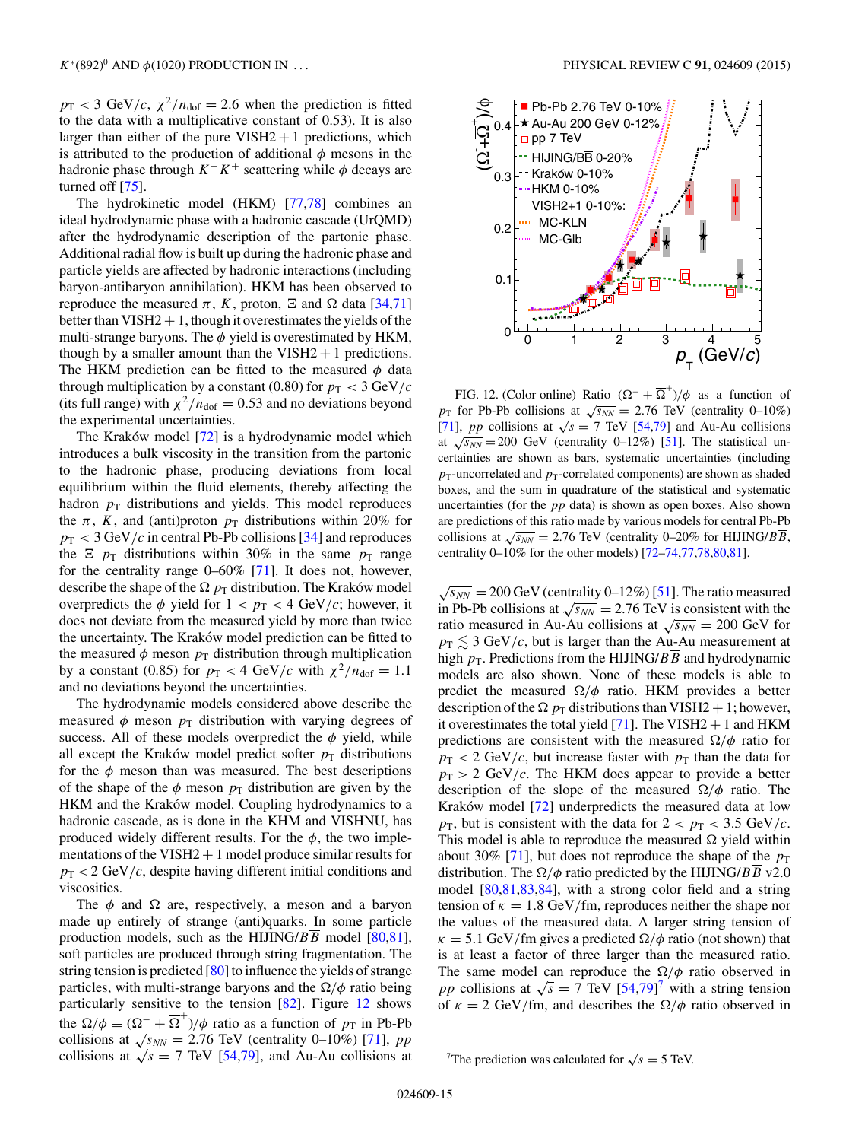$p_T < 3$  GeV/c,  $\chi^2/n_{\text{dof}} = 2.6$  when the prediction is fitted to the data with a multiplicative constant of 0.53). It is also larger than either of the pure  $VISH2 + 1$  predictions, which is attributed to the production of additional  $\phi$  mesons in the hadronic phase through  $K^-K^+$  scattering while  $\phi$  decays are turned off [\[75\]](#page-20-0).

The hydrokinetic model (HKM) [\[77,78\]](#page-20-0) combines an ideal hydrodynamic phase with a hadronic cascade (UrQMD) after the hydrodynamic description of the partonic phase. Additional radial flow is built up during the hadronic phase and particle yields are affected by hadronic interactions (including baryon-antibaryon annihilation). HKM has been observed to reproduce the measured π, K, proton,  $\Xi$  and  $\Omega$  data [\[34](#page-19-0)[,71\]](#page-20-0) better than  $VISH2 + 1$ , though it overestimates the yields of the multi-strange baryons. The  $\phi$  yield is overestimated by HKM, though by a smaller amount than the  $VISH2 + 1$  predictions. The HKM prediction can be fitted to the measured  $\phi$  data through multiplication by a constant (0.80) for  $p_T < 3 \text{ GeV}/c$ (its full range) with  $\chi^2/n_{\text{dof}} = 0.53$  and no deviations beyond the experimental uncertainties.

The Kraków model  $[72]$  $[72]$  is a hydrodynamic model which introduces a bulk viscosity in the transition from the partonic to the hadronic phase, producing deviations from local equilibrium within the fluid elements, thereby affecting the hadron  $p_T$  distributions and yields. This model reproduces the  $\pi$ , K, and (anti)proton  $p<sub>T</sub>$  distributions within 20% for  $p_T < 3 \text{ GeV}/c$  in central Pb-Pb collisions [\[34\]](#page-19-0) and reproduces the  $\Xi$   $p_T$  distributions within 30% in the same  $p_T$  range for the centrality range  $0-60\%$  [\[71\]](#page-20-0). It does not, however, describe the shape of the  $\Omega$   $p_T$  distribution. The Kraków model overpredicts the  $\phi$  yield for  $1 < p_T < 4$  GeV/c; however, it does not deviate from the measured yield by more than twice the uncertainty. The Kraków model prediction can be fitted to the measured  $\phi$  meson  $p_T$  distribution through multiplication by a constant (0.85) for  $p_T < 4$  GeV/c with  $\chi^2/n_{\text{dof}} = 1.1$ and no deviations beyond the uncertainties.

The hydrodynamic models considered above describe the measured  $\phi$  meson  $p_T$  distribution with varying degrees of success. All of these models overpredict the  $\phi$  yield, while all except the Kraków model predict softer  $p_T$  distributions for the  $\phi$  meson than was measured. The best descriptions of the shape of the  $\phi$  meson  $p_T$  distribution are given by the HKM and the Kraków model. Coupling hydrodynamics to a hadronic cascade, as is done in the KHM and VISHNU, has produced widely different results. For the  $\phi$ , the two implementations of the  $VISH2 + 1$  model produce similar results for  $p_T < 2 \text{ GeV}/c$ , despite having different initial conditions and viscosities.

The  $\phi$  and  $\Omega$  are, respectively, a meson and a baryon made up entirely of strange (anti)quarks. In some particle production models, such as the HIJING/ $BB$  model [\[80,81\]](#page-20-0), soft particles are produced through string fragmentation. The string tension is predicted [\[80\]](#page-20-0) to influence the yields of strange particles, with multi-strange baryons and the  $\Omega/\phi$  ratio being particularly sensitive to the tension [\[82\]](#page-20-0). Figure 12 shows the  $\Omega/\phi \equiv (\Omega^{-} + \overline{\Omega}^{+})/\phi$  ratio as a function of  $p_{\text{T}}$  in Pb-Pb collisions at  $\sqrt{s_{NN}} = 2.76$  TeV (centrality 0–10%) [\[71\]](#page-20-0), pp collisions at  $\sqrt{s}$  = 7 TeV [\[54](#page-19-0)[,79\]](#page-20-0), and Au-Au collisions at



FIG. 12. (Color online) Ratio  $(\Omega^{-} + \overline{\Omega}^{+})/\phi$  as a function of  $p_T$  for Pb-Pb collisions at  $\sqrt{s_{NN}} = 2.76$  TeV (centrality 0–10%) [\[71\]](#page-20-0), pp collisions at  $\sqrt{s} = 7$  TeV [\[54,](#page-19-0)[79\]](#page-20-0) and Au-Au collisions at  $\sqrt{s_{NN}}$  = 200 GeV (centrality 0–12%) [\[51\]](#page-19-0). The statistical uncertainties are shown as bars, systematic uncertainties (including  $p_T$ -uncorrelated and  $p_T$ -correlated components) are shown as shaded boxes, and the sum in quadrature of the statistical and systematic uncertainties (for the  $pp$  data) is shown as open boxes. Also shown are predictions of this ratio made by various models for central Pb-Pb collisions at  $\sqrt{s_{NN}} = 2.76$  TeV (centrality 0–20% for HIJING/ $B\overline{B}$ , centrality 0–10% for the other models) [\[72–74,77,78,80,81\]](#page-20-0).

 $\sqrt{s_{NN}}$  = 200 GeV (centrality 0–12%) [\[51\]](#page-19-0). The ratio measured in Pb-Pb collisions at  $\sqrt{s_{NN}} = 2.76$  TeV is consistent with the ratio measured in Au-Au collisions at  $\sqrt{s_{NN}} = 200$  GeV for  $p_{\text{T}} \lesssim 3 \text{ GeV}/c$ , but is larger than the Au-Au measurement at high  $p_T$ . Predictions from the HIJING/ $B\overline{B}$  and hydrodynamic models are also shown. None of these models is able to predict the measured  $\Omega/\phi$  ratio. HKM provides a better description of the  $\Omega$   $p_T$  distributions than VISH2 + 1; however, it overestimates the total yield [\[71\]](#page-20-0). The VISH2  $+$  1 and HKM predictions are consistent with the measured  $\Omega/\phi$  ratio for  $p_T < 2 \text{ GeV}/c$ , but increase faster with  $p_T$  than the data for  $p_T > 2$  GeV/c. The HKM does appear to provide a better description of the slope of the measured  $\Omega/\phi$  ratio. The Kraków model  $[72]$  $[72]$  underpredicts the measured data at low  $p_{\rm T}$ , but is consistent with the data for  $2 < p_{\rm T} < 3.5$  GeV/c. This model is able to reproduce the measured  $\Omega$  yield within about 30% [\[71\]](#page-20-0), but does not reproduce the shape of the  $p_T$ distribution. The  $\Omega/\phi$  ratio predicted by the HIJING/*BB* v2.0 model [\[80,81,83,84\]](#page-20-0), with a strong color field and a string tension of  $\kappa = 1.8$  GeV/fm, reproduces neither the shape nor the values of the measured data. A larger string tension of  $\kappa = 5.1$  GeV/fm gives a predicted  $\Omega/\phi$  ratio (not shown) that is at least a factor of three larger than the measured ratio. The same model can reproduce the  $\Omega/\phi$  ratio observed in pp collisions at  $\sqrt{s} = 7$  TeV [\[54,](#page-19-0)[79\]](#page-20-0)<sup>7</sup> with a string tension of  $\kappa = 2$  GeV/fm, and describes the  $\Omega/\phi$  ratio observed in

<sup>&</sup>lt;sup>7</sup>The prediction was calculated for  $\sqrt{s} = 5$  TeV.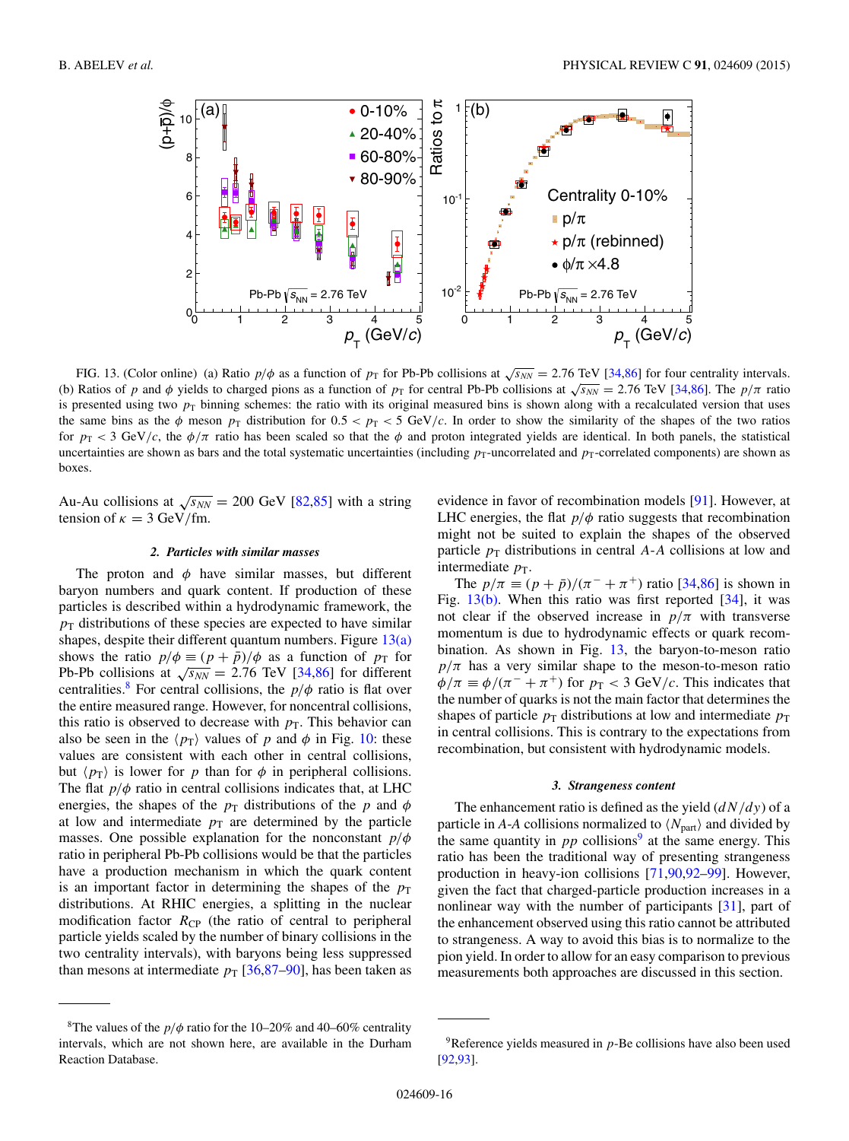<span id="page-15-0"></span>

FIG. 13. (Color online) (a) Ratio  $p/\phi$  as a function of  $p_T$  for Pb-Pb collisions at  $\sqrt{s_{NN}} = 2.76$  TeV [\[34,](#page-19-0)[86\]](#page-20-0) for four centrality intervals. (b) Ratios of p and  $\phi$  yields to charged pions as a function of  $p_T$  for central Pb-Pb collisions at  $\sqrt{s_{NN}} = 2.76$  TeV [\[34,](#page-19-0)[86\]](#page-20-0). The  $p/\pi$  ratio is presented using two  $p<sub>T</sub>$  binning schemes: the ratio with its original measured bins is shown along with a recalculated version that uses the same bins as the  $\phi$  meson  $p_T$  distribution for  $0.5 < p_T < 5$  GeV/c. In order to show the similarity of the shapes of the two ratios for  $p_T < 3$  GeV/c, the  $\phi/\pi$  ratio has been scaled so that the  $\phi$  and proton integrated yields are identical. In both panels, the statistical uncertainties are shown as bars and the total systematic uncertainties (including  $p_T$ -uncorrelated and  $p_T$ -correlated components) are shown as boxes.

Au-Au collisions at  $\sqrt{s_{NN}}$  = 200 GeV [\[82,85\]](#page-20-0) with a string tension of  $\kappa = 3$  GeV/fm.

## *2. Particles with similar masses*

The proton and  $\phi$  have similar masses, but different baryon numbers and quark content. If production of these particles is described within a hydrodynamic framework, the  $p<sub>T</sub>$  distributions of these species are expected to have similar shapes, despite their different quantum numbers. Figure  $13(a)$ shows the ratio  $p/\phi \equiv (p + \bar{p})/\phi$  as a function of  $p_T$  for Pb-Pb collisions at  $\sqrt{s_{NN}} = 2.76$  TeV [\[34,](#page-19-0)[86\]](#page-20-0) for different centralities.<sup>8</sup> For central collisions, the  $p/\phi$  ratio is flat over the entire measured range. However, for noncentral collisions, this ratio is observed to decrease with  $p<sub>T</sub>$ . This behavior can also be seen in the  $\langle p_T \rangle$  values of p and  $\phi$  in Fig. [10:](#page-12-0) these values are consistent with each other in central collisions, but  $\langle p_{\rm T} \rangle$  is lower for p than for  $\phi$  in peripheral collisions. The flat  $p/\phi$  ratio in central collisions indicates that, at LHC energies, the shapes of the  $p<sub>T</sub>$  distributions of the p and  $\phi$ at low and intermediate  $p<sub>T</sub>$  are determined by the particle masses. One possible explanation for the nonconstant  $p/\phi$ ratio in peripheral Pb-Pb collisions would be that the particles have a production mechanism in which the quark content is an important factor in determining the shapes of the  $p<sub>T</sub>$ distributions. At RHIC energies, a splitting in the nuclear modification factor  $R_{\text{CP}}$  (the ratio of central to peripheral particle yields scaled by the number of binary collisions in the two centrality intervals), with baryons being less suppressed than mesons at intermediate  $p_T$  [\[36,](#page-19-0)[87–90\]](#page-20-0), has been taken as

evidence in favor of recombination models [\[91\]](#page-20-0). However, at LHC energies, the flat  $p/\phi$  ratio suggests that recombination might not be suited to explain the shapes of the observed particle  $p_T$  distributions in central A-A collisions at low and intermediate  $p_T$ .

The  $p/\pi \equiv (p + \bar{p})/(\pi^{-} + \pi^{+})$  ratio [\[34](#page-19-0)[,86\]](#page-20-0) is shown in Fig.  $13(b)$ . When this ratio was first reported [\[34\]](#page-19-0), it was not clear if the observed increase in  $p/\pi$  with transverse momentum is due to hydrodynamic effects or quark recombination. As shown in Fig. 13, the baryon-to-meson ratio  $p/\pi$  has a very similar shape to the meson-to-meson ratio  $\phi/\pi \equiv \phi/(\pi^- + \pi^+)$  for  $p_T < 3$  GeV/c. This indicates that the number of quarks is not the main factor that determines the shapes of particle  $p_T$  distributions at low and intermediate  $p_T$ in central collisions. This is contrary to the expectations from recombination, but consistent with hydrodynamic models.

## *3. Strangeness content*

The enhancement ratio is defined as the yield  $\left(\frac{dN}{dy}\right)$  of a particle in *A*-*A* collisions normalized to  $\langle N_{part} \rangle$  and divided by the same quantity in  $pp$  collisions<sup>9</sup> at the same energy. This ratio has been the traditional way of presenting strangeness production in heavy-ion collisions [\[71,90,92](#page-20-0)[–99\]](#page-21-0). However, given the fact that charged-particle production increases in a nonlinear way with the number of participants [\[31\]](#page-19-0), part of the enhancement observed using this ratio cannot be attributed to strangeness. A way to avoid this bias is to normalize to the pion yield. In order to allow for an easy comparison to previous measurements both approaches are discussed in this section.

<sup>&</sup>lt;sup>8</sup>The values of the  $p/\phi$  ratio for the 10–20% and 40–60% centrality intervals, which are not shown here, are available in the Durham Reaction Database.

 $9^9$ Reference yields measured in  $p$ -Be collisions have also been used [\[92,93\]](#page-20-0).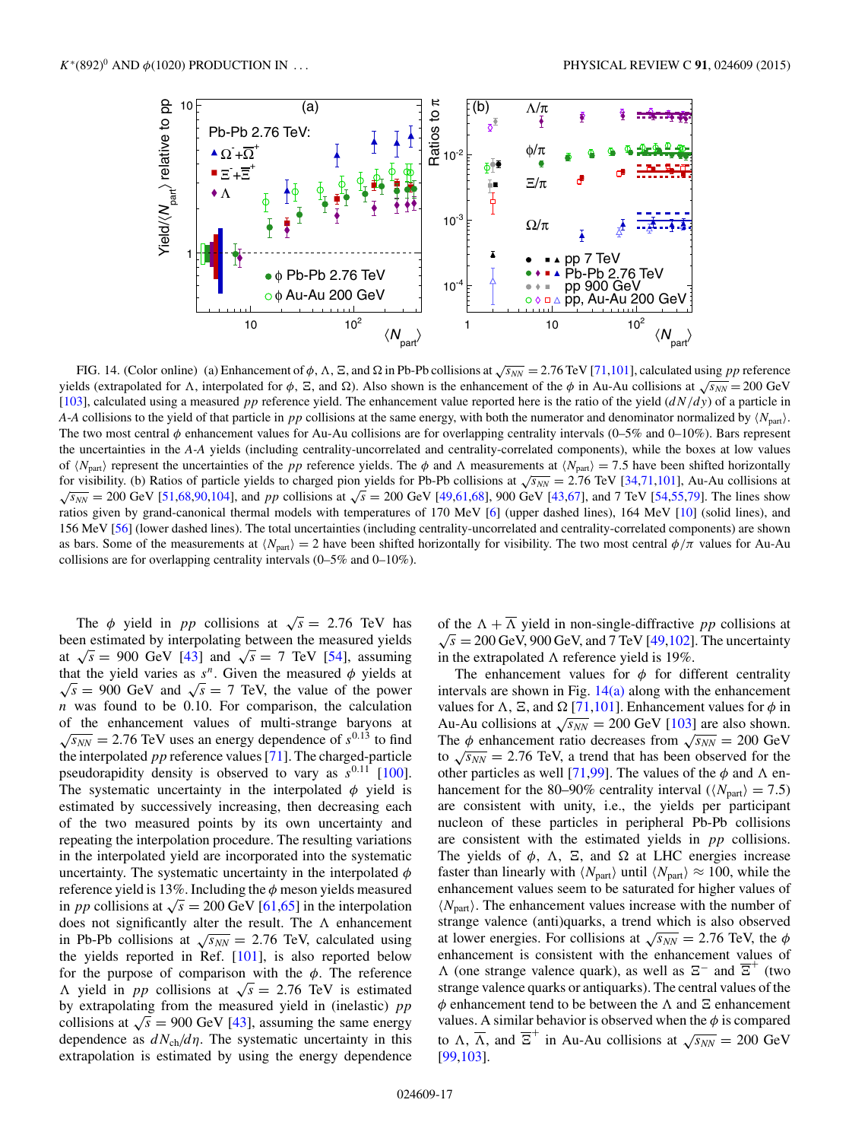<span id="page-16-0"></span>

FIG. 14. (Color online) (a) Enhancement of  $\phi$ ,  $\Lambda$ ,  $\Xi$ , and  $\Omega$  in Pb-Pb collisions at  $\sqrt{s_{NN}}$  = 2.76 TeV [\[71,](#page-20-0)[101\]](#page-21-0), calculated using pp reference yields (extrapolated for Λ, interpolated for φ, Ξ, and Ω). Also shown is the enhancement of the φ in Au-Au collisions at  $\sqrt{s_{NN}}$  = 200 GeV [\[103\]](#page-21-0), calculated using a measured pp reference yield. The enhancement value reported here is the ratio of the yield  $(dN/dy)$  of a particle in *A*-*A* collisions to the yield of that particle in pp collisions at the same energy, with both the numerator and denominator normalized by  $\langle N_{\text{part}}\rangle$ . The two most central  $\phi$  enhancement values for Au-Au collisions are for overlapping centrality intervals (0–5% and 0–10%). Bars represent the uncertainties in the *A-A* yields (including centrality-uncorrelated and centrality-correlated components), while the boxes at low values of  $\langle N_{\text{part}} \rangle$  represent the uncertainties of the *pp* reference yields. The  $\phi$  and  $\Lambda$  measurements at  $\langle N_{\text{part}} \rangle = 7.5$  have been shifted horizontally for visibility. (b) Ratios of particle yields to charged pion yields for Pb-Pb collisions at  $\sqrt{s_{NN}} = 2.76$  TeV [\[34](#page-19-0)[,71,](#page-20-0)[101\]](#page-21-0), Au-Au collisions at  $\sqrt{s_{NN}}$  = 200 GeV [\[51,](#page-19-0)[68,90](#page-20-0)[,104\]](#page-21-0), and pp collisions at  $\sqrt{s}$  = 200 GeV [\[49,](#page-19-0)[61,68\]](#page-20-0), 900 GeV [\[43](#page-19-0)[,67\]](#page-20-0), and 7 TeV [\[54,55](#page-19-0)[,79\]](#page-20-0). The lines show ratios given by grand-canonical thermal models with temperatures of 170 MeV [\[6\]](#page-18-0) (upper dashed lines), 164 MeV [\[10\]](#page-18-0) (solid lines), and 156 MeV [\[56\]](#page-19-0) (lower dashed lines). The total uncertainties (including centrality-uncorrelated and centrality-correlated components) are shown as bars. Some of the measurements at  $\langle N_{\text{part}} \rangle = 2$  have been shifted horizontally for visibility. The two most central  $\phi/\pi$  values for Au-Au collisions are for overlapping centrality intervals (0–5% and 0–10%).

The  $\phi$  yield in *pp* collisions at  $\sqrt{s} = 2.76$  TeV has been estimated by interpolating between the measured yields at  $\sqrt{s}$  = 900 GeV [\[43\]](#page-19-0) and  $\sqrt{s}$  = 7 TeV [\[54\]](#page-19-0), assuming that the yield varies as  $s^n$ . Given the measured  $\phi$  yields at  $\sqrt{s}$  = 900 GeV and  $\sqrt{s}$  = 7 TeV, the value of the power  $n$  was found to be 0.10. For comparison, the calculation of the enhancement values of multi-strange baryons at  $\sqrt{s_{NN}}$  = 2.76 TeV uses an energy dependence of  $s^{0.13}$  to find the interpolated  $pp$  reference values [\[71\]](#page-20-0). The charged-particle pseudorapidity density is observed to vary as  $s^{0.11}$  [\[100\]](#page-21-0). The systematic uncertainty in the interpolated  $\phi$  yield is estimated by successively increasing, then decreasing each of the two measured points by its own uncertainty and repeating the interpolation procedure. The resulting variations in the interpolated yield are incorporated into the systematic uncertainty. The systematic uncertainty in the interpolated  $\phi$ reference yield is 13%. Including the  $\phi$  meson yields measured in *pp* collisions at  $\sqrt{s} = 200$  GeV [\[61,65\]](#page-20-0) in the interpolation does not significantly alter the result. The  $\Lambda$  enhancement in Pb-Pb collisions at  $\sqrt{s_{NN}}$  = 2.76 TeV, calculated using the yields reported in Ref. [\[101\]](#page-21-0), is also reported below for the purpose of comparison with the  $\phi$ . The reference A yield in *pp* collisions at  $\sqrt{s} = 2.76$  TeV is estimated by extrapolating from the measured yield in (inelastic)  $pp$ collisions at  $\sqrt{s}$  = 900 GeV [\[43\]](#page-19-0), assuming the same energy dependence as  $dN_{ch}/d\eta$ . The systematic uncertainty in this extrapolation is estimated by using the energy dependence

of the  $\Lambda + \overline{\Lambda}$  yield in non-single-diffractive pp collisions at  $\sqrt{s}$  = 200 GeV, 900 GeV, and 7 TeV [\[49](#page-19-0)[,102\]](#page-21-0). The uncertainty in the extrapolated  $\Lambda$  reference yield is 19%.

The enhancement values for  $\phi$  for different centrality intervals are shown in Fig.  $14(a)$  along with the enhancement values for  $\Lambda$ ,  $\Xi$ , and  $\Omega$  [\[71](#page-20-0)[,101\]](#page-21-0). Enhancement values for  $\phi$  in Au-Au collisions at  $\sqrt{s_{NN}} = 200$  GeV [\[103\]](#page-21-0) are also shown. The  $\phi$  enhancement ratio decreases from  $\sqrt{s_{NN}} = 200$  GeV to  $\sqrt{s_{NN}}$  = 2.76 TeV, a trend that has been observed for the other particles as well [\[71,](#page-20-0)[99\]](#page-21-0). The values of the  $\phi$  and  $\Lambda$  enhancement for the 80–90% centrality interval ( $\langle N_{\text{part}} \rangle = 7.5$ ) are consistent with unity, i.e., the yields per participant nucleon of these particles in peripheral Pb-Pb collisions are consistent with the estimated yields in pp collisions. The yields of  $\phi$ ,  $\Lambda$ ,  $\Xi$ , and  $\Omega$  at LHC energies increase faster than linearly with  $\langle N_{\text{part}} \rangle$  until  $\langle N_{\text{part}} \rangle \approx 100$ , while the enhancement values seem to be saturated for higher values of  $\langle N_{\text{part}} \rangle$ . The enhancement values increase with the number of strange valence (anti)quarks, a trend which is also observed at lower energies. For collisions at  $\sqrt{s_{NN}} = 2.76$  TeV, the  $\phi$ enhancement is consistent with the enhancement values of  $\Lambda$  (one strange valence quark), as well as  $\Xi^-$  and  $\Xi^+$  (two strange valence quarks or antiquarks). The central values of the  $\phi$  enhancement tend to be between the  $\Lambda$  and  $\Xi$  enhancement values. A similar behavior is observed when the  $\phi$  is compared to  $\Lambda$ ,  $\overline{\Lambda}$ , and  $\overline{\Xi}^+$  in Au-Au collisions at  $\sqrt{s_{NN}} = 200$  GeV [\[99,103\]](#page-21-0).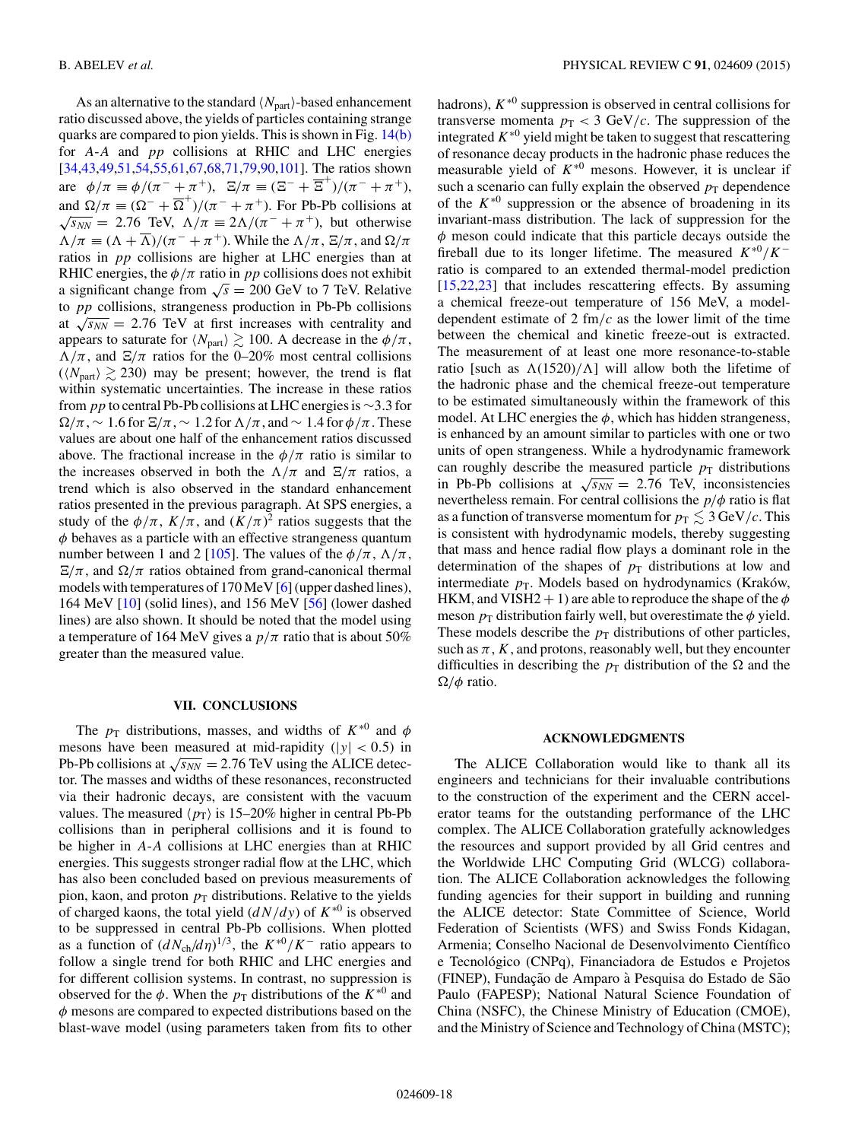As an alternative to the standard  $\langle N_{\text{part}}\rangle$ -based enhancement ratio discussed above, the yields of particles containing strange quarks are compared to pion yields. This is shown in Fig. [14\(b\)](#page-16-0) for A-A and pp collisions at RHIC and LHC energies [\[34,43,49,51,54,55](#page-19-0)[,61,67,68,71,79,90,](#page-20-0)[101\]](#page-21-0). The ratios shown are  $\phi/\pi \equiv \phi/(\pi^- + \pi^+)$ ,  $\Xi/\pi \equiv (\Xi^- + \overline{\Xi}^+)/(\pi^- + \pi^+)$ , and  $\Omega/\pi \equiv (\Omega^- + \overline{\Omega}^+)/(\pi^- + \pi^+)$ . For Pb-Pb collisions at  $\sqrt{s_{NN}} = 2.76$  TeV,  $\Lambda/\pi \equiv 2\Lambda/(\pi^- + \pi^+)$ , but otherwise  $\Lambda/\pi \equiv (\Lambda + \overline{\Lambda})/(\pi^- + \pi^+)$ . While the  $\Lambda/\pi$ ,  $\Xi/\pi$ , and  $\Omega/\pi$ ratios in pp collisions are higher at LHC energies than at RHIC energies, the  $\phi/\pi$  ratio in pp collisions does not exhibit a significant change from  $\sqrt{s} = 200$  GeV to 7 TeV. Relative to pp collisions, strangeness production in Pb-Pb collisions at  $\sqrt{s_{NN}}$  = 2.76 TeV at first increases with centrality and appears to saturate for  $\langle N_{\text{part}} \rangle \gtrsim 100$ . A decrease in the  $\phi/\pi$ ,  $\Lambda/\pi$ , and  $\Xi/\pi$  ratios for the 0–20% most central collisions  $(N_{part} \ge 230)$  may be present; however, the trend is flat within systematic uncertainties. The increase in these ratios from *pp* to central Pb-Pb collisions at LHC energies is  $\sim$ 3.3 for  $\Omega/\pi$ , ~ 1.6 for  $\Xi/\pi$ , ~ 1.2 for  $\Lambda/\pi$ , and ~ 1.4 for  $\phi/\pi$ . These values are about one half of the enhancement ratios discussed above. The fractional increase in the  $\phi/\pi$  ratio is similar to the increases observed in both the  $\Lambda/\pi$  and  $\Xi/\pi$  ratios, a trend which is also observed in the standard enhancement ratios presented in the previous paragraph. At SPS energies, a study of the  $\phi/\pi$ ,  $K/\pi$ , and  $(K/\pi)^2$  ratios suggests that the  $\phi$  behaves as a particle with an effective strangeness quantum number between 1 and 2 [\[105\]](#page-21-0). The values of the  $\phi/\pi$ ,  $\Lambda/\pi$ ,  $E/\pi$ , and  $\Omega/\pi$  ratios obtained from grand-canonical thermal models with temperatures of 170 MeV [\[6\]](#page-18-0) (upper dashed lines), 164 MeV [\[10\]](#page-18-0) (solid lines), and 156 MeV [\[56\]](#page-19-0) (lower dashed lines) are also shown. It should be noted that the model using a temperature of 164 MeV gives a  $p/\pi$  ratio that is about 50% greater than the measured value.

## **VII. CONCLUSIONS**

The  $p_T$  distributions, masses, and widths of  $K^{*0}$  and  $\phi$ mesons have been measured at mid-rapidity ( $|y| < 0.5$ ) in Pb-Pb collisions at  $\sqrt{s_{NN}} = 2.76$  TeV using the ALICE detector. The masses and widths of these resonances, reconstructed via their hadronic decays, are consistent with the vacuum values. The measured  $\langle p_{\rm T} \rangle$  is 15–20% higher in central Pb-Pb collisions than in peripheral collisions and it is found to be higher in A-A collisions at LHC energies than at RHIC energies. This suggests stronger radial flow at the LHC, which has also been concluded based on previous measurements of pion, kaon, and proton  $p<sub>T</sub>$  distributions. Relative to the yields of charged kaons, the total yield  $\left(\frac{dN}{dy}\right)$  of  $K^{*0}$  is observed to be suppressed in central Pb-Pb collisions. When plotted as a function of  $(dN_{ch}/d\eta)^{1/3}$ , the  $K^{*0}/K^-$  ratio appears to follow a single trend for both RHIC and LHC energies and for different collision systems. In contrast, no suppression is observed for the  $\phi$ . When the  $p_T$  distributions of the  $K^{*0}$  and  $\phi$  mesons are compared to expected distributions based on the blast-wave model (using parameters taken from fits to other

hadrons),  $K^{*0}$  suppression is observed in central collisions for transverse momenta  $p_T < 3$  GeV/c. The suppression of the integrated  $K^{*0}$  yield might be taken to suggest that rescattering of resonance decay products in the hadronic phase reduces the measurable yield of  $K^{*0}$  mesons. However, it is unclear if such a scenario can fully explain the observed  $p_T$  dependence of the  $K^{*0}$  suppression or the absence of broadening in its invariant-mass distribution. The lack of suppression for the  $\phi$  meson could indicate that this particle decays outside the fireball due to its longer lifetime. The measured  $K^{*0}/K^$ ratio is compared to an extended thermal-model prediction [\[15,](#page-18-0)[22,23\]](#page-19-0) that includes rescattering effects. By assuming a chemical freeze-out temperature of 156 MeV, a modeldependent estimate of 2 fm/ $c$  as the lower limit of the time between the chemical and kinetic freeze-out is extracted. The measurement of at least one more resonance-to-stable ratio [such as  $\Lambda(1520)/\Lambda$ ] will allow both the lifetime of the hadronic phase and the chemical freeze-out temperature to be estimated simultaneously within the framework of this model. At LHC energies the  $\phi$ , which has hidden strangeness, is enhanced by an amount similar to particles with one or two units of open strangeness. While a hydrodynamic framework can roughly describe the measured particle  $p<sub>T</sub>$  distributions in Pb-Pb collisions at  $\sqrt{s_{NN}} = 2.76$  TeV, inconsistencies nevertheless remain. For central collisions the  $p/\phi$  ratio is flat as a function of transverse momentum for  $p_T \leq 3 \text{ GeV}/c$ . This is consistent with hydrodynamic models, thereby suggesting that mass and hence radial flow plays a dominant role in the determination of the shapes of  $p_T$  distributions at low and intermediate  $p_T$ . Models based on hydrodynamics (Kraków, HKM, and VISH2 + 1) are able to reproduce the shape of the  $\phi$ meson  $p_T$  distribution fairly well, but overestimate the  $\phi$  yield. These models describe the  $p<sub>T</sub>$  distributions of other particles, such as  $\pi$ , K, and protons, reasonably well, but they encounter difficulties in describing the  $p<sub>T</sub>$  distribution of the  $\Omega$  and the  $\Omega/\phi$  ratio.

#### **ACKNOWLEDGMENTS**

The ALICE Collaboration would like to thank all its engineers and technicians for their invaluable contributions to the construction of the experiment and the CERN accelerator teams for the outstanding performance of the LHC complex. The ALICE Collaboration gratefully acknowledges the resources and support provided by all Grid centres and the Worldwide LHC Computing Grid (WLCG) collaboration. The ALICE Collaboration acknowledges the following funding agencies for their support in building and running the ALICE detector: State Committee of Science, World Federation of Scientists (WFS) and Swiss Fonds Kidagan, Armenia; Conselho Nacional de Desenvolvimento Científico e Tecnológico (CNPq), Financiadora de Estudos e Projetos (FINEP), Fundação de Amparo à Pesquisa do Estado de São Paulo (FAPESP); National Natural Science Foundation of China (NSFC), the Chinese Ministry of Education (CMOE), and the Ministry of Science and Technology of China (MSTC);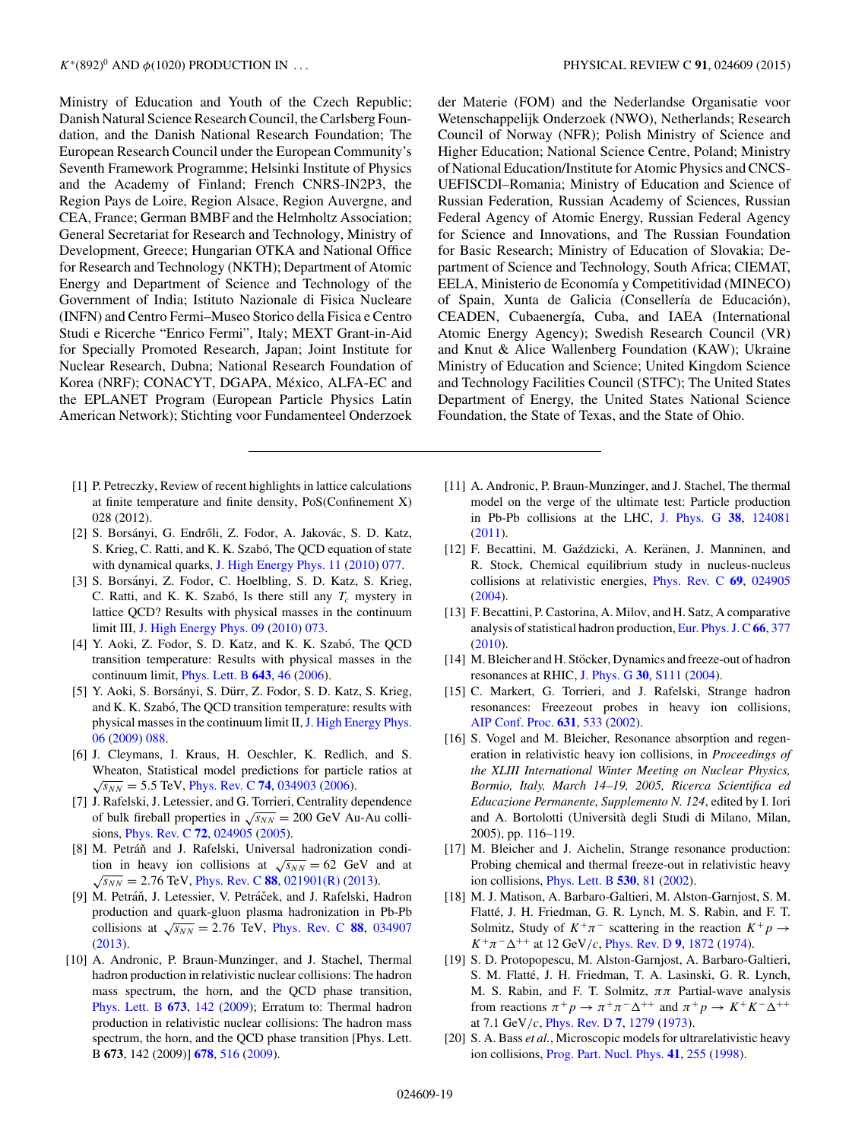<span id="page-18-0"></span>Ministry of Education and Youth of the Czech Republic; Danish Natural Science Research Council, the Carlsberg Foundation, and the Danish National Research Foundation; The European Research Council under the European Community's Seventh Framework Programme; Helsinki Institute of Physics and the Academy of Finland; French CNRS-IN2P3, the Region Pays de Loire, Region Alsace, Region Auvergne, and CEA, France; German BMBF and the Helmholtz Association; General Secretariat for Research and Technology, Ministry of Development, Greece; Hungarian OTKA and National Office for Research and Technology (NKTH); Department of Atomic Energy and Department of Science and Technology of the Government of India; Istituto Nazionale di Fisica Nucleare (INFN) and Centro Fermi–Museo Storico della Fisica e Centro Studi e Ricerche "Enrico Fermi", Italy; MEXT Grant-in-Aid for Specially Promoted Research, Japan; Joint Institute for Nuclear Research, Dubna; National Research Foundation of Korea (NRF); CONACYT, DGAPA, México, ALFA-EC and the EPLANET Program (European Particle Physics Latin American Network); Stichting voor Fundamenteel Onderzoek

- [1] P. Petreczky, Review of recent highlights in lattice calculations at finite temperature and finite density, PoS(Confinement X) 028 (2012).
- [2] S. Borsányi, G. Endrőli, Z. Fodor, A. Jakovác, S. D. Katz, S. Krieg, C. Ratti, and K. K. Szabó, The QCD equation of state with dynamical quarks, [J. High Energy Phys. 11](http://dx.doi.org/10.1007/JHEP11(2010)077) [\(2010\)](http://dx.doi.org/10.1007/JHEP11(2010)077) [077.](http://dx.doi.org/10.1007/JHEP11(2010)077)
- [3] S. Borsányi, Z. Fodor, C. Hoelbling, S. D. Katz, S. Krieg, C. Ratti, and K. K. Szabó, Is there still any  $T_c$  mystery in lattice QCD? Results with physical masses in the continuum limit III, [J. High Energy Phys. 09](http://dx.doi.org/10.1007/JHEP09(2010)073) [\(2010\)](http://dx.doi.org/10.1007/JHEP09(2010)073) [073.](http://dx.doi.org/10.1007/JHEP09(2010)073)
- [4] Y. Aoki, Z. Fodor, S. D. Katz, and K. K. Szabó, The QCD transition temperature: Results with physical masses in the continuum limit, [Phys. Lett. B](http://dx.doi.org/10.1016/j.physletb.2006.10.021) **[643](http://dx.doi.org/10.1016/j.physletb.2006.10.021)**, [46](http://dx.doi.org/10.1016/j.physletb.2006.10.021) [\(2006\)](http://dx.doi.org/10.1016/j.physletb.2006.10.021).
- [5] Y. Aoki, S. Borsányi, S. Dürr, Z. Fodor, S. D. Katz, S. Krieg, and K. K. Szabó, The QCD transition temperature: results with physical masses in the continuum limit II, [J. High Energy Phys.](http://dx.doi.org/10.1088/1126-6708/2009/06/088) [06](http://dx.doi.org/10.1088/1126-6708/2009/06/088) [\(2009\)](http://dx.doi.org/10.1088/1126-6708/2009/06/088) [088.](http://dx.doi.org/10.1088/1126-6708/2009/06/088)
- [6] J. Cleymans, I. Kraus, H. Oeschler, K. Redlich, and S. Wheaton, Statistical model predictions for particle ratios at  $\sqrt{s_{NN}}$  = 5.5 TeV, [Phys. Rev. C](http://dx.doi.org/10.1103/PhysRevC.74.034903) [74](http://dx.doi.org/10.1103/PhysRevC.74.034903), [034903](http://dx.doi.org/10.1103/PhysRevC.74.034903) [\(2006\)](http://dx.doi.org/10.1103/PhysRevC.74.034903).
- [7] J. Rafelski, J. Letessier, and G. Torrieri, Centrality dependence of bulk fireball properties in  $\sqrt{s_{NN}} = 200$  GeV Au-Au collisions, [Phys. Rev. C](http://dx.doi.org/10.1103/PhysRevC.72.024905) **[72](http://dx.doi.org/10.1103/PhysRevC.72.024905)**, [024905](http://dx.doi.org/10.1103/PhysRevC.72.024905) [\(2005\)](http://dx.doi.org/10.1103/PhysRevC.72.024905).
- [8] M. Petráň and J. Rafelski, Universal hadronization condition in heavy ion collisions at  $\sqrt{s_{NN}} = 62$  GeV and at  $\sqrt{s_{NN}}$  = 2.76 TeV, [Phys. Rev. C](http://dx.doi.org/10.1103/PhysRevC.88.021901) [88](http://dx.doi.org/10.1103/PhysRevC.88.021901), [021901\(R\)](http://dx.doi.org/10.1103/PhysRevC.88.021901) [\(2013\)](http://dx.doi.org/10.1103/PhysRevC.88.021901).
- [9] M. Petráň, J. Letessier, V. Petráček, and J. Rafelski, Hadron production and quark-gluon plasma hadronization in Pb-Pb collisions at  $\sqrt{s_{NN}} = 2.76$  TeV, [Phys. Rev. C](http://dx.doi.org/10.1103/PhysRevC.88.034907) [88](http://dx.doi.org/10.1103/PhysRevC.88.034907), [034907](http://dx.doi.org/10.1103/PhysRevC.88.034907) [\(2013\)](http://dx.doi.org/10.1103/PhysRevC.88.034907).
- [10] A. Andronic, P. Braun-Munzinger, and J. Stachel, Thermal hadron production in relativistic nuclear collisions: The hadron mass spectrum, the horn, and the QCD phase transition, [Phys. Lett. B](http://dx.doi.org/10.1016/j.physletb.2009.02.014) [673](http://dx.doi.org/10.1016/j.physletb.2009.02.014), [142](http://dx.doi.org/10.1016/j.physletb.2009.02.014) [\(2009\)](http://dx.doi.org/10.1016/j.physletb.2009.02.014); Erratum to: Thermal hadron production in relativistic nuclear collisions: The hadron mass spectrum, the horn, and the QCD phase transition [Phys. Lett. B **673**, 142 (2009)] **[678](http://dx.doi.org/10.1016/j.physletb.2009.06.021)**, [516](http://dx.doi.org/10.1016/j.physletb.2009.06.021) [\(2009\)](http://dx.doi.org/10.1016/j.physletb.2009.06.021).

der Materie (FOM) and the Nederlandse Organisatie voor Wetenschappelijk Onderzoek (NWO), Netherlands; Research Council of Norway (NFR); Polish Ministry of Science and Higher Education; National Science Centre, Poland; Ministry of National Education/Institute for Atomic Physics and CNCS-UEFISCDI–Romania; Ministry of Education and Science of Russian Federation, Russian Academy of Sciences, Russian Federal Agency of Atomic Energy, Russian Federal Agency for Science and Innovations, and The Russian Foundation for Basic Research; Ministry of Education of Slovakia; Department of Science and Technology, South Africa; CIEMAT, EELA, Ministerio de Economía y Competitividad (MINECO) of Spain, Xunta de Galicia (Consellería de Educación), CEADEN, Cubaenergía, Cuba, and IAEA (International Atomic Energy Agency); Swedish Research Council (VR) and Knut & Alice Wallenberg Foundation (KAW); Ukraine Ministry of Education and Science; United Kingdom Science and Technology Facilities Council (STFC); The United States Department of Energy, the United States National Science Foundation, the State of Texas, and the State of Ohio.

- [11] A. Andronic, P. Braun-Munzinger, and J. Stachel, The thermal model on the verge of the ultimate test: Particle production in Pb-Pb collisions at the LHC, [J. Phys. G](http://dx.doi.org/10.1088/0954-3899/38/12/124081) **[38](http://dx.doi.org/10.1088/0954-3899/38/12/124081)**, [124081](http://dx.doi.org/10.1088/0954-3899/38/12/124081) [\(2011\)](http://dx.doi.org/10.1088/0954-3899/38/12/124081).
- [12] F. Becattini, M. Gaździcki, A. Keränen, J. Manninen, and R. Stock, Chemical equilibrium study in nucleus-nucleus collisions at relativistic energies, [Phys. Rev. C](http://dx.doi.org/10.1103/PhysRevC.69.024905) **[69](http://dx.doi.org/10.1103/PhysRevC.69.024905)**, [024905](http://dx.doi.org/10.1103/PhysRevC.69.024905) [\(2004\)](http://dx.doi.org/10.1103/PhysRevC.69.024905).
- [13] F. Becattini, P. Castorina, A. Milov, and H. Satz, A comparative analysis of statistical hadron production, [Eur. Phys. J. C](http://dx.doi.org/10.1140/epjc/s10052-010-1265-y) **[66](http://dx.doi.org/10.1140/epjc/s10052-010-1265-y)**, [377](http://dx.doi.org/10.1140/epjc/s10052-010-1265-y) [\(2010\)](http://dx.doi.org/10.1140/epjc/s10052-010-1265-y).
- [14] M. Bleicher and H. Stöcker, Dynamics and freeze-out of hadron resonances at RHIC, [J. Phys. G](http://dx.doi.org/10.1088/0954-3899/30/1/010) **[30](http://dx.doi.org/10.1088/0954-3899/30/1/010)**, [S111](http://dx.doi.org/10.1088/0954-3899/30/1/010) [\(2004\)](http://dx.doi.org/10.1088/0954-3899/30/1/010).
- [15] C. Markert, G. Torrieri, and J. Rafelski, Strange hadron resonances: Freezeout probes in heavy ion collisions, [AIP Conf. Proc.](http://dx.doi.org/10.1063/1.1513698) **[631](http://dx.doi.org/10.1063/1.1513698)**, [533](http://dx.doi.org/10.1063/1.1513698) [\(2002\)](http://dx.doi.org/10.1063/1.1513698).
- [16] S. Vogel and M. Bleicher, Resonance absorption and regeneration in relativistic heavy ion collisions, in *Proceedings of the XLIII International Winter Meeting on Nuclear Physics, Bormio, Italy, March 14–19, 2005, Ricerca Scientifica ed Educazione Permanente, Supplemento N. 124*, edited by I. Iori and A. Bortolotti (Universita degli Studi di Milano, Milan, ` 2005), pp. 116–119.
- [17] M. Bleicher and J. Aichelin, Strange resonance production: Probing chemical and thermal freeze-out in relativistic heavy ion collisions, [Phys. Lett. B](http://dx.doi.org/10.1016/S0370-2693(02)01334-5) **[530](http://dx.doi.org/10.1016/S0370-2693(02)01334-5)**, [81](http://dx.doi.org/10.1016/S0370-2693(02)01334-5) [\(2002\)](http://dx.doi.org/10.1016/S0370-2693(02)01334-5).
- [18] M. J. Matison, A. Barbaro-Galtieri, M. Alston-Garnjost, S. M. Flatté, J. H. Friedman, G. R. Lynch, M. S. Rabin, and F. T. Solmitz, Study of  $K^+\pi^-$  scattering in the reaction  $K^+p \to$  $K^+\pi^-\Delta^{++}$  at 12 GeV/c, [Phys. Rev. D](http://dx.doi.org/10.1103/PhysRevD.9.1872) **[9](http://dx.doi.org/10.1103/PhysRevD.9.1872)**, [1872](http://dx.doi.org/10.1103/PhysRevD.9.1872) [\(1974\)](http://dx.doi.org/10.1103/PhysRevD.9.1872).
- [19] S. D. Protopopescu, M. Alston-Garnjost, A. Barbaro-Galtieri, S. M. Flatté, J. H. Friedman, T. A. Lasinski, G. R. Lynch, M. S. Rabin, and F. T. Solmitz,  $\pi\pi$  Partial-wave analysis from reactions  $\pi^+ p \to \pi^+ \pi^- \Delta^{++}$  and  $\pi^+ p \to K^+ K^- \Delta^{++}$ at 7.1 GeV/c, [Phys. Rev. D](http://dx.doi.org/10.1103/PhysRevD.7.1279) **[7](http://dx.doi.org/10.1103/PhysRevD.7.1279)**, [1279](http://dx.doi.org/10.1103/PhysRevD.7.1279) [\(1973\)](http://dx.doi.org/10.1103/PhysRevD.7.1279).
- [20] S. A. Bass *et al.*, Microscopic models for ultrarelativistic heavy ion collisions, [Prog. Part. Nucl. Phys.](http://dx.doi.org/10.1016/S0146-6410(98)00058-1) **[41](http://dx.doi.org/10.1016/S0146-6410(98)00058-1)**, [255](http://dx.doi.org/10.1016/S0146-6410(98)00058-1) [\(1998\)](http://dx.doi.org/10.1016/S0146-6410(98)00058-1).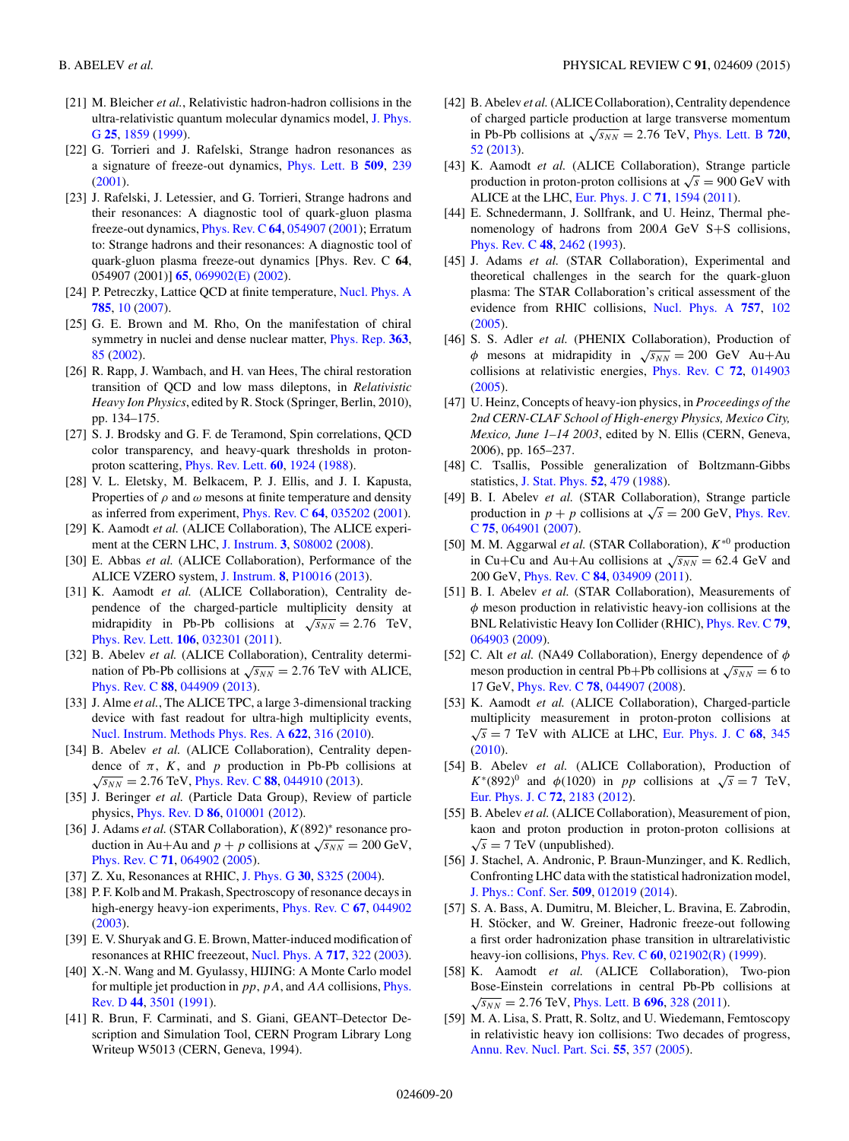- <span id="page-19-0"></span>[21] M. Bleicher *et al.*, Relativistic hadron-hadron collisions in the [ultra-relativistic quantum molecular dynamics model,](http://dx.doi.org/10.1088/0954-3899/25/9/308) J. Phys. G **[25](http://dx.doi.org/10.1088/0954-3899/25/9/308)**, [1859](http://dx.doi.org/10.1088/0954-3899/25/9/308) [\(1999\)](http://dx.doi.org/10.1088/0954-3899/25/9/308).
- [22] G. Torrieri and J. Rafelski, Strange hadron resonances as a signature of freeze-out dynamics, [Phys. Lett. B](http://dx.doi.org/10.1016/S0370-2693(01)00492-0) **[509](http://dx.doi.org/10.1016/S0370-2693(01)00492-0)**, [239](http://dx.doi.org/10.1016/S0370-2693(01)00492-0) [\(2001\)](http://dx.doi.org/10.1016/S0370-2693(01)00492-0).
- [23] J. Rafelski, J. Letessier, and G. Torrieri, Strange hadrons and their resonances: A diagnostic tool of quark-gluon plasma freeze-out dynamics, *[Phys. Rev. C](http://dx.doi.org/10.1103/PhysRevC.64.054907)* [64](http://dx.doi.org/10.1103/PhysRevC.64.054907), [054907](http://dx.doi.org/10.1103/PhysRevC.64.054907) [\(2001\)](http://dx.doi.org/10.1103/PhysRevC.64.054907); Erratum to: Strange hadrons and their resonances: A diagnostic tool of quark-gluon plasma freeze-out dynamics [Phys. Rev. C **64**, 054907 (2001)] **[65](http://dx.doi.org/10.1103/PhysRevC.65.069902)**, [069902\(E\)](http://dx.doi.org/10.1103/PhysRevC.65.069902) [\(2002\)](http://dx.doi.org/10.1103/PhysRevC.65.069902).
- [24] P. Petreczky, Lattice QCD at finite temperature, [Nucl. Phys. A](http://dx.doi.org/10.1016/j.nuclphysa.2006.11.129) **[785](http://dx.doi.org/10.1016/j.nuclphysa.2006.11.129)**, [10](http://dx.doi.org/10.1016/j.nuclphysa.2006.11.129) [\(2007\)](http://dx.doi.org/10.1016/j.nuclphysa.2006.11.129).
- [25] G. E. Brown and M. Rho, On the manifestation of chiral symmetry in nuclei and dense nuclear matter, [Phys. Rep.](http://dx.doi.org/10.1016/S0370-1573(01)00084-9) **[363](http://dx.doi.org/10.1016/S0370-1573(01)00084-9)**, [85](http://dx.doi.org/10.1016/S0370-1573(01)00084-9) [\(2002\)](http://dx.doi.org/10.1016/S0370-1573(01)00084-9).
- [26] R. Rapp, J. Wambach, and H. van Hees, The chiral restoration transition of QCD and low mass dileptons, in *Relativistic Heavy Ion Physics*, edited by R. Stock (Springer, Berlin, 2010), pp. 134–175.
- [27] S. J. Brodsky and G. F. de Teramond, Spin correlations, QCD color transparency, and heavy-quark thresholds in protonproton scattering, [Phys. Rev. Lett.](http://dx.doi.org/10.1103/PhysRevLett.60.1924) **[60](http://dx.doi.org/10.1103/PhysRevLett.60.1924)**, [1924](http://dx.doi.org/10.1103/PhysRevLett.60.1924) [\(1988\)](http://dx.doi.org/10.1103/PhysRevLett.60.1924).
- [28] V. L. Eletsky, M. Belkacem, P. J. Ellis, and J. I. Kapusta, Properties of  $\rho$  and  $\omega$  mesons at finite temperature and density as inferred from experiment, [Phys. Rev. C](http://dx.doi.org/10.1103/PhysRevC.64.035202) **[64](http://dx.doi.org/10.1103/PhysRevC.64.035202)**, [035202](http://dx.doi.org/10.1103/PhysRevC.64.035202) [\(2001\)](http://dx.doi.org/10.1103/PhysRevC.64.035202).
- [29] K. Aamodt *et al.* (ALICE Collaboration), The ALICE experiment at the CERN LHC, [J. Instrum.](http://dx.doi.org/10.1088/1748-0221/3/08/S08002) **[3](http://dx.doi.org/10.1088/1748-0221/3/08/S08002)**, [S08002](http://dx.doi.org/10.1088/1748-0221/3/08/S08002) [\(2008\)](http://dx.doi.org/10.1088/1748-0221/3/08/S08002).
- [30] E. Abbas *et al.* (ALICE Collaboration), Performance of the ALICE VZERO system, [J. Instrum.](http://dx.doi.org/10.1088/1748-0221/8/10/P10016) **[8](http://dx.doi.org/10.1088/1748-0221/8/10/P10016)**, [P10016](http://dx.doi.org/10.1088/1748-0221/8/10/P10016) [\(2013\)](http://dx.doi.org/10.1088/1748-0221/8/10/P10016).
- [31] K. Aamodt *et al.* (ALICE Collaboration), Centrality dependence of the charged-particle multiplicity density at midrapidity in Pb-Pb collisions at  $\sqrt{s_{NN}} = 2.76$  TeV, [Phys. Rev. Lett.](http://dx.doi.org/10.1103/PhysRevLett.106.032301) **[106](http://dx.doi.org/10.1103/PhysRevLett.106.032301)**, [032301](http://dx.doi.org/10.1103/PhysRevLett.106.032301) [\(2011\)](http://dx.doi.org/10.1103/PhysRevLett.106.032301).
- [32] B. Abelev et al. (ALICE Collaboration), Centrality determination of Pb-Pb collisions at  $\sqrt{s_{NN}} = 2.76$  TeV with ALICE, [Phys. Rev. C](http://dx.doi.org/10.1103/PhysRevC.88.044909) **[88](http://dx.doi.org/10.1103/PhysRevC.88.044909)**, [044909](http://dx.doi.org/10.1103/PhysRevC.88.044909) [\(2013\)](http://dx.doi.org/10.1103/PhysRevC.88.044909).
- [33] J. Alme *et al.*, The ALICE TPC, a large 3-dimensional tracking device with fast readout for ultra-high multiplicity events, [Nucl. Instrum. Methods Phys. Res. A](http://dx.doi.org/10.1016/j.nima.2010.04.042) **[622](http://dx.doi.org/10.1016/j.nima.2010.04.042)**, [316](http://dx.doi.org/10.1016/j.nima.2010.04.042) [\(2010\)](http://dx.doi.org/10.1016/j.nima.2010.04.042).
- [34] B. Abelev *et al.* (ALICE Collaboration), Centrality dependence of  $\pi$ , K, and p production in Pb-Pb collisions at  $\sqrt{s_{NN}}$  = 2.76 TeV, [Phys. Rev. C](http://dx.doi.org/10.1103/PhysRevC.88.044910) **[88](http://dx.doi.org/10.1103/PhysRevC.88.044910)**, [044910](http://dx.doi.org/10.1103/PhysRevC.88.044910) [\(2013\)](http://dx.doi.org/10.1103/PhysRevC.88.044910).
- [35] J. Beringer et al. (Particle Data Group), Review of particle physics, [Phys. Rev. D](http://dx.doi.org/10.1103/PhysRevD.86.010001) **[86](http://dx.doi.org/10.1103/PhysRevD.86.010001)**, [010001](http://dx.doi.org/10.1103/PhysRevD.86.010001) [\(2012\)](http://dx.doi.org/10.1103/PhysRevD.86.010001).
- [36] J. Adams *et al.* (STAR Collaboration),  $K(892)$ <sup>∗</sup> resonance production in Au+Au and  $p + p$  collisions at  $\sqrt{s_{NN}} = 200 \text{ GeV}$ , [Phys. Rev. C](http://dx.doi.org/10.1103/PhysRevC.71.064902) **[71](http://dx.doi.org/10.1103/PhysRevC.71.064902)**, [064902](http://dx.doi.org/10.1103/PhysRevC.71.064902) [\(2005\)](http://dx.doi.org/10.1103/PhysRevC.71.064902).
- [37] Z. Xu, Resonances at RHIC, [J. Phys. G](http://dx.doi.org/10.1088/0954-3899/30/1/038) **[30](http://dx.doi.org/10.1088/0954-3899/30/1/038)**, [S325](http://dx.doi.org/10.1088/0954-3899/30/1/038) [\(2004\)](http://dx.doi.org/10.1088/0954-3899/30/1/038).
- [38] P. F. Kolb and M. Prakash, Spectroscopy of resonance decays in high-energy heavy-ion experiments, [Phys. Rev. C](http://dx.doi.org/10.1103/PhysRevC.67.044902) **[67](http://dx.doi.org/10.1103/PhysRevC.67.044902)**, [044902](http://dx.doi.org/10.1103/PhysRevC.67.044902) [\(2003\)](http://dx.doi.org/10.1103/PhysRevC.67.044902).
- [39] E. V. Shuryak and G. E. Brown, Matter-induced modification of resonances at RHIC freezeout, [Nucl. Phys. A](http://dx.doi.org/10.1016/S0375-9474(03)00672-9) **[717](http://dx.doi.org/10.1016/S0375-9474(03)00672-9)**, [322](http://dx.doi.org/10.1016/S0375-9474(03)00672-9) [\(2003\)](http://dx.doi.org/10.1016/S0375-9474(03)00672-9).
- [40] X.-N. Wang and M. Gyulassy, HIJING: A Monte Carlo model [for multiple jet production in](http://dx.doi.org/10.1103/PhysRevD.44.3501)  $pp$ ,  $pA$ , and  $AA$  collisions, *Phys.* Rev. D **[44](http://dx.doi.org/10.1103/PhysRevD.44.3501)**, [3501](http://dx.doi.org/10.1103/PhysRevD.44.3501) [\(1991\)](http://dx.doi.org/10.1103/PhysRevD.44.3501).
- [41] R. Brun, F. Carminati, and S. Giani, GEANT–Detector Description and Simulation Tool, CERN Program Library Long Writeup W5013 (CERN, Geneva, 1994).
- [42] B. Abelev *et al.* (ALICE Collaboration), Centrality dependence of charged particle production at large transverse momentum in Pb-Pb collisions at  $\sqrt{s_{NN}} = 2.76$  TeV, [Phys. Lett. B](http://dx.doi.org/10.1016/j.physletb.2013.01.051) [720](http://dx.doi.org/10.1016/j.physletb.2013.01.051), [52](http://dx.doi.org/10.1016/j.physletb.2013.01.051) [\(2013\)](http://dx.doi.org/10.1016/j.physletb.2013.01.051).
- [43] K. Aamodt *et al.* (ALICE Collaboration), Strange particle production in proton-proton collisions at  $\sqrt{s} = 900 \text{ GeV}$  with ALICE at the LHC, [Eur. Phys. J. C](http://dx.doi.org/10.1140/epjc/s10052-011-1594-5) **[71](http://dx.doi.org/10.1140/epjc/s10052-011-1594-5)**, [1594](http://dx.doi.org/10.1140/epjc/s10052-011-1594-5) [\(2011\)](http://dx.doi.org/10.1140/epjc/s10052-011-1594-5).
- [44] E. Schnedermann, J. Sollfrank, and U. Heinz, Thermal phenomenology of hadrons from 200<sup>A</sup> GeV S+S collisions, [Phys. Rev. C](http://dx.doi.org/10.1103/PhysRevC.48.2462) **[48](http://dx.doi.org/10.1103/PhysRevC.48.2462)**, [2462](http://dx.doi.org/10.1103/PhysRevC.48.2462) [\(1993\)](http://dx.doi.org/10.1103/PhysRevC.48.2462).
- [45] J. Adams *et al.* (STAR Collaboration), Experimental and theoretical challenges in the search for the quark-gluon plasma: The STAR Collaboration's critical assessment of the evidence from RHIC collisions, [Nucl. Phys. A](http://dx.doi.org/10.1016/j.nuclphysa.2005.03.085) **[757](http://dx.doi.org/10.1016/j.nuclphysa.2005.03.085)**, [102](http://dx.doi.org/10.1016/j.nuclphysa.2005.03.085) [\(2005\)](http://dx.doi.org/10.1016/j.nuclphysa.2005.03.085).
- [46] S. S. Adler *et al.* (PHENIX Collaboration), Production of φ mesons at midrapidity in  $\sqrt{s_{NN}} = 200$  GeV Au+Au collisions at relativistic energies, [Phys. Rev. C](http://dx.doi.org/10.1103/PhysRevC.72.014903) **[72](http://dx.doi.org/10.1103/PhysRevC.72.014903)**, [014903](http://dx.doi.org/10.1103/PhysRevC.72.014903) [\(2005\)](http://dx.doi.org/10.1103/PhysRevC.72.014903).
- [47] U. Heinz, Concepts of heavy-ion physics, in *Proceedings of the 2nd CERN-CLAF School of High-energy Physics, Mexico City, Mexico, June 1–14 2003*, edited by N. Ellis (CERN, Geneva, 2006), pp. 165–237.
- [48] C. Tsallis, Possible generalization of Boltzmann-Gibbs statistics, [J. Stat. Phys.](http://dx.doi.org/10.1007/BF01016429) **[52](http://dx.doi.org/10.1007/BF01016429)**, [479](http://dx.doi.org/10.1007/BF01016429) [\(1988\)](http://dx.doi.org/10.1007/BF01016429).
- [49] B. I. Abelev *et al.* (STAR Collaboration), Strange particle [production in](http://dx.doi.org/10.1103/PhysRevC.75.064901)  $p + p$  collisions at  $\sqrt{s} = 200$  GeV, Phys. Rev. C **[75](http://dx.doi.org/10.1103/PhysRevC.75.064901)**, [064901](http://dx.doi.org/10.1103/PhysRevC.75.064901) [\(2007\)](http://dx.doi.org/10.1103/PhysRevC.75.064901).
- [50] M. M. Aggarwal *et al.* (STAR Collaboration), K∗<sup>0</sup> production in Cu+Cu and Au+Au collisions at  $\sqrt{s_{NN}}$  = 62.4 GeV and 200 GeV, [Phys. Rev. C](http://dx.doi.org/10.1103/PhysRevC.84.034909) **[84](http://dx.doi.org/10.1103/PhysRevC.84.034909)**, [034909](http://dx.doi.org/10.1103/PhysRevC.84.034909) [\(2011\)](http://dx.doi.org/10.1103/PhysRevC.84.034909).
- [51] B. I. Abelev *et al.* (STAR Collaboration), Measurements of  $\phi$  meson production in relativistic heavy-ion collisions at the BNL Relativistic Heavy Ion Collider (RHIC), [Phys. Rev. C](http://dx.doi.org/10.1103/PhysRevC.79.064903) **[79](http://dx.doi.org/10.1103/PhysRevC.79.064903)**, [064903](http://dx.doi.org/10.1103/PhysRevC.79.064903) [\(2009\)](http://dx.doi.org/10.1103/PhysRevC.79.064903).
- [52] C. Alt *et al.* (NA49 Collaboration), Energy dependence of φ meson production in central Pb+Pb collisions at  $\sqrt{s_{NN}} = 6$  to 17 GeV, [Phys. Rev. C](http://dx.doi.org/10.1103/PhysRevC.78.044907) **[78](http://dx.doi.org/10.1103/PhysRevC.78.044907)**, [044907](http://dx.doi.org/10.1103/PhysRevC.78.044907) [\(2008\)](http://dx.doi.org/10.1103/PhysRevC.78.044907).
- [53] K. Aamodt *et al.* (ALICE Collaboration), Charged-particle multiplicity measurement in proton-proton collisions at  $\sqrt{s}$  = 7 TeV with ALICE at LHC, [Eur. Phys. J. C](http://dx.doi.org/10.1140/epjc/s10052-010-1350-2) [68](http://dx.doi.org/10.1140/epjc/s10052-010-1350-2), [345](http://dx.doi.org/10.1140/epjc/s10052-010-1350-2) [\(2010\)](http://dx.doi.org/10.1140/epjc/s10052-010-1350-2).
- [54] B. Abelev *et al.* (ALICE Collaboration), Production of  $K*(892)^0$  and  $\phi(1020)$  in pp collisions at  $\sqrt{s} = 7$  TeV, [Eur. Phys. J. C](http://dx.doi.org/10.1140/epjc/s10052-012-2183-y) **[72](http://dx.doi.org/10.1140/epjc/s10052-012-2183-y)**, [2183](http://dx.doi.org/10.1140/epjc/s10052-012-2183-y) [\(2012\)](http://dx.doi.org/10.1140/epjc/s10052-012-2183-y).
- [55] B. Abelev *et al.* (ALICE Collaboration), Measurement of pion, kaon and proton production in proton-proton collisions at  $\sqrt{s}$  = 7 TeV (unpublished).
- [56] J. Stachel, A. Andronic, P. Braun-Munzinger, and K. Redlich, Confronting LHC data with the statistical hadronization model, [J. Phys.: Conf. Ser.](http://dx.doi.org/10.1088/1742-6596/509/1/012019) **[509](http://dx.doi.org/10.1088/1742-6596/509/1/012019)**, [012019](http://dx.doi.org/10.1088/1742-6596/509/1/012019) [\(2014\)](http://dx.doi.org/10.1088/1742-6596/509/1/012019).
- [57] S. A. Bass, A. Dumitru, M. Bleicher, L. Bravina, E. Zabrodin, H. Stöcker, and W. Greiner, Hadronic freeze-out following a first order hadronization phase transition in ultrarelativistic heavy-ion collisions, [Phys. Rev. C](http://dx.doi.org/10.1103/PhysRevC.60.021902) **[60](http://dx.doi.org/10.1103/PhysRevC.60.021902)**, [021902\(R\)](http://dx.doi.org/10.1103/PhysRevC.60.021902) [\(1999\)](http://dx.doi.org/10.1103/PhysRevC.60.021902).
- [58] K. Aamodt *et al.* (ALICE Collaboration), Two-pion Bose-Einstein correlations in central Pb-Pb collisions at  $\sqrt{s_{NN}}$  = 2.76 TeV, [Phys. Lett. B](http://dx.doi.org/10.1016/j.physletb.2010.12.053) [696](http://dx.doi.org/10.1016/j.physletb.2010.12.053), [328](http://dx.doi.org/10.1016/j.physletb.2010.12.053) [\(2011\)](http://dx.doi.org/10.1016/j.physletb.2010.12.053).
- [59] M. A. Lisa, S. Pratt, R. Soltz, and U. Wiedemann, Femtoscopy in relativistic heavy ion collisions: Two decades of progress, [Annu. Rev. Nucl. Part. Sci.](http://dx.doi.org/10.1146/annurev.nucl.55.090704.151533) **[55](http://dx.doi.org/10.1146/annurev.nucl.55.090704.151533)**, [357](http://dx.doi.org/10.1146/annurev.nucl.55.090704.151533) [\(2005\)](http://dx.doi.org/10.1146/annurev.nucl.55.090704.151533).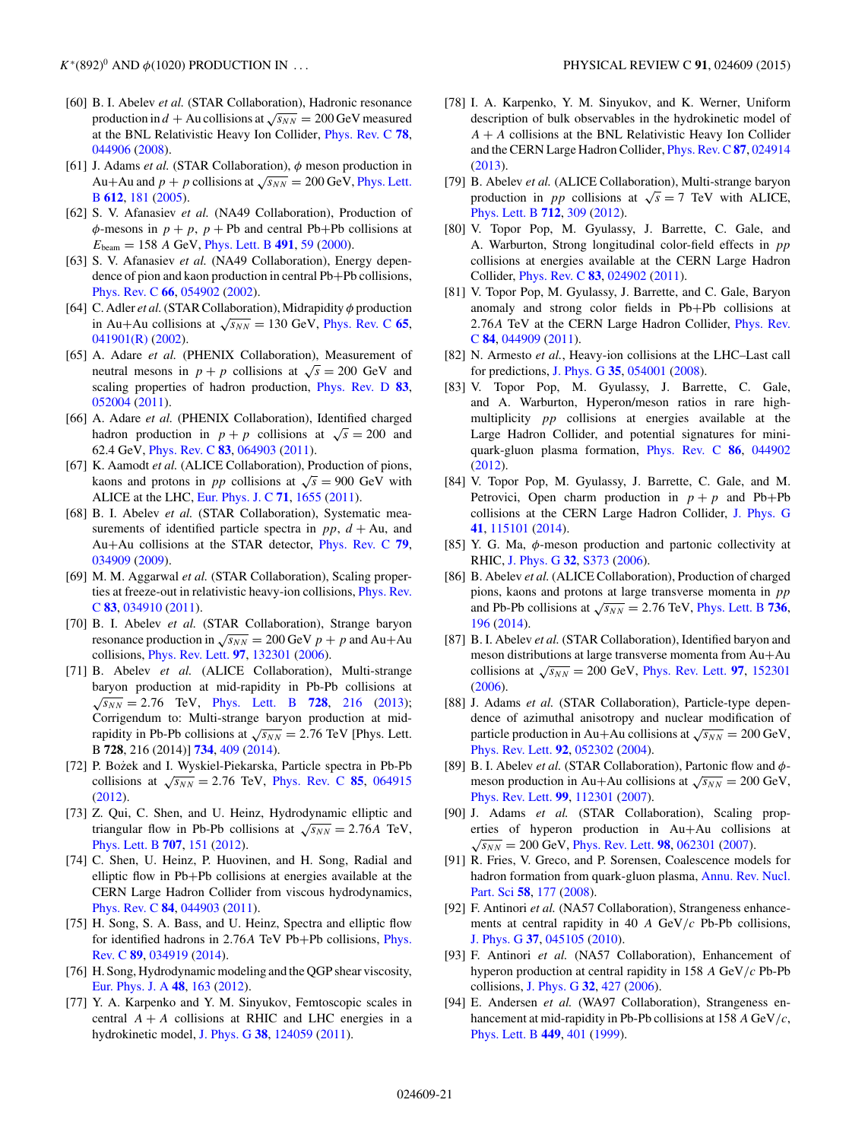- <span id="page-20-0"></span>[60] B. I. Abelev *et al.* (STAR Collaboration), Hadronic resonance production in  $d + Au$  collisions at  $\sqrt{s_{NN}} = 200$  GeV measured at the BNL Relativistic Heavy Ion Collider, [Phys. Rev. C](http://dx.doi.org/10.1103/PhysRevC.78.044906) **[78](http://dx.doi.org/10.1103/PhysRevC.78.044906)**, [044906](http://dx.doi.org/10.1103/PhysRevC.78.044906) [\(2008\)](http://dx.doi.org/10.1103/PhysRevC.78.044906).
- [61] J. Adams *et al.* (STAR Collaboration), φ meson production in Au+Au and  $p + p$  [collisions at](http://dx.doi.org/10.1016/j.physletb.2004.12.082)  $\sqrt{s_{NN}} = 200$  GeV, Phys. Lett. B **[612](http://dx.doi.org/10.1016/j.physletb.2004.12.082)**, [181](http://dx.doi.org/10.1016/j.physletb.2004.12.082) [\(2005\)](http://dx.doi.org/10.1016/j.physletb.2004.12.082).
- [62] S. V. Afanasiev *et al.* (NA49 Collaboration), Production of  $\phi$ -mesons in  $p + p$ ,  $p + Pb$  and central Pb+Pb collisions at  $E_{\text{beam}} = 158$  A GeV, *[Phys. Lett. B](http://dx.doi.org/10.1016/S0370-2693(00)01023-6)* [491](http://dx.doi.org/10.1016/S0370-2693(00)01023-6), [59](http://dx.doi.org/10.1016/S0370-2693(00)01023-6) [\(2000\)](http://dx.doi.org/10.1016/S0370-2693(00)01023-6).
- [63] S. V. Afanasiev *et al.* (NA49 Collaboration), Energy dependence of pion and kaon production in central Pb+Pb collisions, [Phys. Rev. C](http://dx.doi.org/10.1103/PhysRevC.66.054902) **[66](http://dx.doi.org/10.1103/PhysRevC.66.054902)**, [054902](http://dx.doi.org/10.1103/PhysRevC.66.054902) [\(2002\)](http://dx.doi.org/10.1103/PhysRevC.66.054902).
- [64] C. Adler *et al.*(STAR Collaboration), Midrapidity φ production in Au+Au collisions at  $\sqrt{s_{NN}} = 130$  GeV, [Phys. Rev. C](http://dx.doi.org/10.1103/PhysRevC.65.041901) [65](http://dx.doi.org/10.1103/PhysRevC.65.041901), [041901\(R\)](http://dx.doi.org/10.1103/PhysRevC.65.041901) [\(2002\)](http://dx.doi.org/10.1103/PhysRevC.65.041901).
- [65] A. Adare *et al.* (PHENIX Collaboration), Measurement of neutral mesons in  $p + p$  collisions at  $\sqrt{s} = 200$  GeV and scaling properties of hadron production, [Phys. Rev. D](http://dx.doi.org/10.1103/PhysRevD.83.052004) **[83](http://dx.doi.org/10.1103/PhysRevD.83.052004)**, [052004](http://dx.doi.org/10.1103/PhysRevD.83.052004) [\(2011\)](http://dx.doi.org/10.1103/PhysRevD.83.052004).
- [66] A. Adare *et al.* (PHENIX Collaboration), Identified charged hadron production in  $p + p$  collisions at  $\sqrt{s} = 200$  and 62.4 GeV, [Phys. Rev. C](http://dx.doi.org/10.1103/PhysRevC.83.064903) **[83](http://dx.doi.org/10.1103/PhysRevC.83.064903)**, [064903](http://dx.doi.org/10.1103/PhysRevC.83.064903) [\(2011\)](http://dx.doi.org/10.1103/PhysRevC.83.064903).
- [67] K. Aamodt *et al.* (ALICE Collaboration), Production of pions, kaons and protons in *pp* collisions at  $\sqrt{s} = 900$  GeV with ALICE at the LHC, [Eur. Phys. J. C](http://dx.doi.org/10.1140/epjc/s10052-011-1655-9) **[71](http://dx.doi.org/10.1140/epjc/s10052-011-1655-9)**, [1655](http://dx.doi.org/10.1140/epjc/s10052-011-1655-9) [\(2011\)](http://dx.doi.org/10.1140/epjc/s10052-011-1655-9).
- [68] B. I. Abelev *et al.* (STAR Collaboration), Systematic measurements of identified particle spectra in pp,  $d + Au$ , and Au+Au collisions at the STAR detector, [Phys. Rev. C](http://dx.doi.org/10.1103/PhysRevC.79.034909) **[79](http://dx.doi.org/10.1103/PhysRevC.79.034909)**, [034909](http://dx.doi.org/10.1103/PhysRevC.79.034909) [\(2009\)](http://dx.doi.org/10.1103/PhysRevC.79.034909).
- [69] M. M. Aggarwal *et al.* (STAR Collaboration), Scaling proper[ties at freeze-out in relativistic heavy-ion collisions,](http://dx.doi.org/10.1103/PhysRevC.83.034910) Phys. Rev. C **[83](http://dx.doi.org/10.1103/PhysRevC.83.034910)**, [034910](http://dx.doi.org/10.1103/PhysRevC.83.034910) [\(2011\)](http://dx.doi.org/10.1103/PhysRevC.83.034910).
- [70] B. I. Abelev *et al.* (STAR Collaboration), Strange baryon resonance production in  $\sqrt{s_{NN}}$  = 200 GeV  $p + p$  and Au+Au collisions, [Phys. Rev. Lett.](http://dx.doi.org/10.1103/PhysRevLett.97.132301) **[97](http://dx.doi.org/10.1103/PhysRevLett.97.132301)**, [132301](http://dx.doi.org/10.1103/PhysRevLett.97.132301) [\(2006\)](http://dx.doi.org/10.1103/PhysRevLett.97.132301).
- [71] B. Abelev *et al.* (ALICE Collaboration), Multi-strange baryon production at mid-rapidity in Pb-Pb collisions at  $\sqrt{s_{NN}}$  = 2.76 TeV, [Phys. Lett. B](http://dx.doi.org/10.1016/j.physletb.2013.11.048) [728](http://dx.doi.org/10.1016/j.physletb.2013.11.048), [216](http://dx.doi.org/10.1016/j.physletb.2013.11.048) [\(2013\)](http://dx.doi.org/10.1016/j.physletb.2013.11.048); ,Corrigendum to: Multi-strange baryon production at midrapidity in Pb-Pb collisions at  $\sqrt{s_{NN}} = 2.76$  TeV [Phys. Lett. B **728**, 216 (2014)] **[734](http://dx.doi.org/10.1016/j.physletb.2014.05.052)**, [409](http://dx.doi.org/10.1016/j.physletb.2014.05.052) [\(2014\)](http://dx.doi.org/10.1016/j.physletb.2014.05.052).
- [72] P. Bożek and I. Wyskiel-Piekarska, Particle spectra in Pb-Pb collisions at  $\sqrt{s_{NN}}$  = 2.76 TeV, [Phys. Rev. C](http://dx.doi.org/10.1103/PhysRevC.85.064915) [85](http://dx.doi.org/10.1103/PhysRevC.85.064915), [064915](http://dx.doi.org/10.1103/PhysRevC.85.064915) [\(2012\)](http://dx.doi.org/10.1103/PhysRevC.85.064915).
- [73] Z. Qui, C. Shen, and U. Heinz, Hydrodynamic elliptic and triangular flow in Pb-Pb collisions at  $\sqrt{s_{NN}} = 2.76A$  TeV, [Phys. Lett. B](http://dx.doi.org/10.1016/j.physletb.2011.12.041) **[707](http://dx.doi.org/10.1016/j.physletb.2011.12.041)**, [151](http://dx.doi.org/10.1016/j.physletb.2011.12.041) [\(2012\)](http://dx.doi.org/10.1016/j.physletb.2011.12.041).
- [74] C. Shen, U. Heinz, P. Huovinen, and H. Song, Radial and elliptic flow in Pb+Pb collisions at energies available at the CERN Large Hadron Collider from viscous hydrodynamics, [Phys. Rev. C](http://dx.doi.org/10.1103/PhysRevC.84.044903) **[84](http://dx.doi.org/10.1103/PhysRevC.84.044903)**, [044903](http://dx.doi.org/10.1103/PhysRevC.84.044903) [\(2011\)](http://dx.doi.org/10.1103/PhysRevC.84.044903).
- [75] H. Song, S. A. Bass, and U. Heinz, Spectra and elliptic flow [for identified hadrons in 2](http://dx.doi.org/10.1103/PhysRevC.89.034919).76<sup>A</sup> TeV Pb+Pb collisions, Phys. Rev. C **[89](http://dx.doi.org/10.1103/PhysRevC.89.034919)**, [034919](http://dx.doi.org/10.1103/PhysRevC.89.034919) [\(2014\)](http://dx.doi.org/10.1103/PhysRevC.89.034919).
- [76] H. Song, Hydrodynamic modeling and the QGP shear viscosity, [Eur. Phys. J. A](http://dx.doi.org/10.1140/epja/i2012-12163-9) **[48](http://dx.doi.org/10.1140/epja/i2012-12163-9)**, [163](http://dx.doi.org/10.1140/epja/i2012-12163-9) [\(2012\)](http://dx.doi.org/10.1140/epja/i2012-12163-9).
- [77] Y. A. Karpenko and Y. M. Sinyukov, Femtoscopic scales in central  $A + A$  collisions at RHIC and LHC energies in a hydrokinetic model, [J. Phys. G](http://dx.doi.org/10.1088/0954-3899/38/12/124059) **[38](http://dx.doi.org/10.1088/0954-3899/38/12/124059)**, [124059](http://dx.doi.org/10.1088/0954-3899/38/12/124059) [\(2011\)](http://dx.doi.org/10.1088/0954-3899/38/12/124059).
- [78] I. A. Karpenko, Y. M. Sinyukov, and K. Werner, Uniform description of bulk observables in the hydrokinetic model of  $A + A$  collisions at the BNL Relativistic Heavy Ion Collider and the CERN Large Hadron Collider, [Phys. Rev. C](http://dx.doi.org/10.1103/PhysRevC.87.024914) **[87](http://dx.doi.org/10.1103/PhysRevC.87.024914)**, [024914](http://dx.doi.org/10.1103/PhysRevC.87.024914) [\(2013\)](http://dx.doi.org/10.1103/PhysRevC.87.024914).
- [79] B. Abelev *et al.* (ALICE Collaboration), Multi-strange baryon production in *pp* collisions at  $\sqrt{s} = 7$  TeV with ALICE, [Phys. Lett. B](http://dx.doi.org/10.1016/j.physletb.2012.05.011) **[712](http://dx.doi.org/10.1016/j.physletb.2012.05.011)**, [309](http://dx.doi.org/10.1016/j.physletb.2012.05.011) [\(2012\)](http://dx.doi.org/10.1016/j.physletb.2012.05.011).
- [80] V. Topor Pop, M. Gyulassy, J. Barrette, C. Gale, and A. Warburton, Strong longitudinal color-field effects in pp collisions at energies available at the CERN Large Hadron Collider, [Phys. Rev. C](http://dx.doi.org/10.1103/PhysRevC.83.024902) **[83](http://dx.doi.org/10.1103/PhysRevC.83.024902)**, [024902](http://dx.doi.org/10.1103/PhysRevC.83.024902) [\(2011\)](http://dx.doi.org/10.1103/PhysRevC.83.024902).
- [81] V. Topor Pop, M. Gyulassy, J. Barrette, and C. Gale, Baryon anomaly and strong color fields in Pb+Pb collisions at 2.76A [TeV at the CERN Large Hadron Collider,](http://dx.doi.org/10.1103/PhysRevC.84.044909) Phys. Rev. C **[84](http://dx.doi.org/10.1103/PhysRevC.84.044909)**, [044909](http://dx.doi.org/10.1103/PhysRevC.84.044909) [\(2011\)](http://dx.doi.org/10.1103/PhysRevC.84.044909).
- [82] N. Armesto *et al.*, Heavy-ion collisions at the LHC–Last call for predictions, [J. Phys. G](http://dx.doi.org/10.1088/0954-3899/35/5/054001) **[35](http://dx.doi.org/10.1088/0954-3899/35/5/054001)**, [054001](http://dx.doi.org/10.1088/0954-3899/35/5/054001) [\(2008\)](http://dx.doi.org/10.1088/0954-3899/35/5/054001).
- [83] V. Topor Pop, M. Gyulassy, J. Barrette, C. Gale, and A. Warburton, Hyperon/meson ratios in rare highmultiplicity pp collisions at energies available at the Large Hadron Collider, and potential signatures for miniquark-gluon plasma formation, [Phys. Rev. C](http://dx.doi.org/10.1103/PhysRevC.86.044902) **[86](http://dx.doi.org/10.1103/PhysRevC.86.044902)**, [044902](http://dx.doi.org/10.1103/PhysRevC.86.044902) [\(2012\)](http://dx.doi.org/10.1103/PhysRevC.86.044902).
- [84] V. Topor Pop, M. Gyulassy, J. Barrette, C. Gale, and M. Petrovici, Open charm production in  $p + p$  and Pb+Pb collisions at the CERN Large Hadron Collider, [J. Phys. G](http://dx.doi.org/10.1088/0954-3899/41/11/115101) **[41](http://dx.doi.org/10.1088/0954-3899/41/11/115101)**, [115101](http://dx.doi.org/10.1088/0954-3899/41/11/115101) [\(2014\)](http://dx.doi.org/10.1088/0954-3899/41/11/115101).
- [85] Y. G. Ma,  $\phi$ -meson production and partonic collectivity at RHIC, [J. Phys. G](http://dx.doi.org/10.1088/0954-3899/32/12/S46) **[32](http://dx.doi.org/10.1088/0954-3899/32/12/S46)**, [S373](http://dx.doi.org/10.1088/0954-3899/32/12/S46) [\(2006\)](http://dx.doi.org/10.1088/0954-3899/32/12/S46).
- [86] B. Abelev *et al.* (ALICE Collaboration), Production of charged pions, kaons and protons at large transverse momenta in pp and Pb-Pb collisions at  $\sqrt{s_{NN}} = 2.76$  TeV, [Phys. Lett. B](http://dx.doi.org/10.1016/j.physletb.2014.07.011) [736](http://dx.doi.org/10.1016/j.physletb.2014.07.011), [196](http://dx.doi.org/10.1016/j.physletb.2014.07.011) [\(2014\)](http://dx.doi.org/10.1016/j.physletb.2014.07.011).
- [87] B. I. Abelev et al. (STAR Collaboration), Identified baryon and meson distributions at large transverse momenta from Au+Au collisions at  $\sqrt{s_{NN}} = 200$  GeV, [Phys. Rev. Lett.](http://dx.doi.org/10.1103/PhysRevLett.97.152301) **[97](http://dx.doi.org/10.1103/PhysRevLett.97.152301)**, [152301](http://dx.doi.org/10.1103/PhysRevLett.97.152301) [\(2006\)](http://dx.doi.org/10.1103/PhysRevLett.97.152301).
- [88] J. Adams *et al.* (STAR Collaboration), Particle-type dependence of azimuthal anisotropy and nuclear modification of particle production in Au+Au collisions at  $\sqrt{s_{NN}} = 200 \,\text{GeV}$ , [Phys. Rev. Lett.](http://dx.doi.org/10.1103/PhysRevLett.92.052302) **[92](http://dx.doi.org/10.1103/PhysRevLett.92.052302)**, [052302](http://dx.doi.org/10.1103/PhysRevLett.92.052302) [\(2004\)](http://dx.doi.org/10.1103/PhysRevLett.92.052302).
- [89] B. I. Abelev *et al.* (STAR Collaboration), Partonic flow and φmeson production in Au+Au collisions at  $\sqrt{s_{NN}}$  = 200 GeV, [Phys. Rev. Lett.](http://dx.doi.org/10.1103/PhysRevLett.99.112301) **[99](http://dx.doi.org/10.1103/PhysRevLett.99.112301)**, [112301](http://dx.doi.org/10.1103/PhysRevLett.99.112301) [\(2007\)](http://dx.doi.org/10.1103/PhysRevLett.99.112301).
- [90] J. Adams *et al.* (STAR Collaboration), Scaling properties of hyperon production in Au+Au collisions at  $\sqrt{s_{NN}}$  = 200 GeV, [Phys. Rev. Lett.](http://dx.doi.org/10.1103/PhysRevLett.98.062301) **[98](http://dx.doi.org/10.1103/PhysRevLett.98.062301)**, [062301](http://dx.doi.org/10.1103/PhysRevLett.98.062301) [\(2007\)](http://dx.doi.org/10.1103/PhysRevLett.98.062301).
- [91] R. Fries, V. Greco, and P. Sorensen, Coalescence models for [hadron formation from quark-gluon plasma,](http://dx.doi.org/10.1146/annurev.nucl.58.110707.171134) Annu. Rev. Nucl. Part. Sci **[58](http://dx.doi.org/10.1146/annurev.nucl.58.110707.171134)**, [177](http://dx.doi.org/10.1146/annurev.nucl.58.110707.171134) [\(2008\)](http://dx.doi.org/10.1146/annurev.nucl.58.110707.171134).
- [92] F. Antinori *et al.* (NA57 Collaboration), Strangeness enhancements at central rapidity in 40 A  $GeV/c$  Pb-Pb collisions, [J. Phys. G](http://dx.doi.org/10.1088/0954-3899/37/4/045105) **[37](http://dx.doi.org/10.1088/0954-3899/37/4/045105)**, [045105](http://dx.doi.org/10.1088/0954-3899/37/4/045105) [\(2010\)](http://dx.doi.org/10.1088/0954-3899/37/4/045105).
- [93] F. Antinori *et al.* (NA57 Collaboration), Enhancement of hyperon production at central rapidity in 158  $A$  GeV/ $c$  Pb-Pb collisions, [J. Phys. G](http://dx.doi.org/10.1088/0954-3899/32/4/003) **[32](http://dx.doi.org/10.1088/0954-3899/32/4/003)**, [427](http://dx.doi.org/10.1088/0954-3899/32/4/003) [\(2006\)](http://dx.doi.org/10.1088/0954-3899/32/4/003).
- [94] E. Andersen *et al.* (WA97 Collaboration), Strangeness enhancement at mid-rapidity in Pb-Pb collisions at 158 A GeV/ $c$ , [Phys. Lett. B](http://dx.doi.org/10.1016/S0370-2693(99)00140-9) **[449](http://dx.doi.org/10.1016/S0370-2693(99)00140-9)**, [401](http://dx.doi.org/10.1016/S0370-2693(99)00140-9) [\(1999\)](http://dx.doi.org/10.1016/S0370-2693(99)00140-9).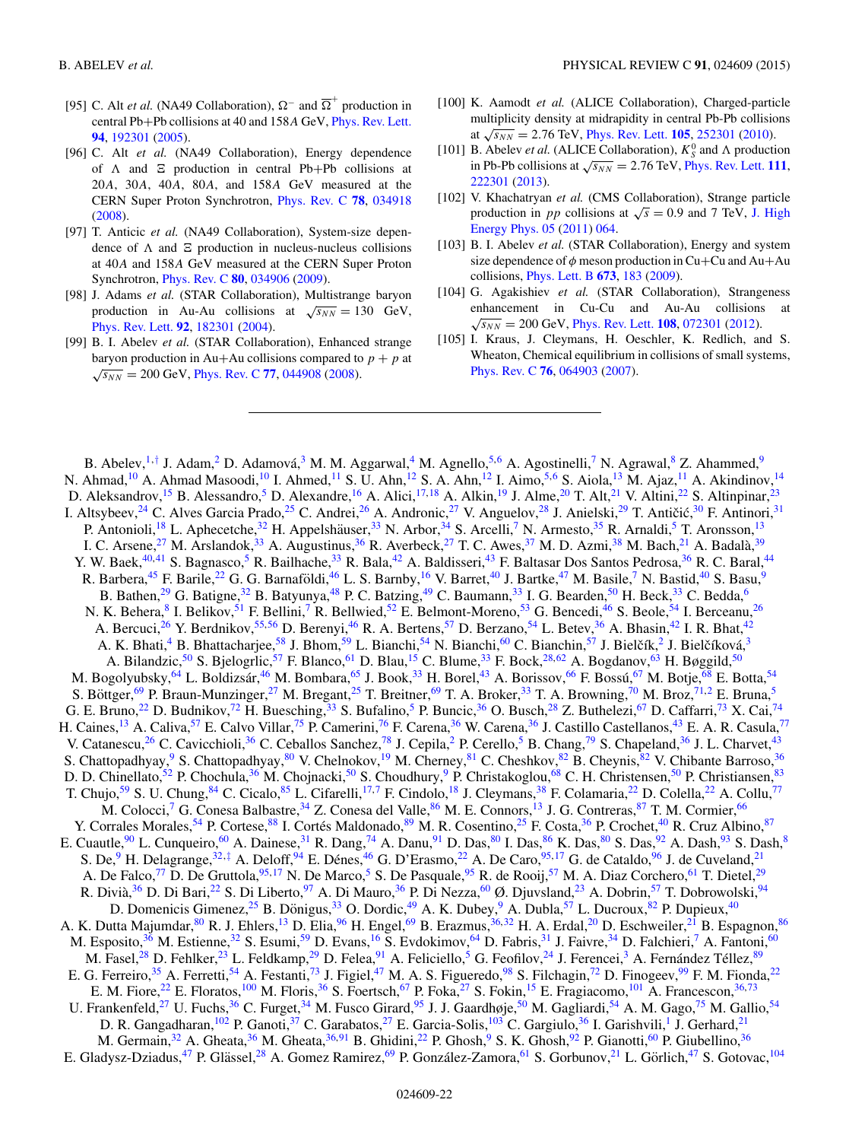- <span id="page-21-0"></span>[95] C. Alt *et al.* (NA49 Collaboration),  $\Omega^-$  and  $\overline{\Omega}^+$  production in central Pb+Pb collisions at 40 and 158<sup>A</sup> GeV, [Phys. Rev. Lett.](http://dx.doi.org/10.1103/PhysRevLett.94.192301) **[94](http://dx.doi.org/10.1103/PhysRevLett.94.192301)**, [192301](http://dx.doi.org/10.1103/PhysRevLett.94.192301) [\(2005\)](http://dx.doi.org/10.1103/PhysRevLett.94.192301).
- [96] C. Alt *et al.* (NA49 Collaboration), Energy dependence of  $\Lambda$  and  $\Xi$  production in central Pb+Pb collisions at 20A, 30A, 40A, 80A, and 158A GeV measured at the CERN Super Proton Synchrotron, [Phys. Rev. C](http://dx.doi.org/10.1103/PhysRevC.78.034918) **[78](http://dx.doi.org/10.1103/PhysRevC.78.034918)**, [034918](http://dx.doi.org/10.1103/PhysRevC.78.034918) [\(2008\)](http://dx.doi.org/10.1103/PhysRevC.78.034918).
- [97] T. Anticic *et al.* (NA49 Collaboration), System-size dependence of  $\Lambda$  and  $\Xi$  production in nucleus-nucleus collisions at 40A and 158A GeV measured at the CERN Super Proton Synchrotron, [Phys. Rev. C](http://dx.doi.org/10.1103/PhysRevC.80.034906) **[80](http://dx.doi.org/10.1103/PhysRevC.80.034906)**, [034906](http://dx.doi.org/10.1103/PhysRevC.80.034906) [\(2009\)](http://dx.doi.org/10.1103/PhysRevC.80.034906).
- [98] J. Adams *et al.* (STAR Collaboration), Multistrange baryon production in Au-Au collisions at  $\sqrt{s_{NN}} = 130$  GeV, [Phys. Rev. Lett.](http://dx.doi.org/10.1103/PhysRevLett.92.182301) **[92](http://dx.doi.org/10.1103/PhysRevLett.92.182301)**, [182301](http://dx.doi.org/10.1103/PhysRevLett.92.182301) [\(2004\)](http://dx.doi.org/10.1103/PhysRevLett.92.182301).
- [99] B. I. Abelev *et al.* (STAR Collaboration), Enhanced strange baryon production in Au+Au collisions compared to  $p + p$  at  $\sqrt{s_{NN}}$  = 200 GeV, [Phys. Rev. C](http://dx.doi.org/10.1103/PhysRevC.77.044908) [77](http://dx.doi.org/10.1103/PhysRevC.77.044908), [044908](http://dx.doi.org/10.1103/PhysRevC.77.044908) [\(2008\)](http://dx.doi.org/10.1103/PhysRevC.77.044908).
- [100] K. Aamodt *et al.* (ALICE Collaboration), Charged-particle multiplicity density at midrapidity in central Pb-Pb collisions at  $\sqrt{s_{NN}}$  = 2.76 TeV, [Phys. Rev. Lett.](http://dx.doi.org/10.1103/PhysRevLett.105.252301) **[105](http://dx.doi.org/10.1103/PhysRevLett.105.252301)**, [252301](http://dx.doi.org/10.1103/PhysRevLett.105.252301) [\(2010\)](http://dx.doi.org/10.1103/PhysRevLett.105.252301).
- [101] B. Abelev *et al.* (ALICE Collaboration),  $K_S^0$  and  $\Lambda$  production in Pb-Pb collisions at  $\sqrt{s_{NN}} = 2.76$  TeV, [Phys. Rev. Lett.](http://dx.doi.org/10.1103/PhysRevLett.111.222301) [111](http://dx.doi.org/10.1103/PhysRevLett.111.222301), [222301](http://dx.doi.org/10.1103/PhysRevLett.111.222301) [\(2013\)](http://dx.doi.org/10.1103/PhysRevLett.111.222301).
- [102] V. Khachatryan et al. (CMS Collaboration), Strange particle production in *pp* collisions at  $\sqrt{s} = 0.9$  and 7 TeV, J. High [Energy Phys. 05](http://dx.doi.org/10.1007/JHEP05(2011)064) [\(2011\)](http://dx.doi.org/10.1007/JHEP05(2011)064) [064.](http://dx.doi.org/10.1007/JHEP05(2011)064)
- [103] B. I. Abelev *et al.* (STAR Collaboration), Energy and system size dependence of  $\phi$  meson production in Cu+Cu and Au+Au collisions, [Phys. Lett. B](http://dx.doi.org/10.1016/j.physletb.2009.02.037) **[673](http://dx.doi.org/10.1016/j.physletb.2009.02.037)**, [183](http://dx.doi.org/10.1016/j.physletb.2009.02.037) [\(2009\)](http://dx.doi.org/10.1016/j.physletb.2009.02.037).
- [104] G. Agakishiev *et al.* (STAR Collaboration), Strangeness enhancement in Cu-Cu and Au-Au collisions  $\sqrt{s_{NN}}$  = 200 GeV, [Phys. Rev. Lett.](http://dx.doi.org/10.1103/PhysRevLett.108.072301) **[108](http://dx.doi.org/10.1103/PhysRevLett.108.072301)**, [072301](http://dx.doi.org/10.1103/PhysRevLett.108.072301) [\(2012\)](http://dx.doi.org/10.1103/PhysRevLett.108.072301).
- [105] I. Kraus, J. Cleymans, H. Oeschler, K. Redlich, and S. Wheaton, Chemical equilibrium in collisions of small systems, [Phys. Rev. C](http://dx.doi.org/10.1103/PhysRevC.76.064903) **[76](http://dx.doi.org/10.1103/PhysRevC.76.064903)**, [064903](http://dx.doi.org/10.1103/PhysRevC.76.064903) [\(2007\)](http://dx.doi.org/10.1103/PhysRevC.76.064903).

B. Abelev,<sup>[1,](#page-23-0)[†](#page-25-0)</sup> J. Adam,<sup>2</sup> D. Adamová,<sup>[3](#page-23-0)</sup> M. M. Aggarwal,<sup>[4](#page-23-0)</sup> M. Agnello,<sup>[5,6](#page-23-0)</sup> A. Agostinelli,<sup>7</sup> N. Agrawal,<sup>8</sup> Z. Ahammed,<sup>9</sup> N. Ahmad,<sup>[10](#page-23-0)</sup> A. Ahmad Masoodi,<sup>10</sup> I. Ahmed,<sup>[11](#page-23-0)</sup> S. U. Ahn,<sup>12</sup> S. A. Ahn,<sup>12</sup> I. Aimo,<sup>5,6</sup> S. Aiola,<sup>[13](#page-23-0)</sup> M. Ajaz,<sup>11</sup> A. Akindinov,<sup>[14](#page-23-0)</sup> D. Aleksandrov,<sup>[15](#page-23-0)</sup> B. Alessandro,<sup>5</sup> D. Alexandre,<sup>[16](#page-23-0)</sup> A. Alici,<sup>[17,18](#page-23-0)</sup> A. Alkin,<sup>[19](#page-23-0)</sup> J. Alme,<sup>20</sup> T. Alt,<sup>[21](#page-23-0)</sup> V. Altini,<sup>22</sup> S. Altinpinar,<sup>[23](#page-23-0)</sup> I. Altsybeev,<sup>[24](#page-23-0)</sup> C. Alves Garcia Prado,<sup>[25](#page-23-0)</sup> C. Andrei,<sup>[26](#page-23-0)</sup> A. Andronic,<sup>[27](#page-23-0)</sup> V. Anguelov,<sup>[28](#page-23-0)</sup> J. Anielski,<sup>[29](#page-23-0)</sup> T. Antičić,<sup>[30](#page-23-0)</sup> F. Antinori,<sup>31</sup> P. Antonioli,<sup>[18](#page-23-0)</sup> L. Aphecetche,<sup>32</sup> H. Appelshäuser,<sup>[33](#page-23-0)</sup> N. Arbor,<sup>[34](#page-23-0)</sup> S. Arcelli,<sup>[7](#page-23-0)</sup> N. Armesto,<sup>[35](#page-24-0)</sup> R. Arnaldi,<sup>[5](#page-23-0)</sup> T. Aronsson,<sup>[13](#page-23-0)</sup> I. C. Arsene,<sup>[27](#page-23-0)</sup> M. Arslandok,<sup>[33](#page-23-0)</sup> A. Augustinus,<sup>36</sup> R. Averbeck,<sup>27</sup> T. C. Awes,<sup>[37](#page-24-0)</sup> M. D. Azmi,<sup>[38](#page-24-0)</sup> M. Bach,<sup>[21](#page-23-0)</sup> A. Badalà,<sup>[39](#page-24-0)</sup> Y. W. Baek,<sup>[40,41](#page-24-0)</sup> S. Bagnasco,<sup>5</sup> R. Bailhache,<sup>[33](#page-23-0)</sup> R. Bala,<sup>[42](#page-24-0)</sup> A. Baldisseri,<sup>[43](#page-24-0)</sup> F. Baltasar Dos Santos Pedrosa,<sup>36</sup> R. C. Baral,<sup>[44](#page-24-0)</sup> R. Barbera,<sup>[45](#page-24-0)</sup> F. Barile,<sup>[22](#page-23-0)</sup> G. G. Barnaföldi,<sup>[46](#page-24-0)</sup> L. S. Barnby,<sup>[16](#page-23-0)</sup> V. Barret,<sup>40</sup> J. Bartke,<sup>4[7](#page-23-0)</sup> M. Basile,<sup>7</sup> N. Bastid,<sup>[40](#page-24-0)</sup> S. Basu,<sup>[9](#page-23-0)</sup> B. Bathen,<sup>[29](#page-23-0)</sup> G. Batigne,<sup>[32](#page-23-0)</sup> B. Batyunya,<sup>[48](#page-24-0)</sup> P. C. Batzing,<sup>[49](#page-24-0)</sup> C. Baumann,<sup>[33](#page-23-0)</sup> I. G. Bearden,<sup>50</sup> H. Beck,<sup>33</sup> C. Bedda,<sup>[6](#page-23-0)</sup> N. K. Behera, <sup>[8](#page-23-0)</sup> I. Belikov, <sup>51</sup> F. Bellini, <sup>7</sup> R. Bellwied, <sup>[52](#page-24-0)</sup> E. Belmont-Moreno, <sup>[53](#page-24-0)</sup> G. Bencedi, <sup>[46](#page-24-0)</sup> S. Beole, <sup>[54](#page-24-0)</sup> I. Berceanu, <sup>26</sup> A. Bercuci,<sup>[26](#page-23-0)</sup> Y. Berdnikov,<sup>[55,56](#page-24-0)</sup> D. Berenyi,<sup>46</sup> R. A. Bertens,<sup>57</sup> D. Berzano,<sup>[54](#page-24-0)</sup> L. Betev,<sup>36</sup> A. Bhasin,<sup>[42](#page-24-0)</sup> I. R. Bhat,<sup>42</sup> A. K. Bhati,<sup>4</sup> B. Bhattacharjee,<sup>58</sup> J. Bhom,<sup>59</sup> L. Bianchi,<sup>54</sup> N. Bianchi,<sup>[60](#page-24-0)</sup> C. Bianchin,<sup>[57](#page-24-0)</sup> J. Bielčík,<sup>[2](#page-23-0)</sup> J. Bielčíková,<sup>[3](#page-23-0)</sup> A. Bilandzic,<sup>[50](#page-24-0)</sup> S. Bjelogrlic,<sup>[57](#page-24-0)</sup> F. Blanco,<sup>[61](#page-24-0)</sup> D. Blau,<sup>[15](#page-23-0)</sup> C. Blume,<sup>[33](#page-23-0)</sup> F. Bock,<sup>[28](#page-23-0)[,62](#page-24-0)</sup> A. Bogdanov,<sup>[63](#page-24-0)</sup> H. Bøggild,<sup>50</sup> M. Bogolyubsky,<sup>64</sup> L. Boldizsár,<sup>[46](#page-24-0)</sup> M. Bombara,<sup>65</sup> J. Book,<sup>33</sup> H. Borel,<sup>[43](#page-24-0)</sup> A. Borissov,<sup>[66](#page-24-0)</sup> F. Bossú,<sup>[67](#page-24-0)</sup> M. Botje,<sup>[68](#page-24-0)</sup> E. Botta,<sup>[54](#page-24-0)</sup> S. Böttger,<sup>[69](#page-24-0)</sup> P. Braun-Munzinger,<sup>[27](#page-23-0)</sup> M. Bregant,<sup>[25](#page-23-0)</sup> T. Breitner,<sup>69</sup> T. A. Broker,<sup>[33](#page-23-0)</sup> T. A. Browning,<sup>[70](#page-24-0)</sup> M. Broz,<sup>[71,](#page-24-0)[2](#page-23-0)</sup> E. Bruna,<sup>[5](#page-23-0)</sup> G. E. Bruno,<sup>[22](#page-23-0)</sup> D. Budnikov,<sup>[72](#page-24-0)</sup> H. Buesching,<sup>33</sup> S. Bufalino,<sup>[5](#page-23-0)</sup> P. Buncic,<sup>[36](#page-24-0)</sup> O. Busch,<sup>28</sup> Z. Buthelezi,<sup>[67](#page-24-0)</sup> D. Caffarri,<sup>[73](#page-24-0)</sup> X. Cai,<sup>74</sup> H. Caines,<sup>[13](#page-23-0)</sup> A. Caliva,<sup>57</sup> E. Calvo Villar,<sup>75</sup> P. Camerini,<sup>[76](#page-24-0)</sup> F. Carena,<sup>[36](#page-24-0)</sup> W. Carena,<sup>36</sup> J. Castillo Castellanos,<sup>[43](#page-24-0)</sup> E. A. R. Casula,<sup>[77](#page-24-0)</sup> V. Catanescu,<sup>[26](#page-23-0)</sup> C. Cavicchioli,<sup>[36](#page-24-0)</sup> C. Ceballos Sanchez,<sup>78</sup> J. Cepila,<sup>2</sup> P. Cerello,<sup>[5](#page-23-0)</sup> B. Chang,<sup>[79](#page-24-0)</sup> S. Chapeland,<sup>36</sup> J. L. Charvet,<sup>43</sup> S. Chattopadhyay,<sup>9</sup> S. Chattopadhyay,<sup>80</sup> V. Chelnokov,<sup>[19](#page-23-0)</sup> M. Cherney,<sup>[81](#page-24-0)</sup> C. Cheshkov,<sup>[82](#page-24-0)</sup> B. Cheynis,<sup>82</sup> V. Chibante Barroso,<sup>36</sup> D. D. Chinellato,<sup>[52](#page-24-0)</sup> P. Chochula,<sup>36</sup> M. Chojnacki,<sup>50</sup> S. Choudhury,<sup>9</sup> P. Christakoglou,<sup>[68](#page-24-0)</sup> C. H. Christensen,<sup>[50](#page-24-0)</sup> P. Christiansen,<sup>[83](#page-24-0)</sup> T. Chujo,<sup>[59](#page-24-0)</sup> S. U. Chung,<sup>[84](#page-24-0)</sup> C. Cicalo,<sup>[85](#page-24-0)</sup> L. Cifarelli,<sup>[17,7](#page-23-0)</sup> F. Cindolo,<sup>[18](#page-23-0)</sup> J. Cleymans,<sup>38</sup> F. Colamaria,<sup>[22](#page-23-0)</sup> D. Colella,<sup>22</sup> A. Collu,<sup>[77](#page-24-0)</sup> M. Colocci,<sup>[7](#page-23-0)</sup> G. Conesa Balbastre,  $34$  Z. Conesa del Valle,  $86$  M. E. Connors,  $^{13}$  J. G. Contreras,  $^{87}$  T. M. Cormier,  $^{66}$  $^{66}$  $^{66}$ Y. Corrales Morales, <sup>[54](#page-24-0)</sup> P. Cortese, <sup>[88](#page-24-0)</sup> I. Cortés Maldonado, <sup>[89](#page-24-0)</sup> M. R. Cosentino, <sup>[25](#page-23-0)</sup> F. Costa, <sup>[36](#page-24-0)</sup> P. Crochet, <sup>[40](#page-24-0)</sup> R. Cruz Albino, <sup>[87](#page-24-0)</sup> E. Cuautle, <sup>90</sup> L. Cunqueiro, <sup>[60](#page-24-0)</sup> A. Dainese, <sup>[31](#page-23-0)</sup> R. Dang, <sup>74</sup> A. Danu, <sup>[91](#page-24-0)</sup> D. Das, <sup>80</sup> I. Das, <sup>86</sup> K. Das, <sup>80</sup> S. Das, <sup>92</sup> A. Dash, <sup>[93](#page-24-0)</sup> S. Dash, <sup>[8](#page-23-0)</sup> S. De,<sup>[9](#page-23-0)</sup> H. Delagrange,<sup>[32,](#page-23-0)[‡](#page-0-0)</sup> A. Deloff,<sup>[94](#page-25-0)</sup> E. Dénes,<sup>[46](#page-24-0)</sup> G. D'Erasmo,<sup>[22](#page-23-0)</sup> A. De Caro,<sup>[95,](#page-25-0)[17](#page-23-0)</sup> G. de Cataldo,<sup>[96](#page-25-0)</sup> J. de Cuveland,<sup>21</sup> A. De Falco,<sup>[77](#page-24-0)</sup> D. De Gruttola,<sup>[95,](#page-25-0)[17](#page-23-0)</sup> N. De Marco,<sup>[5](#page-23-0)</sup> S. De Pasquale,<sup>[95](#page-25-0)</sup> R. de Rooij,<sup>[57](#page-24-0)</sup> M. A. Diaz Corchero,<sup>[61](#page-24-0)</sup> T. Dietel,<sup>[29](#page-23-0)</sup> R. Divià,  $36$  D. Di Bari,  $22$  S. Di Liberto,  $97$  A. Di Mauro,  $36$  P. Di Nezza,  $60$  Ø. Djuvsland,  $23$  A. Dobrin,  $57$  T. Dobrowolski,  $94$ D. Domenicis Gimenez,<sup>25</sup> B. Dönigus,<sup>[33](#page-23-0)</sup> O. Dordic,<sup>[49](#page-24-0)</sup> A. K. Dubey,<sup>[9](#page-23-0)</sup> A. Dubla,<sup>[57](#page-24-0)</sup> L. Ducroux, [82](#page-24-0) P. Dupieux, <sup>[40](#page-24-0)</sup> A. K. Dutta Majumdar,  $80$  R. J. Ehlers,  $^{13}$  D. Elia,  $^{96}$  $^{96}$  $^{96}$  H. Engel,  $^{69}$  B. Erazmus,  $^{36,32}$  $^{36,32}$  $^{36,32}$  $^{36,32}$  H. A. Erdal,  $^{20}$  D. Eschweiler,  $^{21}$  $^{21}$  $^{21}$  B. Espagnon,  $^{86}$  $^{86}$  $^{86}$ M. Esposito,<sup>[36](#page-24-0)</sup> M. Estienne,<sup>[32](#page-23-0)</sup> S. Esumi,<sup>[59](#page-24-0)</sup> D. Evans,<sup>[16](#page-23-0)</sup> S. Evdokimov,<sup>[64](#page-24-0)</sup> D. Fabris,<sup>[31](#page-23-0)</sup> J. Faivre,<sup>34</sup> D. Falchieri,<sup>7</sup> A. Fantoni,<sup>[60](#page-24-0)</sup> M. Fasel,<sup>[28](#page-23-0)</sup> D. Fehlker,<sup>23</sup> L. Feldkamp,<sup>[29](#page-23-0)</sup> D. Felea,<sup>[91](#page-24-0)</sup> A. Feliciello,<sup>[5](#page-23-0)</sup> G. Feofilov,<sup>[24](#page-23-0)</sup> J. Ferencei,<sup>3</sup> A. Fernández Téllez,<sup>[89](#page-24-0)</sup> E. G. Ferreiro,<sup>[35](#page-24-0)</sup> A. Ferretti,<sup>[54](#page-24-0)</sup> A. Festanti,<sup>[73](#page-24-0)</sup> J. Figiel,<sup>47</sup> M. A. S. Figueredo,<sup>[98](#page-25-0)</sup> S. Filchagin,<sup>[72](#page-24-0)</sup> D. Finogeev,<sup>[99](#page-25-0)</sup> F. M. Fionda,<sup>[22](#page-23-0)</sup> E. M. Fiore,<sup>[22](#page-23-0)</sup> E. Floratos,<sup>[100](#page-25-0)</sup> M. Floris,<sup>[36](#page-24-0)</sup> S. Foertsch,<sup>[67](#page-24-0)</sup> P. Foka,<sup>[27](#page-23-0)</sup> S. Fokin,<sup>[15](#page-23-0)</sup> E. Fragiacomo,<sup>[101](#page-25-0)</sup> A. Francescon,<sup>[36,73](#page-24-0)</sup> U. Frankenfeld,<sup>[27](#page-23-0)</sup> U. Fuchs,<sup>36</sup> C. Furget,<sup>[34](#page-23-0)</sup> M. Fusco Girard,<sup>[95](#page-25-0)</sup> J. J. Gaardhøje,<sup>50</sup> M. Gagliardi,<sup>[54](#page-24-0)</sup> A. M. Gago,<sup>[75](#page-24-0)</sup> M. Gallio,<sup>54</sup> D. R. Gangadharan, <sup>102</sup> P. Ganoti, <sup>37</sup> C. Garabatos, <sup>[27](#page-23-0)</sup> E. Garcia-Solis, <sup>[103](#page-25-0)</sup> C. Gargiulo, <sup>[36](#page-24-0)</sup> I. Garishvili, <sup>1</sup> J. Gerhard, <sup>[21](#page-23-0)</sup> M. Germain,<sup>[32](#page-23-0)</sup> A. Gheata,<sup>[36](#page-24-0)</sup> M. Gheata,<sup>36,[9](#page-23-0)1</sup> B. Ghidini,<sup>22</sup> P. Ghosh,<sup>9</sup> S. K. Ghosh,<sup>[92](#page-24-0)</sup> P. Gianotti,<sup>60</sup> P. Giubellino,<sup>36</sup> E. Gladysz-Dziadus,<sup>[47](#page-24-0)</sup> P. Glässel,<sup>[28](#page-23-0)</sup> A. Gomez Ramirez,<sup>[69](#page-24-0)</sup> P. González-Zamora,<sup>[61](#page-24-0)</sup> S. Gorbunov,<sup>21</sup> L. Görlich,<sup>47</sup> S. Gotovac,<sup>104</sup>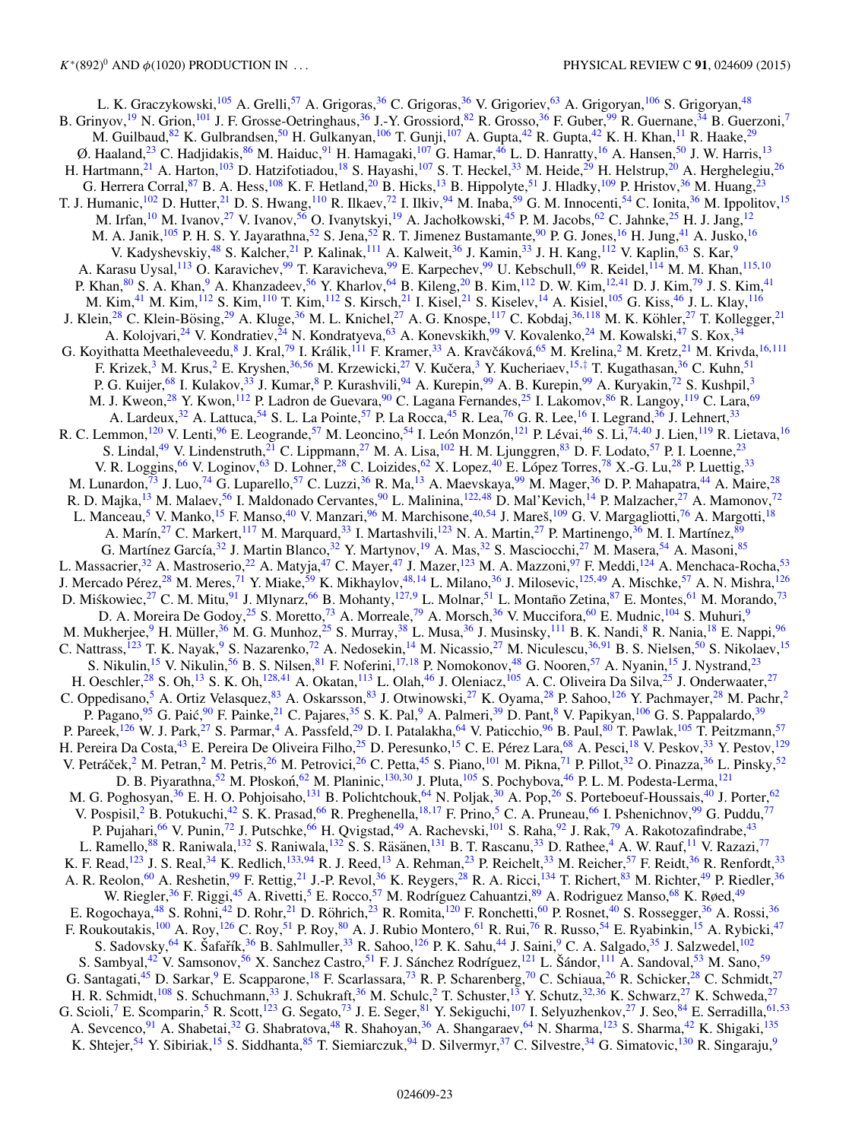L. K. Graczykowski,<sup>[105](#page-25-0)</sup> A. Grelli,<sup>[57](#page-24-0)</sup> A. Grigoras,<sup>[36](#page-24-0)</sup> C. Grigoras,<sup>36</sup> V. Grigoriev,<sup>[63](#page-24-0)</sup> A. Grigoryan,<sup>[106](#page-25-0)</sup> S. Grigoryan,<sup>[48](#page-24-0)</sup> B. Grinyov,<sup>[19](#page-23-0)</sup> N. Grion,<sup>[101](#page-25-0)</sup> J. F. Grosse-Oetringhaus,<sup>36</sup> J.-Y. Grossiord,<sup>[82](#page-24-0)</sup> R. Grosso,<sup>[36](#page-24-0)</sup> F. Guber,<sup>[99](#page-25-0)</sup> R. Guernane,<sup>[34](#page-23-0)</sup> B. Guerzoni,<sup>7</sup> M. Guilbaud,<sup>[82](#page-24-0)</sup> K. Gulbrandsen,<sup>[50](#page-24-0)</sup> H. Gulkanyan,<sup>[106](#page-25-0)</sup> T. Gunji,<sup>[107](#page-25-0)</sup> A. Gupta,<sup>[42](#page-24-0)</sup> R. Gupta,<sup>42</sup> K. H. Khan,<sup>[11](#page-23-0)</sup> R. Haake,<sup>[29](#page-23-0)</sup> Ø. Haaland,<sup>[23](#page-23-0)</sup> C. Hadjidakis,<sup>86</sup> M. Haiduc,<sup>91</sup> H. Hamagaki,<sup>107</sup> G. Hamar,<sup>46</sup> L. D. Hanratty,<sup>[16](#page-23-0)</sup> A. Hansen,<sup>50</sup> J. W. Harris,<sup>13</sup> H. Hartmann,<sup>[21](#page-23-0)</sup> A. Harton,<sup>[103](#page-25-0)</sup> D. Hatzifotiadou,<sup>[18](#page-23-0)</sup> S. Hayashi,<sup>[107](#page-25-0)</sup> S. T. Heckel,<sup>[33](#page-23-0)</sup> M. Heide,<sup>[29](#page-23-0)</sup> H. Helstrup,<sup>[20](#page-23-0)</sup> A. Herghelegiu,<sup>26</sup> G. Herrera Corral, <sup>87</sup> B. A. Hess, <sup>108</sup> K. F. Hetland, <sup>[20](#page-23-0)</sup> B. Hicks, <sup>[13](#page-23-0)</sup> B. Hippolyte, <sup>[51](#page-24-0)</sup> J. Hladky, <sup>109</sup> P. Hristov, <sup>[36](#page-24-0)</sup> M. Huang, <sup>23</sup> T. J. Humanic,<sup>102</sup> D. Hutter,<sup>21</sup> D. S. Hwang,<sup>110</sup> R. Ilkaev,<sup>[72](#page-24-0)</sup> I. Ilkiv,<sup>[94](#page-25-0)</sup> M. Inaba,<sup>59</sup> G. M. Innocenti,<sup>54</sup> C. Ionita,<sup>[36](#page-24-0)</sup> M. Ippolitov,<sup>[15](#page-23-0)</sup> M. Irfan,<sup>[10](#page-23-0)</sup> M. Ivanov,<sup>[27](#page-23-0)</sup> V. Ivanov,<sup>[56](#page-24-0)</sup> O. Ivanytskyi,<sup>19</sup> A. Jachołkowski,<sup>45</sup> P. M. Jacobs,<sup>62</sup> C. Jahnke,<sup>[25](#page-23-0)</sup> H. J. Jang,<sup>12</sup> M. A. Janik,<sup>[105](#page-25-0)</sup> P. H. S. Y. Jayarathna,<sup>[52](#page-24-0)</sup> S. Jena,<sup>52</sup> R. T. Jimenez Bustamante,<sup>[90](#page-24-0)</sup> P. G. Jones,<sup>16</sup> H. Jung,<sup>[41](#page-24-0)</sup> A. Jusko,<sup>[16](#page-23-0)</sup> V. Kadyshevskiy,<sup>[48](#page-24-0)</sup> S. Kalcher,<sup>[21](#page-23-0)</sup> P. Kalinak,<sup>[111](#page-25-0)</sup> A. Kalweit,<sup>[36](#page-24-0)</sup> J. Kamin,<sup>[33](#page-23-0)</sup> J. H. Kang,<sup>[112](#page-25-0)</sup> V. Kaplin,<sup>[63](#page-24-0)</sup> S. Kar,<sup>9</sup> A. Karasu Uysal,<sup>113</sup> O. Karavichev,<sup>[99](#page-25-0)</sup> T. Karavicheva,<sup>99</sup> E. Karpechev,<sup>99</sup> U. Kebschull,<sup>69</sup> R. Keidel,<sup>[114](#page-25-0)</sup> M. M. Khan,<sup>115,[10](#page-23-0)</sup> P. Khan,<sup>[80](#page-24-0)</sup> S. A. Khan,<sup>9</sup> A. Khanzadeev,<sup>[56](#page-24-0)</sup> Y. Kharlov,<sup>64</sup> B. Kileng,<sup>[20](#page-23-0)</sup> B. Kim,<sup>[112](#page-25-0)</sup> D. W. Kim,<sup>[12,](#page-23-0)[41](#page-24-0)</sup> D. J. Kim,<sup>[79](#page-24-0)</sup> J. S. Kim,<sup>41</sup> M. Kim,<sup>[41](#page-24-0)</sup> M. Kim,<sup>[112](#page-25-0)</sup> S. Kim,<sup>[110](#page-25-0)</sup> T. Kim,<sup>112</sup> S. Kirsch,<sup>[21](#page-23-0)</sup> I. Kisel,<sup>21</sup> S. Kiselev,<sup>[14](#page-23-0)</sup> A. Kisiel,<sup>[105](#page-25-0)</sup> G. Kiss,<sup>[46](#page-24-0)</sup> J. L. Klay,<sup>116</sup> J. Klein,<sup>28</sup> C. Klein-Bösing,<sup>[29](#page-23-0)</sup> A. Kluge,<sup>[36](#page-24-0)</sup> M. L. Knichel,<sup>[27](#page-23-0)</sup> A. G. Knospe,<sup>117</sup> C. Kobdaj,<sup>[36,](#page-24-0)[118](#page-25-0)</sup> M. K. Köhler,<sup>27</sup> T. Kollegger,<sup>21</sup> A. Kolojvari,<sup>[24](#page-23-0)</sup> V. Kondratiev,<sup>24</sup> N. Kondratyeva,<sup>63</sup> A. Konevskikh,<sup>[99](#page-25-0)</sup> V. Kovalenko,<sup>24</sup> M. Kowalski,<sup>[47](#page-24-0)</sup> S. Kox,<sup>[34](#page-23-0)</sup> G. Koyithatta Meethaleveedu,<sup>[8](#page-23-0)</sup> J. Kral,<sup>[79](#page-24-0)</sup> I. Králik,<sup>[111](#page-25-0)</sup> F. Kramer,<sup>[33](#page-23-0)</sup> A. Kravčáková,<sup>[65](#page-24-0)</sup> M. Krelina,<sup>[2](#page-23-0)</sup> M. Kretz,<sup>[21](#page-23-0)</sup> M. Krivda,<sup>[16](#page-23-0)[,111](#page-25-0)</sup> F. Krizek,<sup>[3](#page-23-0)</sup> M. Krus,<sup>[2](#page-23-0)</sup> E. Kryshen,<sup>[36,56](#page-24-0)</sup> M. Krzewicki,<sup>[27](#page-23-0)</sup> V. Kučera,<sup>3</sup> Y. Kucheriaev,<sup>15,[‡](#page-0-0)</sup> T. Kugathasan,<sup>[36](#page-24-0)</sup> C. Kuhn,<sup>[51](#page-24-0)</sup> P. G. Kuijer,<sup>68</sup> I. Kulakov,<sup>[33](#page-23-0)</sup> J. Kumar,<sup>8</sup> P. Kurashvili,<sup>[94](#page-25-0)</sup> A. Kurepin,<sup>[99](#page-25-0)</sup> A. B. Kurepin,<sup>99</sup> A. Kuryakin,<sup>[72](#page-24-0)</sup> S. Kushpil,<sup>[3](#page-23-0)</sup> M. J. Kweon,<sup>28</sup> Y. Kwon,<sup>[112](#page-25-0)</sup> P. Ladron de Guevara,<sup>90</sup> C. Lagana Fernandes,<sup>[25](#page-23-0)</sup> I. Lakomov,<sup>[86](#page-24-0)</sup> R. Langoy,<sup>[119](#page-25-0)</sup> C. Lara,<sup>[69](#page-24-0)</sup> A. Lardeux,<sup>[32](#page-23-0)</sup> A. Lattuca,<sup>[54](#page-24-0)</sup> S. L. La Pointe,<sup>[57](#page-24-0)</sup> P. La Rocca,<sup>[45](#page-24-0)</sup> R. Lea,<sup>[76](#page-24-0)</sup> G. R. Lee,<sup>16</sup> I. Legrand,<sup>[36](#page-24-0)</sup> J. Lehnert,<sup>33</sup> R. C. Lemmon,<sup>[120](#page-25-0)</sup> V. Lenti,<sup>[96](#page-25-0)</sup> E. Leogrande,<sup>57</sup> M. Leoncino,<sup>[54](#page-24-0)</sup> I. León Monzón,<sup>[121](#page-25-0)</sup> P. Lévai,<sup>[46](#page-24-0)</sup> S. Li,<sup>[74,40](#page-24-0)</sup> J. Lien,<sup>[119](#page-25-0)</sup> R. Lietava,<sup>[16](#page-23-0)</sup> S. Lindal,<sup>[49](#page-24-0)</sup> V. Lindenstruth,<sup>21</sup> C. Lippmann,<sup>[27](#page-23-0)</sup> M. A. Lisa,<sup>[102](#page-25-0)</sup> H. M. Ljunggren,<sup>83</sup> D. F. Lodato,<sup>[57](#page-24-0)</sup> P. I. Loenne,<sup>23</sup> V. R. Loggins, <sup>[66](#page-24-0)</sup> V. Loginov, <sup>[63](#page-24-0)</sup> D. Lohner, <sup>[28](#page-23-0)</sup> C. Loizides, <sup>[62](#page-24-0)</sup> X. Lopez, <sup>40</sup> E. López Torres, <sup>[78](#page-24-0)</sup> X.-G. Lu, <sup>28</sup> P. Luettig, <sup>33</sup> M. Lunardon,<sup>[73](#page-24-0)</sup> J. Luo,<sup>74</sup> G. Luparello,<sup>[57](#page-24-0)</sup> C. Luzzi,<sup>[36](#page-24-0)</sup> R. Ma,<sup>[13](#page-23-0)</sup> A. Maevskaya,<sup>[99](#page-25-0)</sup> M. Mager,<sup>36</sup> D. P. Mahapatra,<sup>44</sup> A. Maire,<sup>[28](#page-23-0)</sup> R. D. Majka, <sup>[13](#page-23-0)</sup> M. Malaev, <sup>[56](#page-24-0)</sup> I. Maldonado Cervantes, <sup>90</sup> L. Malinina, <sup>[122,](#page-25-0) [48](#page-24-0)</sup> D. Mal'Kevich, <sup>[14](#page-23-0)</sup> P. Malzacher, <sup>27</sup> A. Mamonov, <sup>[72](#page-24-0)</sup> L. Manceau,<sup>[5](#page-23-0)</sup> V. Manko,<sup>[15](#page-23-0)</sup> F. Manso,<sup>[40](#page-24-0)</sup> V. Manzari,<sup>96</sup> M. Marchisone,<sup>[40,54](#page-24-0)</sup> J. Mareš,<sup>[109](#page-25-0)</sup> G. V. Margagliotti,<sup>[76](#page-24-0)</sup> A. Margotti,<sup>[18](#page-23-0)</sup> A. Marín,<sup>[27](#page-23-0)</sup> C. Markert,<sup>117</sup> M. Marquard,<sup>[33](#page-23-0)</sup> I. Martashvili,<sup>123</sup> N. A. Martin,<sup>27</sup> P. Martinengo,<sup>[36](#page-24-0)</sup> M. I. Martínez,<sup>[89](#page-24-0)</sup> G. Martínez García,<sup>[32](#page-23-0)</sup> J. Martin Blanco,<sup>32</sup> Y. Martynov,<sup>[19](#page-23-0)</sup> A. Mas,<sup>32</sup> S. Masciocchi,<sup>[27](#page-23-0)</sup> M. Masera,<sup>[54](#page-24-0)</sup> A. Masoni,<sup>85</sup> L. Massacrier,<sup>32</sup> A. Mastroserio,<sup>[22](#page-23-0)</sup> A. Matyja,<sup>[47](#page-24-0)</sup> C. Mayer,<sup>47</sup> J. Mazer,<sup>123</sup> M. A. Mazzoni,<sup>97</sup> F. Meddi,<sup>[124](#page-25-0)</sup> A. Menchaca-Rocha,<sup>53</sup> J. Mercado Pérez,<sup>[28](#page-23-0)</sup> M. Meres,<sup>71</sup> Y. Miake,<sup>[59](#page-24-0)</sup> K. Mikhaylov,<sup>[48,](#page-24-0)[14](#page-23-0)</sup> L. Milano,<sup>[36](#page-24-0)</sup> J. Milosevic,<sup>[125,](#page-25-0)[49](#page-24-0)</sup> A. Mischke,<sup>[57](#page-24-0)</sup> A. N. Mishra,<sup>[126](#page-25-0)</sup> D. Miśkowiec,<sup>[27](#page-23-0)</sup> C. M. Mitu,<sup>[91](#page-24-0)</sup> J. Mlynarz,<sup>[66](#page-24-0)</sup> B. Mohanty,<sup>[127,](#page-25-0)[9](#page-23-0)</sup> L. Molnar,<sup>[51](#page-24-0)</sup> L. Montaño Zetina,<sup>[87](#page-24-0)</sup> E. Montes,<sup>[61](#page-24-0)</sup> M. Morando,<sup>73</sup> D. A. Moreira De Godoy,<sup>[25](#page-23-0)</sup> S. Moretto,<sup>[73](#page-24-0)</sup> A. Morreale,<sup>[79](#page-24-0)</sup> A. Morsch,<sup>[36](#page-24-0)</sup> V. Muccifora,<sup>60</sup> E. Mudnic,<sup>[104](#page-25-0)</sup> S. Muhuri,<sup>9</sup> M. Mukherjee, <sup>[9](#page-23-0)</sup> H. Müller, <sup>[36](#page-24-0)</sup> M. G. Munhoz, <sup>[25](#page-23-0)</sup> S. Murray, <sup>[38](#page-24-0)</sup> L. Musa, <sup>36</sup> J. Musinsky, <sup>111</sup> B. K. Nandi, <sup>8</sup> R. Nania, <sup>[18](#page-23-0)</sup> E. Nappi, <sup>[96](#page-25-0)</sup> C. Nattrass,<sup>[123](#page-25-0)</sup> T. K. Nayak,<sup>9</sup> S. Nazarenko,<sup>72</sup> A. Nedosekin,<sup>14</sup> M. Nicassio,<sup>27</sup> M. Niculescu,<sup>36[,9](#page-23-0)1</sup> B. S. Nielsen,<sup>[50](#page-24-0)</sup> S. Nikolaev,<sup>[15](#page-23-0)</sup> S. Nikulin,<sup>[15](#page-23-0)</sup> V. Nikulin,<sup>[56](#page-24-0)</sup> B. S. Nilsen,<sup>[81](#page-24-0)</sup> F. Noferini,<sup>[17,18](#page-23-0)</sup> P. Nomokonov,<sup>[48](#page-24-0)</sup> G. Nooren,<sup>57</sup> A. Nyanin,<sup>15</sup> J. Nystrand,<sup>23</sup> H. Oeschler,<sup>28</sup> S. Oh,<sup>[13](#page-23-0)</sup> S. K. Oh,<sup>[128,](#page-25-0)[41](#page-24-0)</sup> A. Okatan,<sup>[113](#page-25-0)</sup> L. Olah,<sup>[46](#page-24-0)</sup> J. Oleniacz,<sup>105</sup> A. C. Oliveira Da Silva,<sup>[25](#page-23-0)</sup> J. Onderwaater,<sup>27</sup> C. Oppedisano,<sup>[5](#page-23-0)</sup> A. Ortiz Velasquez,<sup>[83](#page-24-0)</sup> A. Oskarsson,<sup>83</sup> J. Otwinowski,<sup>[27](#page-23-0)</sup> K. Oyama,<sup>[28](#page-23-0)</sup> P. Sahoo,<sup>[126](#page-25-0)</sup> Y. Pachmayer,<sup>[2](#page-23-0)8</sup> M. Pachr,<sup>2</sup> P. Pagano,<sup>95</sup> G. Paić,<sup>[90](#page-24-0)</sup> F. Painke,<sup>[21](#page-23-0)</sup> C. Pajares,<sup>35</sup> S. K. Pal,<sup>[9](#page-23-0)</sup> A. Palmeri,<sup>[39](#page-24-0)</sup> D. Pant,<sup>[8](#page-23-0)</sup> V. Papikyan,<sup>[106](#page-25-0)</sup> G. S. Pappalardo,<sup>39</sup> P. Pareek,<sup>[126](#page-25-0)</sup> W. J. Park,<sup>27</sup> S. Parmar,<sup>[4](#page-23-0)</sup> A. Passfeld,<sup>[29](#page-23-0)</sup> D. I. Patalakha,<sup>[64](#page-24-0)</sup> V. Paticchio,<sup>[96](#page-25-0)</sup> B. Paul,<sup>[80](#page-24-0)</sup> T. Pawlak,<sup>[105](#page-25-0)</sup> T. Peitzmann,<sup>[57](#page-24-0)</sup> H. Pereira Da Costa,<sup>[43](#page-24-0)</sup> E. Pereira De Oliveira Filho,<sup>[25](#page-23-0)</sup> D. Peresunko,<sup>15</sup> C. E. Pérez Lara,<sup>[68](#page-24-0)</sup> A. Pesci,<sup>18</sup> V. Peskov,<sup>[33](#page-23-0)</sup> Y. Pestov,<sup>[129](#page-25-0)</sup> V. Petráček, <sup>[2](#page-23-0)</sup> M. Petran, <sup>2</sup> M. Petris, <sup>[26](#page-23-0)</sup> M. Petrovici, <sup>26</sup> C. Petta, <sup>[45](#page-24-0)</sup> S. Piano, <sup>[101](#page-25-0)</sup> M. Pikna, <sup>[71](#page-24-0)</sup> P. Pillot, <sup>[32](#page-23-0)</sup> O. Pinazza, <sup>[36](#page-24-0)</sup> L. Pinsky, <sup>[52](#page-24-0)</sup> D. B. Piyarathna,<sup>52</sup> M. Płoskoń,<sup>[62](#page-24-0)</sup> M. Planinic,<sup>[130,](#page-25-0)[30](#page-23-0)</sup> J. Pluta,<sup>[105](#page-25-0)</sup> S. Pochybova,<sup>[46](#page-24-0)</sup> P. L. M. Podesta-Lerma,<sup>[121](#page-25-0)</sup> M. G. Poghosyan,<sup>[36](#page-24-0)</sup> E. H. O. Pohjoisaho,<sup>131</sup> B. Polichtchouk,<sup>[64](#page-24-0)</sup> N. Poljak,<sup>[30](#page-23-0)</sup> A. Pop,<sup>26</sup> S. Porteboeuf-Houssais,<sup>40</sup> J. Porter,<sup>62</sup> V. Pospisil,<sup>[2](#page-23-0)</sup> B. Potukuchi,<sup>[42](#page-24-0)</sup> S. K. Prasad,<sup>[66](#page-24-0)</sup> R. Preghenella,<sup>18,17</sup> F. Prino,<sup>[5](#page-23-0)</sup> C. A. Pruneau,<sup>66</sup> I. Pshenichnov,<sup>99</sup> G. Puddu,<sup>[77](#page-24-0)</sup> P. Pujahari,<sup>66</sup> V. Punin,<sup>[72](#page-24-0)</sup> J. Putschke,<sup>66</sup> H. Qvigstad,<sup>[49](#page-24-0)</sup> A. Rachevski,<sup>101</sup> S. Raha,<sup>[92](#page-24-0)</sup> J. Rak,<sup>79</sup> A. Rakotozafindrabe,<sup>[43](#page-24-0)</sup> L. Ramello,<sup>[88](#page-24-0)</sup> R. Raniwala,<sup>[132](#page-25-0)</sup> S. Raniwala,<sup>132</sup> S. S. Räsänen,<sup>[131](#page-25-0)</sup> B. T. Rascanu,<sup>[33](#page-23-0)</sup> D. Rathee,<sup>[4](#page-23-0)</sup> A. W. Rauf,<sup>[11](#page-23-0)</sup> V. Razazi,<sup>[77](#page-24-0)</sup> K. F. Read,<sup>123</sup> J. S. Real,<sup>34</sup> K. Redlich,<sup>[133,94](#page-25-0)</sup> R. J. Reed,<sup>13</sup> A. Rehman,<sup>23</sup> P. Reichelt,<sup>33</sup> M. Reicher,<sup>[57](#page-24-0)</sup> F. Reidt,<sup>36</sup> R. Renfordt,<sup>[33](#page-23-0)</sup> A. R. Reolon,<sup>[60](#page-24-0)</sup> A. Reshetin,<sup>[99](#page-25-0)</sup> F. Rettig,<sup>[21](#page-23-0)</sup> J.-P. Revol,<sup>36</sup> K. Reygers,<sup>28</sup> R. A. Ricci,<sup>[134](#page-25-0)</sup> T. Richert,<sup>[83](#page-24-0)</sup> M. Richter,<sup>[49](#page-24-0)</sup> P. Riedler,<sup>[36](#page-24-0)</sup> W. Riegler,<sup>[36](#page-24-0)</sup> F. Riggi,<sup>4[5](#page-23-0)</sup> A. Rivetti,<sup>5</sup> E. Rocco,<sup>[57](#page-24-0)</sup> M. Rodríguez Cahuantzi,<sup>[89](#page-24-0)</sup> A. Rodriguez Manso,<sup>68</sup> K. Røed,<sup>49</sup> E. Rogochaya,<sup>[48](#page-24-0)</sup> S. Rohni,<sup>[42](#page-24-0)</sup> D. Rohr,<sup>[21](#page-23-0)</sup> D. Röhrich,<sup>[23](#page-23-0)</sup> R. Romita,<sup>[120](#page-25-0)</sup> F. Ronchetti,<sup>[60](#page-24-0)</sup> P. Rosnet,<sup>[40](#page-24-0)</sup> S. Rossegger,<sup>[36](#page-24-0)</sup> A. Rossi,<sup>36</sup> F. Roukoutakis,<sup>[100](#page-25-0)</sup> A. Roy,<sup>[126](#page-25-0)</sup> C. Roy,<sup>[51](#page-24-0)</sup> P. Roy,<sup>[80](#page-24-0)</sup> A. J. Rubio Montero,<sup>61</sup> R. Rui,<sup>[76](#page-24-0)</sup> R. Russo,<sup>[54](#page-24-0)</sup> E. Ryabinkin,<sup>[15](#page-23-0)</sup> A. Rybicki,<sup>[47](#page-24-0)</sup> S. Sadovsky, <sup>[64](#page-24-0)</sup> K. Šafařík, <sup>[36](#page-24-0)</sup> B. Sahlmuller, <sup>33</sup> R. Sahoo, <sup>[126](#page-25-0)</sup> P. K. Sahu, <sup>44</sup> J. Saini, <sup>9</sup> C. A. Salgado, <sup>[35](#page-24-0)</sup> J. Salzwedel, <sup>102</sup> S. Sambyal,<sup>[42](#page-24-0)</sup> V. Samsonov,<sup>[56](#page-24-0)</sup> X. Sanchez Castro,<sup>51</sup> F. J. Sánchez Rodríguez,<sup>[121](#page-25-0)</sup> L. Šándor,<sup>[111](#page-25-0)</sup> A. Sandoval,<sup>53</sup> M. Sano,<sup>59</sup> G. Santagati,<sup>[45](#page-24-0)</sup> D. Sarkar,<sup>[9](#page-23-0)</sup> E. Scapparone,<sup>18</sup> F. Scarlassara,<sup>[73](#page-24-0)</sup> R. P. Scharenberg,<sup>70</sup> C. Schiaua,<sup>26</sup> R. Schicker,<sup>28</sup> C. Schmidt,<sup>[27](#page-23-0)</sup> H. R. Schmidt,<sup>[108](#page-25-0)</sup> S. Schuchmann,<sup>[33](#page-23-0)</sup> J. Schukraft,<sup>36</sup> M. Schulc,<sup>2</sup> T. Schuster,<sup>13</sup> Y. Schutz,<sup>32[,36](#page-24-0)</sup> K. Schwarz,<sup>[2](#page-23-0)7</sup> K. Schweda,<sup>[27](#page-23-0)</sup> G. Scioli,<sup>[7](#page-23-0)</sup> E. Scomparin,<sup>5</sup> R. Scott,<sup>123</sup> G. Segato,<sup>73</sup> J. E. Seger,<sup>81</sup> Y. Sekiguchi,<sup>107</sup> I. Selyuzhenkov,<sup>27</sup> J. Seo,<sup>84</sup> E. Serradilla,<sup>61[,5](#page-23-0)3</sup> A. Sevcenco,<sup>[91](#page-24-0)</sup> A. Shabetai,<sup>32</sup> G. Shabratova,<sup>48</sup> R. Shahoyan,<sup>[36](#page-24-0)</sup> A. Shangaraev,<sup>64</sup> N. Sharma,<sup>123</sup> S. Sharma,<sup>[42](#page-24-0)</sup> K. Shigaki,<sup>[135](#page-25-0)</sup> K. Shtejer,<sup>54</sup> Y. Sibiriak,<sup>[15](#page-23-0)</sup> S. Siddhanta,<sup>[85](#page-24-0)</sup> T. Siemiarczuk,<sup>94</sup> D. Silvermyr,<sup>37</sup> C. Silvestre,<sup>[34](#page-23-0)</sup> G. Simatovic,<sup>[130](#page-25-0)</sup> R. Singaraju,<sup>[9](#page-23-0)</sup>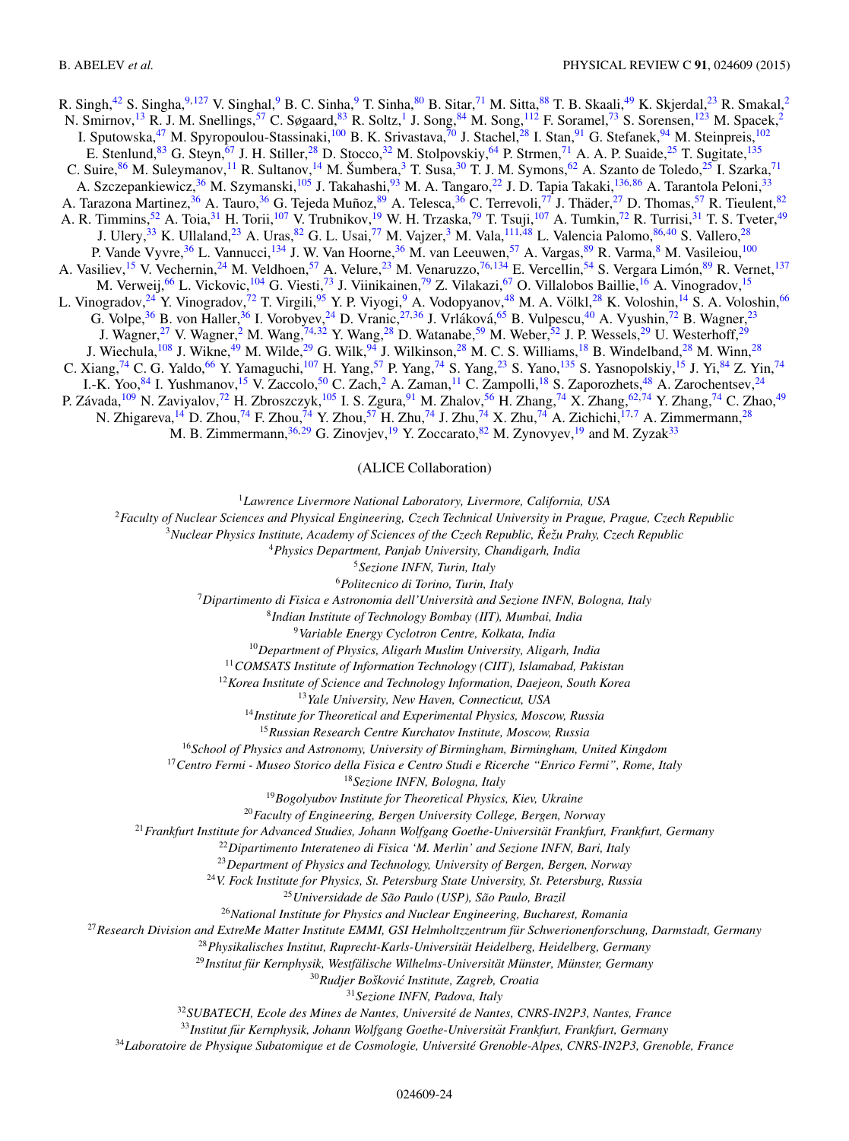<span id="page-23-0"></span>R. Singh,<sup>[42](#page-24-0)</sup> S. Singha,<sup>9[,127](#page-25-0)</sup> V. Singhal,<sup>9</sup> B. C. Sinha,<sup>9</sup> T. Sinha,<sup>[80](#page-24-0)</sup> B. Sitar,<sup>71</sup> M. Sitta,<sup>[88](#page-24-0)</sup> T. B. Skaali,<sup>[49](#page-24-0)</sup> K. Skjerdal,<sup>23</sup> R. Smakal,<sup>2</sup> N. Smirnov,<sup>13</sup> R. J. M. Snellings,<sup>[57](#page-24-0)</sup> C. Søgaard,<sup>[83](#page-24-0)</sup> R. Soltz,<sup>1</sup> J. Song,<sup>84</sup> M. Song,<sup>112</sup> F. Soramel,<sup>[73](#page-24-0)</sup> S. Sorensen,<sup>[123](#page-25-0)</sup> M. Spacek,<sup>2</sup> I. Sputowska,<sup>47</sup> M. Spyropoulou-Stassinaki,<sup>100</sup> B. K. Srivastava,<sup>[70](#page-24-0)</sup> J. Stachel,<sup>28</sup> I. Stan,<sup>91</sup> G. Stefanek,<sup>[94](#page-25-0)</sup> M. Steinpreis,<sup>102</sup> E. Stenlund,<sup>[83](#page-24-0)</sup> G. Steyn,<sup>[67](#page-24-0)</sup> J. H. Stiller,<sup>28</sup> D. Stocco,<sup>32</sup> M. Stolpovskiy,<sup>[64](#page-24-0)</sup> P. Strmen,<sup>[71](#page-24-0)</sup> A. A. P. Suaide,<sup>25</sup> T. Sugitate,<sup>[135](#page-25-0)</sup> C. Suire,  $86$  M. Suleymanov,  $^{11}$  R. Sultanov,  $^{14}$  M. Šumbera,  $^3$  T. Susa,  $^{30}$  T. J. M. Symons,  $^{62}$  A. Szanto de Toledo,  $^{25}$  I. Szarka,  $^{71}$  $^{71}$  $^{71}$ A. Szczepankiewicz,<sup>36</sup> M. Szymanski,<sup>105</sup> J. Takahashi,<sup>93</sup> M. A. Tangaro,<sup>22</sup> J. D. Tapia Takaki,<sup>136,[86](#page-24-0)</sup> A. Tarantola Peloni,<sup>33</sup> A. Tarazona Martinez,<sup>[36](#page-24-0)</sup> A. Tauro,<sup>36</sup> G. Tejeda Muñoz,<sup>[89](#page-24-0)</sup> A. Telesca,<sup>36</sup> C. Terrevoli,<sup>[77](#page-24-0)</sup> J. Thäder,<sup>27</sup> D. Thomas,<sup>57</sup> R. Tieulent,<sup>[82](#page-24-0)</sup> A. R. Timmins,<sup>[52](#page-24-0)</sup> A. Toia,<sup>31</sup> H. Torii,<sup>[107](#page-25-0)</sup> V. Trubnikov,<sup>19</sup> W. H. Trzaska,<sup>[79](#page-24-0)</sup> T. Tsuji,<sup>107</sup> A. Tumkin,<sup>[72](#page-24-0)</sup> R. Turrisi,<sup>31</sup> T. S. Tveter,<sup>[49](#page-24-0)</sup> J. Ulery,<sup>33</sup> K. Ullaland,<sup>23</sup> A. Uras,<sup>[82](#page-24-0)</sup> G. L. Usai,<sup>[77](#page-24-0)</sup> M. Vajzer,<sup>3</sup> M. Vala,<sup>[111,](#page-25-0)[48](#page-24-0)</sup> L. Valencia Palomo,<sup>86,40</sup> S. Vallero,<sup>28</sup> P. Vande Vyvre,<sup>[36](#page-24-0)</sup> L. Vannucci,<sup>134</sup> J. W. Van Hoorne,<sup>36</sup> M. van Leeuwen,<sup>57</sup> A. Vargas,<sup>[89](#page-24-0)</sup> R. Varma,<sup>8</sup> M. Vasileiou,<sup>[100](#page-25-0)</sup> A. Vasiliev,<sup>15</sup> V. Vechernin,<sup>24</sup> M. Veldhoen,<sup>[57](#page-24-0)</sup> A. Velure,<sup>23</sup> M. Venaruzzo,<sup>[76,](#page-24-0)[134](#page-25-0)</sup> E. Vercellin,<sup>[54](#page-24-0)</sup> S. Vergara Limón,<sup>[89](#page-24-0)</sup> R. Vernet,<sup>[137](#page-25-0)</sup> M. Verweij,<sup>[66](#page-24-0)</sup> L. Vickovic,<sup>[104](#page-25-0)</sup> G. Viesti,<sup>[73](#page-24-0)</sup> J. Viinikainen,<sup>79</sup> Z. Vilakazi,<sup>[67](#page-24-0)</sup> O. Villalobos Baillie,<sup>16</sup> A. Vinogradov,<sup>15</sup> L. Vinogradov,<sup>24</sup> Y. Vinogradov,<sup>[72](#page-24-0)</sup> T. Virgili,<sup>[95](#page-25-0)</sup> Y. P. Viyogi,<sup>9</sup> A. Vodopyanov,<sup>[48](#page-24-0)</sup> M. A. Völkl,<sup>28</sup> K. Voloshin,<sup>14</sup> S. A. Voloshin,<sup>[66](#page-24-0)</sup> G. Volpe,<sup>[36](#page-24-0)</sup> B. von Haller,<sup>36</sup> I. Vorobyev,<sup>24</sup> D. Vranic,<sup>27[,36](#page-24-0)</sup> J. Vrláková,<sup>[65](#page-24-0)</sup> B. Vulpescu,<sup>[40](#page-24-0)</sup> A. Vyushin,<sup>[72](#page-24-0)</sup> B. Wagner,<sup>23</sup> J. Wagner,<sup>27</sup> V. Wagner,<sup>2</sup> M. Wang,<sup>[74,](#page-24-0)32</sup> Y. Wang,<sup>28</sup> D. Watanabe,<sup>[59](#page-24-0)</sup> M. Weber,<sup>[52](#page-24-0)</sup> J. P. Wessels,<sup>29</sup> U. Westerhoff,<sup>29</sup> J. Wiechula,  $^{108}$  $^{108}$  $^{108}$  J. Wikne,  $^{49}$  M. Wilde,  $^{29}$  G. Wilk,  $^{94}$  $^{94}$  $^{94}$  J. Wilkinson,  $^{28}$  M. C. S. Williams,  $^{18}$  B. Windelband,  $^{28}$  M. Winn,  $^{28}$ C. Xiang,<sup>[74](#page-24-0)</sup> C. G. Yaldo,<sup>[66](#page-24-0)</sup> Y. Yamaguchi,<sup>[107](#page-25-0)</sup> H. Yang,<sup>57</sup> P. Yang,<sup>74</sup> S. Yang,<sup>23</sup> S. Yano,<sup>[135](#page-25-0)</sup> S. Yasnopolskiy,<sup>15</sup> J. Yi,<sup>[84](#page-24-0)</sup> Z. Yin,<sup>74</sup> I.-K. Yoo,<sup>[84](#page-24-0)</sup> I. Yushmanov,<sup>15</sup> V. Zaccolo,<sup>[50](#page-24-0)</sup> C. Zach,<sup>2</sup> A. Zaman,<sup>11</sup> C. Zampolli,<sup>18</sup> S. Zaporozhets,<sup>48</sup> A. Zarochentsev,<sup>24</sup> P. Závada, <sup>[109](#page-25-0)</sup> N. Zaviyalov, <sup>[72](#page-24-0)</sup> H. Zbroszczyk, <sup>105</sup> I. S. Zgura, <sup>[91](#page-24-0)</sup> M. Zhalov, <sup>[56](#page-24-0)</sup> H. Zhang, <sup>[74](#page-24-0)</sup> X. Zhang, <sup>62, 74</sup> Y. Zhang, <sup>74</sup> C. Zhao, <sup>[49](#page-24-0)</sup> N. Zhigareva,<sup>14</sup> D. Zhou,<sup>[74](#page-24-0)</sup> F. Zhou,<sup>74</sup> Y. Zhou,<sup>[57](#page-24-0)</sup> H. Zhu,<sup>74</sup> J. Zhu,<sup>74</sup> X. Zhu,<sup>74</sup> A. Zichichi,<sup>17,7</sup> A. Zimmermann,<sup>28</sup> M. B. Zimmermann,<sup>[36,](#page-24-0)29</sup> G. Zinovjev,<sup>19</sup> Y. Zoccarato,<sup>[82](#page-24-0)</sup> M. Zynovyev,<sup>19</sup> and M. Zyzak<sup>33</sup>

(ALICE Collaboration)

<sup>1</sup>*Lawrence Livermore National Laboratory, Livermore, California, USA*

<sup>2</sup>*Faculty of Nuclear Sciences and Physical Engineering, Czech Technical University in Prague, Prague, Czech Republic*

<sup>3</sup>*Nuclear Physics Institute, Academy of Sciences of the Czech Republic, Reˇ zu Prahy, Czech Republic ˇ*

<sup>4</sup>*Physics Department, Panjab University, Chandigarh, India*

<sup>5</sup>*Sezione INFN, Turin, Italy*

<sup>6</sup>*Politecnico di Torino, Turin, Italy*

<sup>7</sup>*Dipartimento di Fisica e Astronomia dell'Universita and Sezione INFN, Bologna, Italy `*

<sup>8</sup>*Indian Institute of Technology Bombay (IIT), Mumbai, India*

<sup>9</sup>*Variable Energy Cyclotron Centre, Kolkata, India*

<sup>10</sup>*Department of Physics, Aligarh Muslim University, Aligarh, India*

<sup>11</sup>*COMSATS Institute of Information Technology (CIIT), Islamabad, Pakistan*

<sup>12</sup>*Korea Institute of Science and Technology Information, Daejeon, South Korea*

<sup>13</sup>*Yale University, New Haven, Connecticut, USA*

<sup>14</sup>*Institute for Theoretical and Experimental Physics, Moscow, Russia*

<sup>15</sup>*Russian Research Centre Kurchatov Institute, Moscow, Russia*

<sup>16</sup>*School of Physics and Astronomy, University of Birmingham, Birmingham, United Kingdom*

<sup>17</sup>*Centro Fermi - Museo Storico della Fisica e Centro Studi e Ricerche "Enrico Fermi", Rome, Italy*

<sup>18</sup>*Sezione INFN, Bologna, Italy*

<sup>19</sup>*Bogolyubov Institute for Theoretical Physics, Kiev, Ukraine*

<sup>20</sup>*Faculty of Engineering, Bergen University College, Bergen, Norway*

<sup>21</sup>*Frankfurt Institute for Advanced Studies, Johann Wolfgang Goethe-Universitat Frankfurt, Frankfurt, Germany ¨*

<sup>22</sup>*Dipartimento Interateneo di Fisica 'M. Merlin' and Sezione INFN, Bari, Italy*

<sup>23</sup>*Department of Physics and Technology, University of Bergen, Bergen, Norway*

<sup>24</sup>*V. Fock Institute for Physics, St. Petersburg State University, St. Petersburg, Russia*

<sup>25</sup> Universidade de São Paulo (USP), São Paulo, Brazil

<sup>26</sup>*National Institute for Physics and Nuclear Engineering, Bucharest, Romania*

<sup>27</sup>*Research Division and ExtreMe Matter Institute EMMI, GSI Helmholtzzentrum fur Schwerionenforschung, Darmstadt, Germany ¨*

<sup>28</sup>*Physikalisches Institut, Ruprecht-Karls-Universitat Heidelberg, Heidelberg, Germany ¨*

<sup>29</sup> Institut für Kernphysik, Westfälische Wilhelms-Universität Münster, Münster, Germany

<sup>30</sup>Rudjer Bošković Institute, Zagreb, Croatia

<sup>31</sup>*Sezione INFN, Padova, Italy*

<sup>32</sup>*SUBATECH, Ecole des Mines de Nantes, Universite de Nantes, CNRS-IN2P3, Nantes, France ´*

<sup>33</sup>Institut für Kernphysik, Johann Wolfgang Goethe-Universität Frankfurt, Frankfurt, Germany

<sup>34</sup>*Laboratoire de Physique Subatomique et de Cosmologie, Universite Grenoble-Alpes, CNRS-IN2P3, Grenoble, France ´*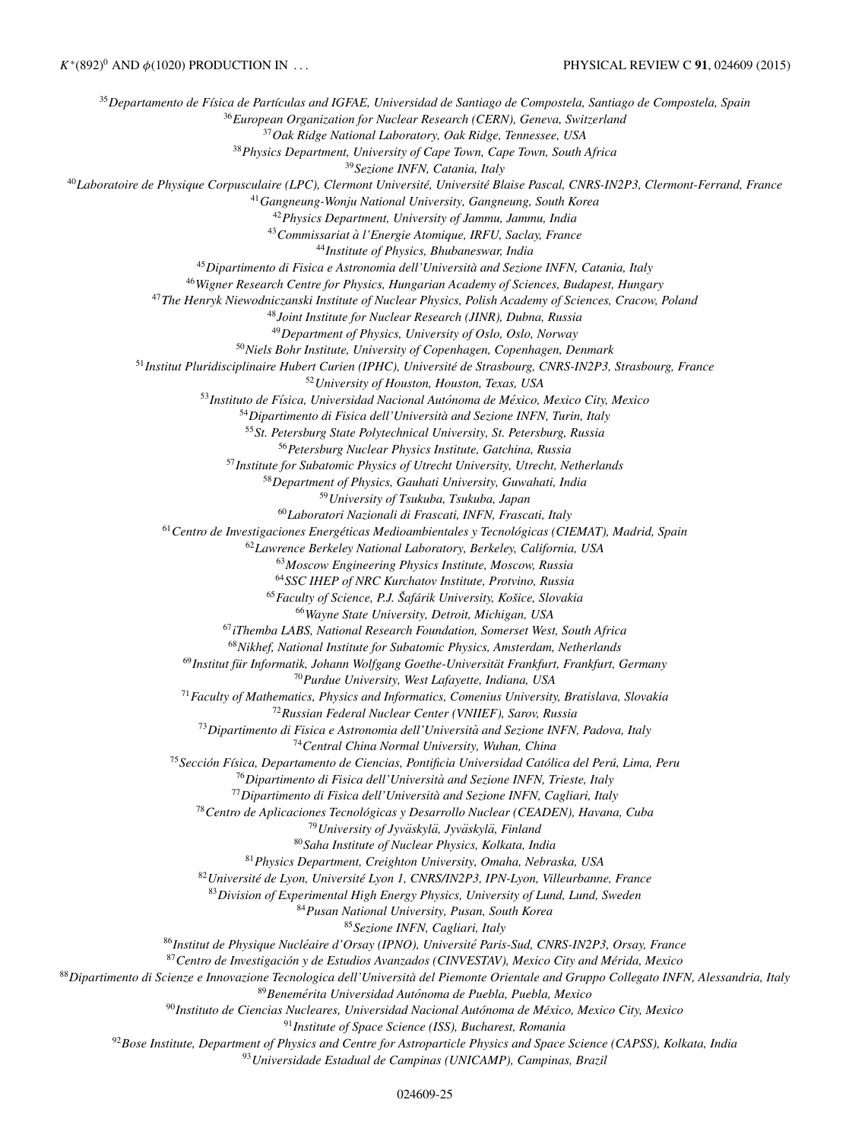<span id="page-24-0"></span><sup>35</sup>Departamento de Física de Partículas and IGFAE, Universidad de Santiago de Compostela, Santiago de Compostela, Spain *European Organization for Nuclear Research (CERN), Geneva, Switzerland Oak Ridge National Laboratory, Oak Ridge, Tennessee, USA Physics Department, University of Cape Town, Cape Town, South Africa Sezione INFN, Catania, Italy Laboratoire de Physique Corpusculaire (LPC), Clermont Universite, Universit ´ e Blaise Pascal, CNRS-IN2P3, Clermont-Ferrand, France ´ Gangneung-Wonju National University, Gangneung, South Korea Physics Department, University of Jammu, Jammu, India Commissariat a l'Energie Atomique, IRFU, Saclay, France ` Institute of Physics, Bhubaneswar, India Dipartimento di Fisica e Astronomia dell'Universita and Sezione INFN, Catania, Italy ` Wigner Research Centre for Physics, Hungarian Academy of Sciences, Budapest, Hungary The Henryk Niewodniczanski Institute of Nuclear Physics, Polish Academy of Sciences, Cracow, Poland Joint Institute for Nuclear Research (JINR), Dubna, Russia Department of Physics, University of Oslo, Oslo, Norway Niels Bohr Institute, University of Copenhagen, Copenhagen, Denmark Institut Pluridisciplinaire Hubert Curien (IPHC), Universite de Strasbourg, CNRS-IN2P3, Strasbourg, France ´ University of Houston, Houston, Texas, USA Instituto de F´ısica, Universidad Nacional Autonoma de M ´ exico, Mexico City, Mexico ´ Dipartimento di Fisica dell'Universita and Sezione INFN, Turin, Italy ` St. Petersburg State Polytechnical University, St. Petersburg, Russia Petersburg Nuclear Physics Institute, Gatchina, Russia Institute for Subatomic Physics of Utrecht University, Utrecht, Netherlands Department of Physics, Gauhati University, Guwahati, India University of Tsukuba, Tsukuba, Japan Laboratori Nazionali di Frascati, INFN, Frascati, Italy Centro de Investigaciones Energeticas Medioambientales y Tecnol ´ ogicas (CIEMAT), Madrid, Spain ´ Lawrence Berkeley National Laboratory, Berkeley, California, USA Moscow Engineering Physics Institute, Moscow, Russia SSC IHEP of NRC Kurchatov Institute, Protvino, Russia Faculty of Science, P.J. Saf ˇ arik University, Ko ´ sice, Slovakia ˇ Wayne State University, Detroit, Michigan, USA iThemba LABS, National Research Foundation, Somerset West, South Africa Nikhef, National Institute for Subatomic Physics, Amsterdam, Netherlands* <sup>69</sup> Institut für Informatik, Johann Wolfgang Goethe-Universität Frankfurt, Frankfurt, Germany *Purdue University, West Lafayette, Indiana, USA Faculty of Mathematics, Physics and Informatics, Comenius University, Bratislava, Slovakia Russian Federal Nuclear Center (VNIIEF), Sarov, Russia Dipartimento di Fisica e Astronomia dell'Universita and Sezione INFN, Padova, Italy ` Central China Normal University, Wuhan, China Seccion F ´ ´ısica, Departamento de Ciencias, Pontificia Universidad Catolica del Per ´ u, Lima, Peru ´ Dipartimento di Fisica dell'Universita and Sezione INFN, Trieste, Italy ` Dipartimento di Fisica dell'Universita and Sezione INFN, Cagliari, Italy ` Centro de Aplicaciones Tecnologicas y Desarrollo Nuclear (CEADEN), Havana, Cuba ´ University of Jyvaskyl ¨ a, Jyv ¨ askyl ¨ a, Finland ¨ Saha Institute of Nuclear Physics, Kolkata, India Physics Department, Creighton University, Omaha, Nebraska, USA Universite de Lyon, Universit ´ e Lyon 1, CNRS/IN2P3, IPN-Lyon, Villeurbanne, France ´ Division of Experimental High Energy Physics, University of Lund, Lund, Sweden Pusan National University, Pusan, South Korea Sezione INFN, Cagliari, Italy Institut de Physique Nucleaire d'Orsay (IPNO), Universit ´ e Paris-Sud, CNRS-IN2P3, Orsay, France ´ Centro de Investigacion y de Estudios Avanzados (CINVESTAV), Mexico City and M ´ erida, Mexico ´ Dipartimento di Scienze e Innovazione Tecnologica dell'Universita del Piemonte Orientale and Gruppo Collegato INFN, Alessandria, Italy ` Benemerita Universidad Aut ´ onoma de Puebla, Puebla, Mexico ´ Instituto de Ciencias Nucleares, Universidad Nacional Autonoma de M ´ exico, Mexico City, Mexico ´ Institute of Space Science (ISS), Bucharest, Romania Bose Institute, Department of Physics and Centre for Astroparticle Physics and Space Science (CAPSS), Kolkata, India*

*Universidade Estadual de Campinas (UNICAMP), Campinas, Brazil*